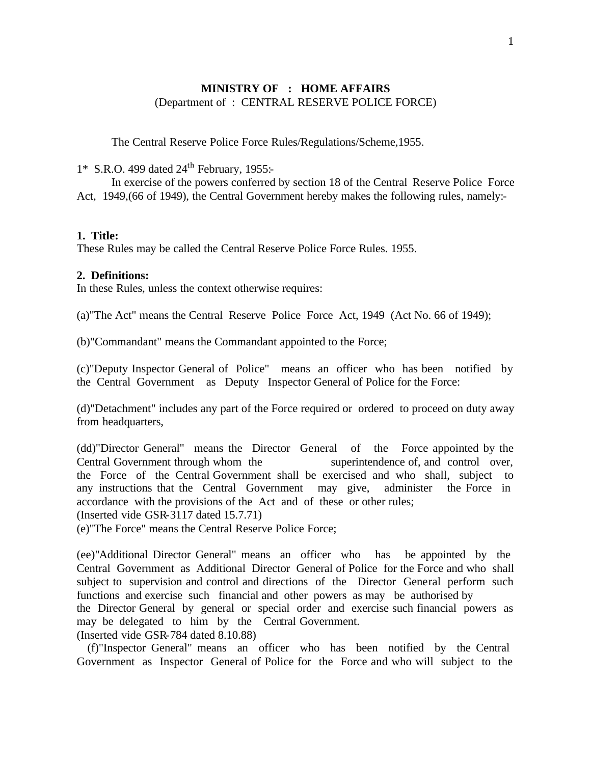# **MINISTRY OF : HOME AFFAIRS** (Department of : CENTRAL RESERVE POLICE FORCE)

The Central Reserve Police Force Rules/Regulations/Scheme,1955.

1\* S.R.O. 499 dated 24<sup>th</sup> February, 1955:-

In exercise of the powers conferred by section 18 of the Central Reserve Police Force Act, 1949,(66 of 1949), the Central Government hereby makes the following rules, namely:-

# **1. Title:**

These Rules may be called the Central Reserve Police Force Rules. 1955.

# **2. Definitions:**

In these Rules, unless the context otherwise requires:

(a)"The Act" means the Central Reserve Police Force Act, 1949 (Act No. 66 of 1949);

(b)"Commandant" means the Commandant appointed to the Force;

(c)"Deputy Inspector General of Police" means an officer who has been notified by the Central Government as Deputy Inspector General of Police for the Force:

(d)"Detachment" includes any part of the Force required or ordered to proceed on duty away from headquarters,

(dd)"Director General" means the Director General of the Force appointed by the Central Government through whom the superintendence of, and control over, the Force of the Central Government shall be exercised and who shall, subject to any instructions that the Central Government may give, administer the Force in accordance with the provisions of the Act and of these or other rules; (Inserted vide GSR-3117 dated 15.7.71)

(e)"The Force" means the Central Reserve Police Force;

(ee)"Additional Director General" means an officer who has be appointed by the Central Government as Additional Director General of Police for the Force and who shall subject to supervision and control and directions of the Director General perform such functions and exercise such financial and other powers as may be authorised by the Director General by general or special order and exercise such financial powers as may be delegated to him by the Central Government. (Inserted vide GSR-784 dated 8.10.88)

 (f)"Inspector General" means an officer who has been notified by the Central Government as Inspector General of Police for the Force and who will subject to the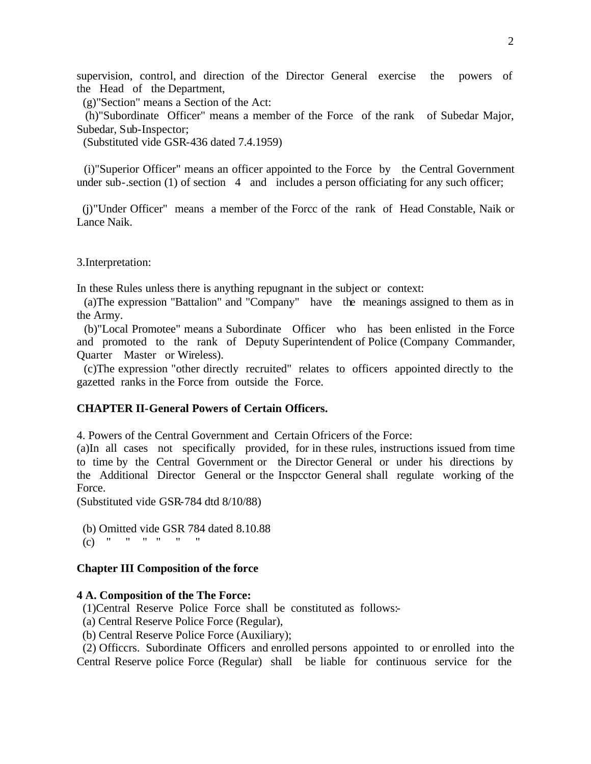supervision, control, and direction of the Director General exercise the powers of the Head of the Department,

(g)"Section" means a Section of the Act:

 (h)"Subordinate Officer" means a member of the Force of the rank of Subedar Major, Subedar, Sub-Inspector;

(Substituted vide GSR-436 dated 7.4.1959)

 (i)"Superior Officer" means an officer appointed to the Force by the Central Government under sub-.section  $(1)$  of section  $4$  and includes a person officiating for any such officer;

 (j)"Under Officer" means a member of the Forcc of the rank of Head Constable, Naik or Lance Naik.

3.Interpretation:

In these Rules unless there is anything repugnant in the subject or context:

 (a)The expression "Battalion" and "Company" have the meanings assigned to them as in the Army.

 (b)"Local Promotee" means a Subordinate Officer who has been enlisted in the Force and promoted to the rank of Deputy Superintendent of Police (Company Commander, Quarter Master or Wireless).

 (c)The expression "other directly recruited" relates to officers appointed directly to the gazetted ranks in the Force from outside the Force.

# **CHAPTER II-General Powers of Certain Officers.**

4. Powers of the Central Government and Certain Ofricers of the Force:

(a)In all cases not specifically provided, for in these rules, instructions issued from time to time by the Central Government or the Director General or under his directions by the Additional Director General or the Inspcctor General shall regulate working of the Force.

(Substituted vide GSR-784 dtd 8/10/88)

(b) Omitted vide GSR 784 dated 8.10.88

(c)  $" " " " " " " "$ 

#### **Chapter III Composition of the force**

#### **4 A. Composition of the The Force:**

(1)Central Reserve Police Force shall be constituted as follows:-

- (a) Central Reserve Police Force (Regular),
- (b) Central Reserve Police Force (Auxiliary);

 (2) Officcrs. Subordinate Officers and enrolled persons appointed to or enrolled into the Central Reserve police Force (Regular) shall be liable for continuous service for the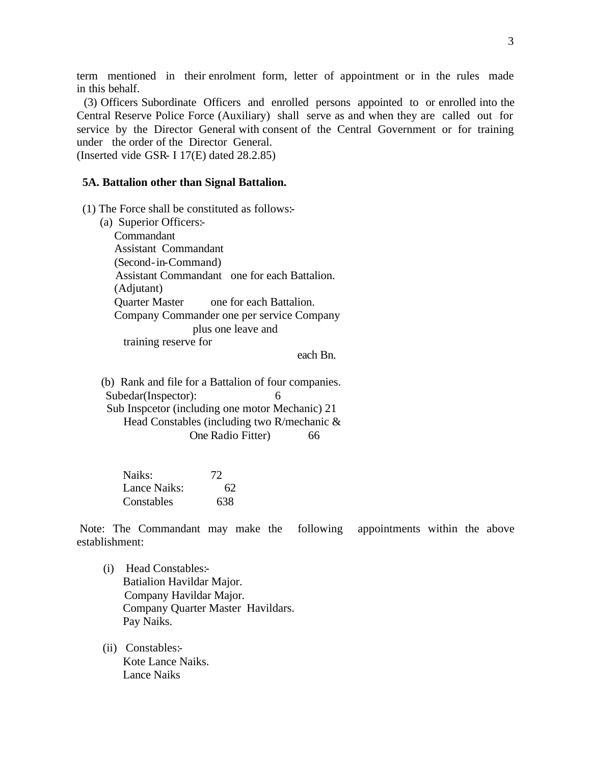term mentioned in their enrolment form, letter of appointment or in the rules made in this behalf.

 (3) Officers Subordinate Officers and enrolled persons appointed to or enrolled into the Central Reserve Police Force (Auxiliary) shall serve as and when they are called out for service by the Director General with consent of the Central Government or for training under the order of the Director General.

(Inserted vide GSR- I  $17(E)$  dated  $28.2.85$ )

### **5A. Battalion other than Signal Battalion.**

(1) The Force shall be constituted as follows:-

 (a) Superior Officers:- Commandant Assistant Commandant (Second-in-Command) Assistant Commandant one for each Battalion. (Adjutant) Quarter Master one for each Battalion. Company Commander one per service Company plus one leave and training reserve for

each Bn.

 (b) Rank and file for a Battalion of four companies. Subedar(Inspector): 6 Sub Inspcetor (including one motor Mechanic) 21 Head Constables (including two R/mechanic & One Radio Fitter) 66

| Naiks:       | 72  |
|--------------|-----|
| Lance Naiks: | 62  |
| Constables   | 638 |

 Note: The Commandant may make the following appointments within the above establishment:

- (i) Head Constables:- Batialion Havildar Major. Company Havildar Major. Company Quarter Master Havildars. Pay Naiks.
- (ii) Constables:- Kote Lance Naiks. Lance Naiks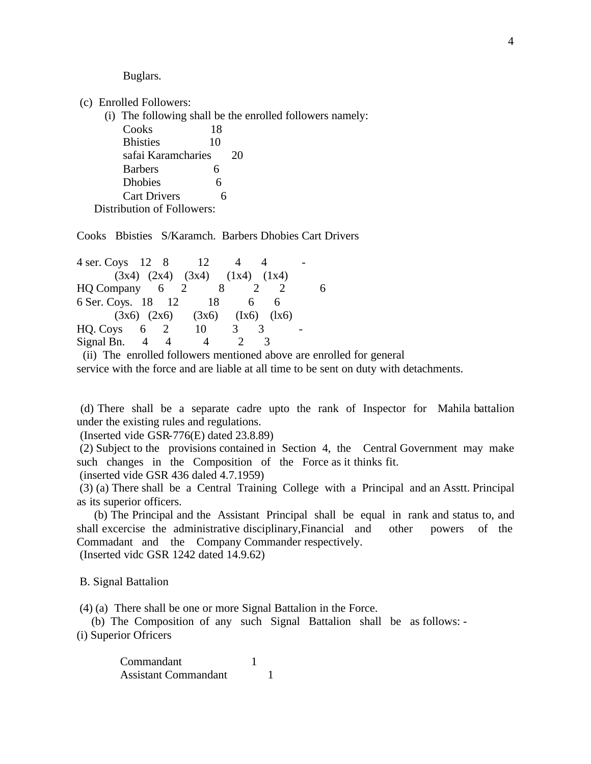Buglars.

(c) Enrolled Followers:

(i) The following shall be the enrolled followers namely:

| Cooks                      | 18 |    |
|----------------------------|----|----|
| <b>Bhisties</b>            | 10 |    |
| safai Karamcharies         |    | 20 |
| <b>Barbers</b>             | 6  |    |
| <b>Dhobies</b>             | 6  |    |
| <b>Cart Drivers</b>        | 6  |    |
| Distribution of Followers: |    |    |

Cooks Bbisties S/Karamch. Barbers Dhobies Cart Drivers

| $4$ ser. Coys 12 8 |     |         | 12                                      |   |   |  |
|--------------------|-----|---------|-----------------------------------------|---|---|--|
|                    |     |         | $(3x4)$ $(2x4)$ $(3x4)$ $(1x4)$ $(1x4)$ |   |   |  |
| $HQ$ Company 6 2   |     |         |                                         |   |   |  |
| 6 Ser. Coys. 18 12 |     |         | - 18                                    | 6 | h |  |
|                    |     |         | $(3x6)$ $(2x6)$ $(3x6)$ $(1x6)$ $(1x6)$ |   |   |  |
| HQ. Coys           | 6 2 |         | 10                                      |   |   |  |
| Signal Bn. 4       |     |         |                                         |   |   |  |
|                    |     | 11.1011 |                                         |   |   |  |

 (ii) The enrolled followers mentioned above are enrolled for general service with the force and are liable at all time to be sent on duty with detachments.

 (d) There shall be a separate cadre upto the rank of Inspector for Mahila battalion under the existing rules and regulations.

(Inserted vide GSR-776(E) dated 23.8.89)

 (2) Subject to the provisions contained in Section 4, the Central Government may make such changes in the Composition of the Force as it thinks fit.

(inserted vide GSR 436 daled 4.7.1959)

 (3) (a) There shall be a Central Training College with a Principal and an Asstt. Principal as its superior officers.

 (b) The Principal and the Assistant Principal shall be equal in rank and status to, and shall excercise the administrative disciplinary,Financial and other powers of the Commadant and the Company Commander respectively. (Inserted vidc GSR 1242 dated 14.9.62)

B. Signal Battalion

(4) (a) There shall be one or more Signal Battalion in the Force.

 (b) The Composition of any such Signal Battalion shall be as follows: - (i) Superior Ofricers

> Commandant 1 Assistant Commandant 1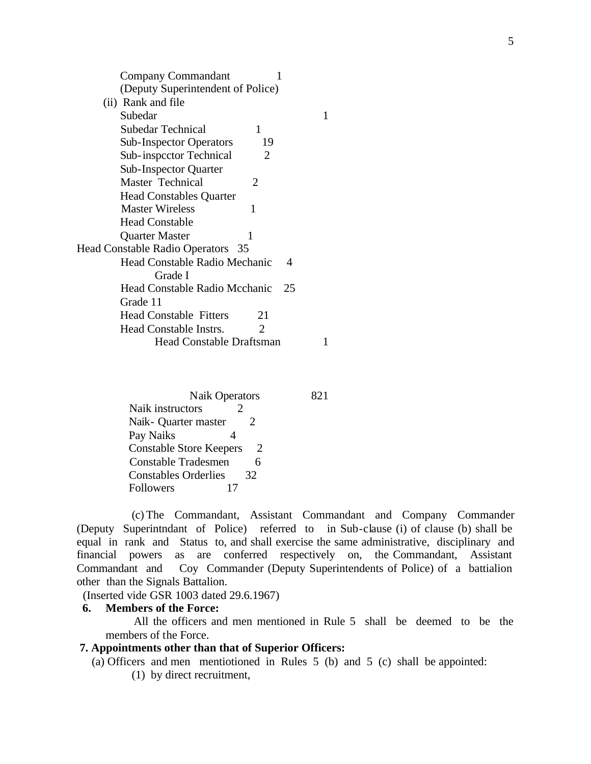| Company Commandant                              |  |
|-------------------------------------------------|--|
| (Deputy Superintendent of Police)               |  |
| (ii) Rank and file                              |  |
| Subedar                                         |  |
| Subedar Technical<br>1                          |  |
| <b>Sub-Inspector Operators</b><br>19            |  |
| Sub-inspector Technical<br>2                    |  |
| <b>Sub-Inspector Quarter</b>                    |  |
| Master Technical<br>2                           |  |
| <b>Head Constables Quarter</b>                  |  |
| <b>Master Wireless</b><br>1                     |  |
| <b>Head Constable</b>                           |  |
| <b>Quarter Master</b><br>1                      |  |
| Head Constable Radio Operators 35               |  |
| <b>Head Constable Radio Mechanic</b><br>4       |  |
| Grade I                                         |  |
| Head Constable Radio Mcchanic<br>25             |  |
| Grade 11                                        |  |
| <b>Head Constable Fitters</b><br>21             |  |
| Head Constable Instrs.<br>$\mathcal{D}_{\cdot}$ |  |
| <b>Head Constable Draftsman</b>                 |  |
|                                                 |  |

Naik Operators 821 Naik instructors 2 Naik- Quarter master 2 Pay Naiks 4 Constable Store Keepers 2 Constable Tradesmen 6 Constables Orderlies 32 Followers 17

 (c) The Commandant, Assistant Commandant and Company Commander (Deputy Superintndant of Police) referred to in Sub-clause (i) of clause (b) shall be equal in rank and Status to, and shall exercise the same administrative, disciplinary and financial powers as are conferred respectively on, the Commandant, Assistant Commandant and Coy Commander (Deputy Superintendents of Police) of a battialion other than the Signals Battalion.

(Inserted vide GSR 1003 dated 29.6.1967)

#### **6. Members of the Force:**

 All the officers and men mentioned in Rule 5 shall be deemed to be the members of the Force.

# **7. Appointments other than that of Superior Officers:**

(a) Officers and men mentiotioned in Rules 5 (b) and 5 (c) shall be appointed:

(1) by direct recruitment,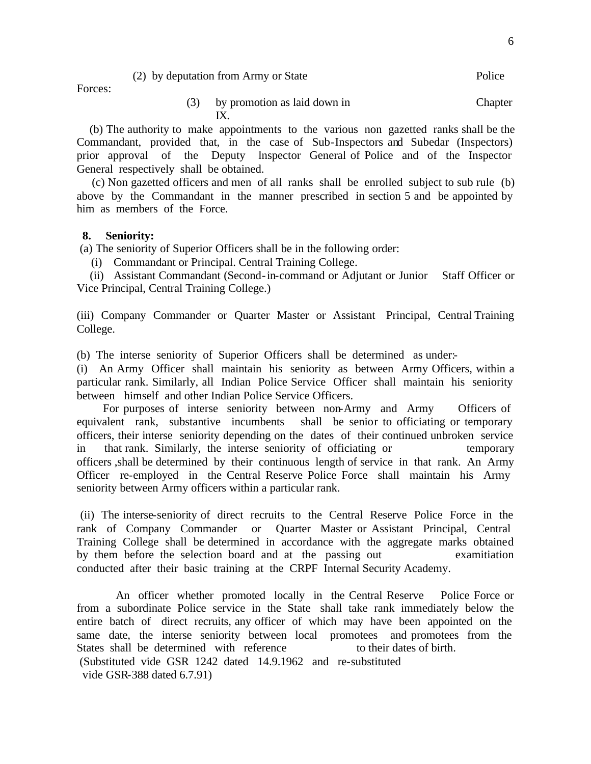| (2) by deputation from Army or State | Police |
|--------------------------------------|--------|
|--------------------------------------|--------|

Forces:

 (b) The authority to make appointments to the various non gazetted ranks shall be the Commandant, provided that, in the case of Sub-Inspectors and Subedar (Inspectors) prior approval of the Deputy lnspector General of Police and of the Inspector General respectively shall be obtained.

 (c) Non gazetted officers and men of all ranks shall be enrolled subject to sub rule (b) above by the Commandant in the manner prescribed in section 5 and be appointed by him as members of the Force.

# **8. Seniority:**

(a) The seniority of Superior Officers shall be in the following order:

(i) Commandant or Principal. Central Training College.

 (ii) Assistant Commandant (Second-in-command or Adjutant or Junior Staff Officer or Vice Principal, Central Training College.)

(iii) Company Commander or Quarter Master or Assistant Principal, Central Training College.

(b) The interse seniority of Superior Officers shall be determined as under:-

(i) An Army Officer shall maintain his seniority as between Army Officers, within a particular rank. Similarly, all Indian Police Service Officer shall maintain his seniority between himself and other Indian Police Service Officers.

 For purposes of interse seniority between non-Army and Army Officers of equivalent rank, substantive incumbents shall be senior to officiating or temporary officers, their interse seniority depending on the dates of their continued unbroken service in that rank. Similarly, the interse seniority of officiating or temporary officers ,shall be determined by their continuous length of service in that rank. An Army Officer re-employed in the Central Reserve Police Force shall maintain his Army seniority between Army officers within a particular rank.

 (ii) The interse-seniority of direct recruits to the Central Reserve Police Force in the rank of Company Commander or Quarter Master or Assistant Principal, Central Training College shall be determined in accordance with the aggregate marks obtained by them before the selection board and at the passing out examitiation conducted after their basic training at the CRPF Internal Security Academy.

 An officer whether promoted locally in the Central Reserve Police Force or from a subordinate Police service in the State shall take rank immediately below the entire batch of direct recruits, any officer of which may have been appointed on the same date, the interse seniority between local promotees and promotees from the States shall be determined with reference to their dates of birth. (Substituted vide GSR 1242 dated 14.9.1962 and re-substituted vide GSR-388 dated 6.7.91)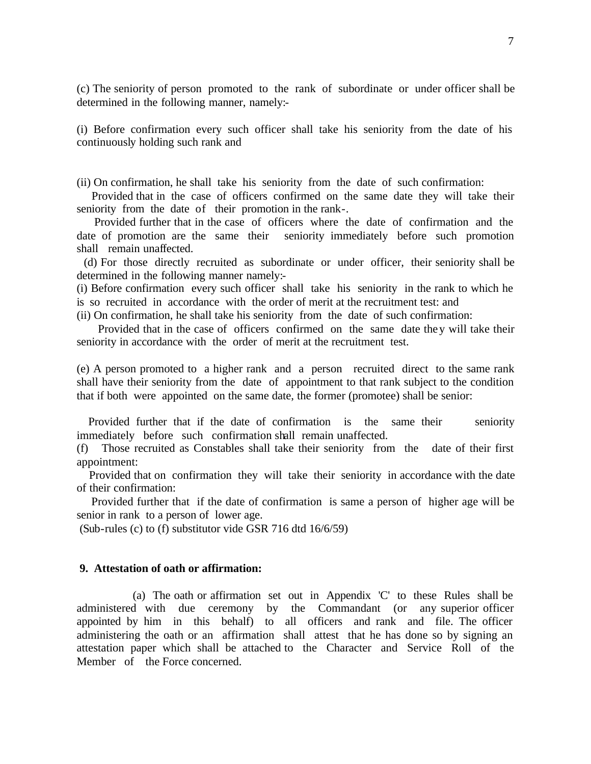(c) The seniority of person promoted to the rank of subordinate or under officer shall be determined in the following manner, namely:-

(i) Before confirmation every such officer shall take his seniority from the date of his continuously holding such rank and

(ii) On confirmation, he shall take his seniority from the date of such confirmation:

 Provided that in the case of officers confirmed on the same date they will take their seniority from the date of their promotion in the rank-.

 Provided further that in the case of officers where the date of confirmation and the date of promotion are the same their seniority immediately before such promotion shall remain unaffected.

 (d) For those directly recruited as subordinate or under officer, their seniority shall be determined in the following manner namely:-

(i) Before confirmation every such officer shall take his seniority in the rank to which he is so recruited in accordance with the order of merit at the recruitment test: and

(ii) On confirmation, he shall take his seniority from the date of such confirmation:

 Provided that in the case of officers confirmed on the same date they will take their seniority in accordance with the order of merit at the recruitment test.

(e) A person promoted to a higher rank and a person recruited direct to the same rank shall have their seniority from the date of appointment to that rank subject to the condition that if both were appointed on the same date, the former (promotee) shall be senior:

 Provided further that if the date of confirmation is the same their seniority immediately before such confirmation shall remain unaffected.

(f) Those recruited as Constables shall take their seniority from the date of their first appointment:

 Provided that on confirmation they will take their seniority in accordance with the date of their confirmation:

 Provided further that if the date of confirmation is same a person of higher age will be senior in rank to a person of lower age.

(Sub-rules (c) to (f) substitutor vide GSR 716 dtd 16/6/59)

#### **9. Attestation of oath or affirmation:**

 (a) The oath or affirmation set out in Appendix 'C' to these Rules shall be administered with due ceremony by the Commandant (or any superior officer appointed by him in this behalf) to all officers and rank and file. The officer administering the oath or an affirmation shall attest that he has done so by signing an attestation paper which shall be attached to the Character and Service Roll of the Member of the Force concerned.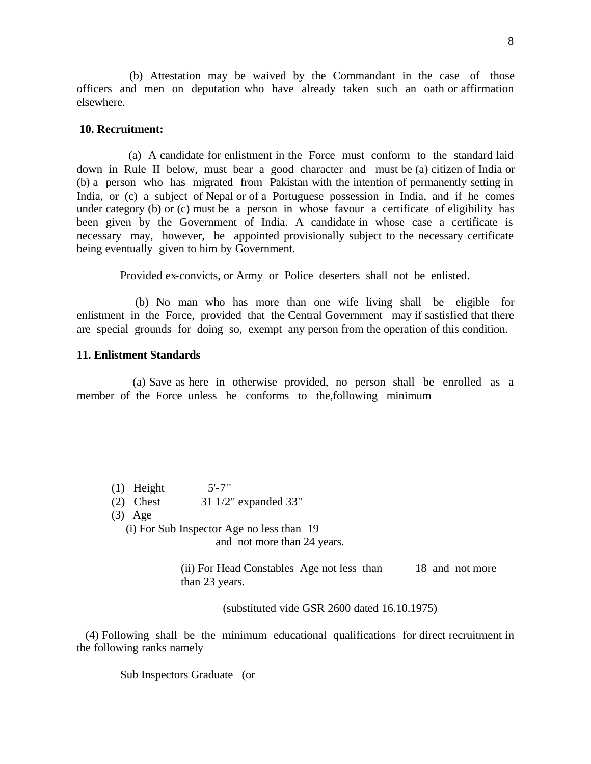(b) Attestation may be waived by the Commandant in the case of those officers and men on deputation who have already taken such an oath or affirmation elsewhere.

#### **10. Recruitment:**

 (a) A candidate for enlistment in the Force must conform to the standard laid down in Rule II below, must bear a good character and must be (a) citizen of India or (b) a person who has migrated from Pakistan with the intention of permanently setting in India, or (c) a subject of Nepal or of a Portuguese possession in India, and if he comes under category (b) or (c) must be a person in whose favour a certificate of eligibility has been given by the Government of India. A candidate in whose case a certificate is necessary may, however, be appointed provisionally subject to the necessary certificate being eventually given to him by Government.

Provided ex-convicts, or Army or Police deserters shall not be enlisted.

 (b) No man who has more than one wife living shall be eligible for enlistment in the Force, provided that the Central Government may if sastisfied that there are special grounds for doing so, exempt any person from the operation of this condition.

#### **11. Enlistment Standards**

 (a) Save as here in otherwise provided, no person shall be enrolled as a member of the Force unless he conforms to the,following minimum

- $(1)$  Height  $5'$ -7"
- (2) Chest 31 1/2" expanded 33"
- (3) Age

(i) For Sub Inspector Age no less than 19

and not more than 24 years.

(ii) For Head Constables Age not less than 18 and not more than 23 years.

(substituted vide GSR 2600 dated 16.10.1975)

 (4) Following shall be the minimum educational qualifications for direct recruitment in the following ranks namely

Sub Inspectors Graduate (or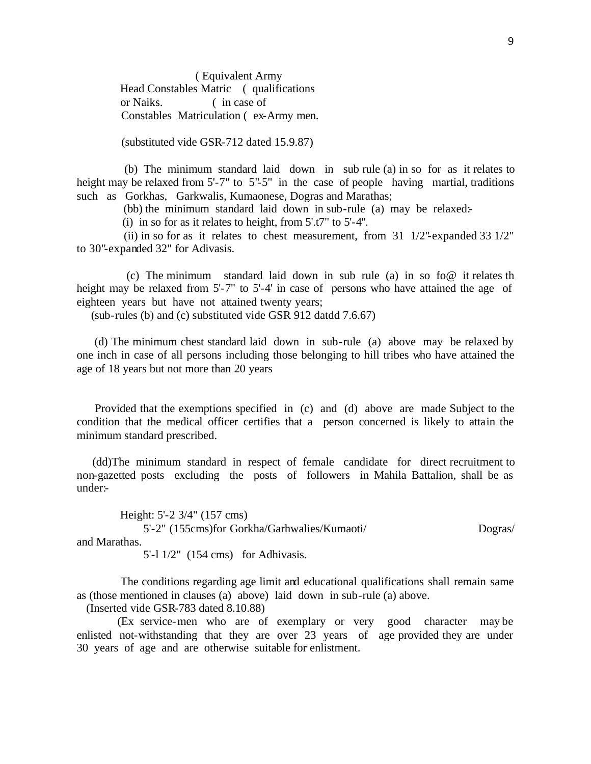( Equivalent Army Head Constables Matric ( qualifications or Naiks. ( in case of Constables Matriculation ( ex-Army men.

(substituted vide GSR-712 dated 15.9.87)

 (b) The minimum standard laid down in sub rule (a) in so for as it relates to height may be relaxed from 5'-7" to 5"-5" in the case of people having martial, traditions such as Gorkhas, Garkwalis, Kumaonese, Dogras and Marathas;

(bb) the minimum standard laid down in sub-rule (a) may be relaxed:-

(i) in so for as it relates to height, from 5'.t7" to 5'-4".

(ii) in so for as it relates to chest measurement, from  $31 \frac{1}{2}$ "-expanded  $33 \frac{1}{2}$ " to 30"-expanded 32" for Adivasis.

(c) The minimum standard laid down in sub rule (a) in so fo@ it relates the height may be relaxed from 5'-7" to 5'-4' in case of persons who have attained the age of eighteen years but have not attained twenty years;

(sub-rules (b) and (c) substituted vide GSR 912 datdd 7.6.67)

 (d) The minimum chest standard laid down in sub-rule (a) above may be relaxed by one inch in case of all persons including those belonging to hill tribes who have attained the age of 18 years but not more than 20 years

 Provided that the exemptions specified in (c) and (d) above are made Subject to the condition that the medical officer certifies that a person concerned is likely to attain the minimum standard prescribed.

 (dd)The minimum standard in respect of female candidate for direct recruitment to non-gazetted posts excluding the posts of followers in Mahila Battalion, shall be as under:-

 Height: 5'-2 3/4" (157 cms) 5'-2" (155cms)for Gorkha/Garhwalies/Kumaoti/ Dogras/ and Marathas.

5'-l 1/2" (154 cms) for Adhivasis.

 The conditions regarding age limit and educational qualifications shall remain same as (those mentioned in clauses (a) above) laid down in sub-rule (a) above.

(Inserted vide GSR-783 dated 8.10.88)

 (Ex service-men who are of exemplary or very good character may be enlisted not-withstanding that they are over 23 years of age provided they are under 30 years of age and are otherwise suitable for enlistment.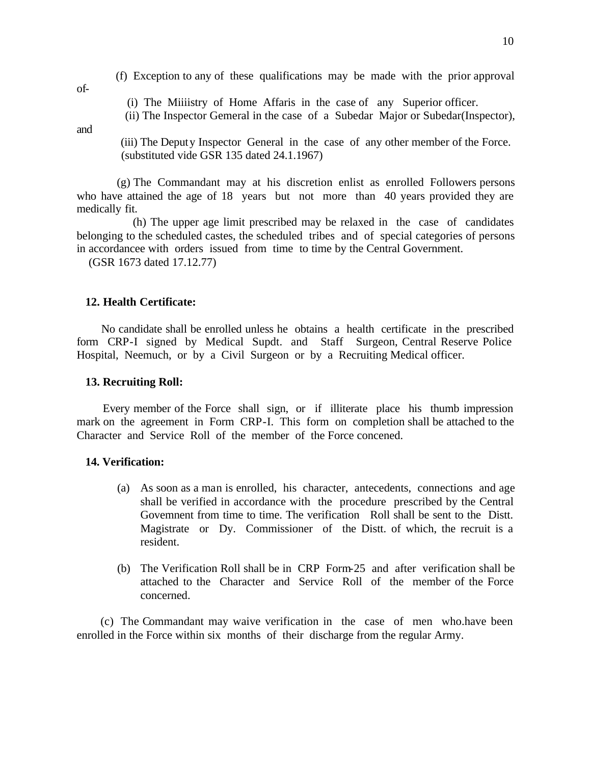(f) Exception to any of these qualifications may be made with the prior approval

(i) The Miiiistry of Home Affaris in the case of any Superior officer.

(ii) The Inspector Gemeral in the case of a Subedar Major or Subedar(Inspector),

and

of-

 (iii) The Deputy Inspector General in the case of any other member of the Force. (substituted vide GSR 135 dated 24.1.1967)

 (g) The Commandant may at his discretion enlist as enrolled Followers persons who have attained the age of 18 years but not more than 40 years provided they are medically fit.

 (h) The upper age limit prescribed may be relaxed in the case of candidates belonging to the scheduled castes, the scheduled tribes and of special categories of persons in accordancee with orders issued from time to time by the Central Government.

(GSR 1673 dated 17.12.77)

# **12. Health Certificate:**

 No candidate shall be enrolled unless he obtains a health certificate in the prescribed form CRP-I signed by Medical Supdt. and Staff Surgeon, Central Reserve Police Hospital, Neemuch, or by a Civil Surgeon or by a Recruiting Medical officer.

#### **13. Recruiting Roll:**

 Every member of the Force shall sign, or if illiterate place his thumb impression mark on the agreement in Form CRP-I. This form on completion shall be attached to the Character and Service Roll of the member of the Force concened.

#### **14. Verification:**

- (a) As soon as a man is enrolled, his character, antecedents, connections and age shall be verified in accordance with the procedure prescribed by the Central Govemnent from time to time. The verification Roll shall be sent to the Distt. Magistrate or Dy. Commissioner of the Distt. of which, the recruit is a resident.
- (b) The Verification Roll shall be in CRP Form-25 and after verification shall be attached to the Character and Service Roll of the member of the Force concerned.

 (c) The Commandant may waive verification in the case of men who.have been enrolled in the Force within six months of their discharge from the regular Army.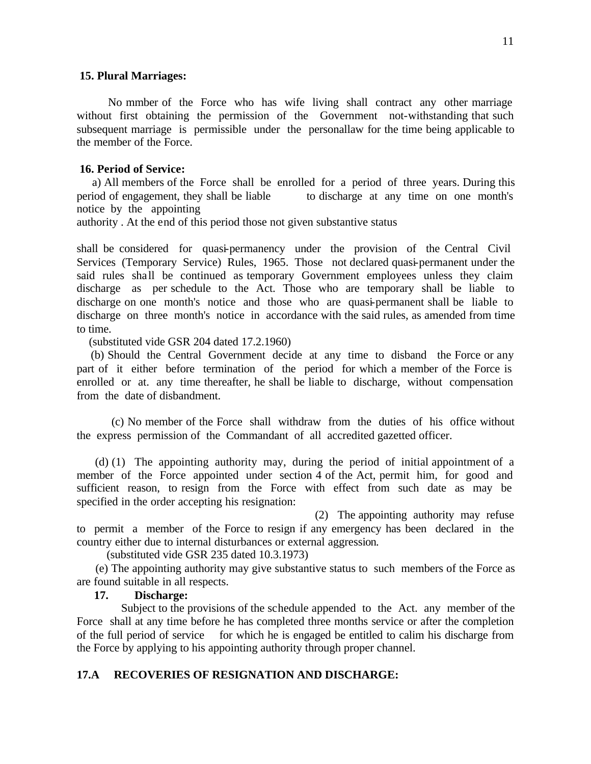#### **15. Plural Marriages:**

 No mmber of the Force who has wife living shall contract any other marriage without first obtaining the permission of the Government not-withstanding that such subsequent marriage is permissible under the personallaw for the time being applicable to the member of the Force.

#### **16. Period of Service:**

 a) All members of the Force shall be enrolled for a period of three years. During this period of engagement, they shall be liable to discharge at any time on one month's notice by the appointing

authority . At the end of this period those not given substantive status

shall be considered for quasi-permanency under the provision of the Central Civil Services (Temporary Service) Rules, 1965. Those not declared quasi-permanent under the said rules shall be continued as temporary Government employees unless they claim discharge as per schedule to the Act. Those who are temporary shall be liable to discharge on one month's notice and those who are quasi-permanent shall be liable to discharge on three month's notice in accordance with the said rules, as amended from time to time.

(substituted vide GSR 204 dated 17.2.1960)

 (b) Should the Central Government decide at any time to disband the Force or any part of it either before termination of the period for which a member of the Force is enrolled or at. any time thereafter, he shall be liable to discharge, without compensation from the date of disbandment.

(c) No member of the Force shall withdraw from the duties of his office without the express permission of the Commandant of all accredited gazetted officer.

 (d) (1) The appointing authority may, during the period of initial appointment of a member of the Force appointed under section 4 of the Act, permit him, for good and sufficient reason, to resign from the Force with effect from such date as may be specified in the order accepting his resignation:

 (2) The appointing authority may refuse to permit a member of the Force to resign if any emergency has been declared in the country either due to internal disturbances or external aggression.

(substituted vide GSR 235 dated 10.3.1973)

 (e) The appointing authority may give substantive status to such members of the Force as are found suitable in all respects.

### **17. Discharge:**

 Subject to the provisions of the schedule appended to the Act. any member of the Force shall at any time before he has completed three months service or after the completion of the full period of service for which he is engaged be entitled to calim his discharge from the Force by applying to his appointing authority through proper channel.

#### **17.A RECOVERIES OF RESIGNATION AND DISCHARGE:**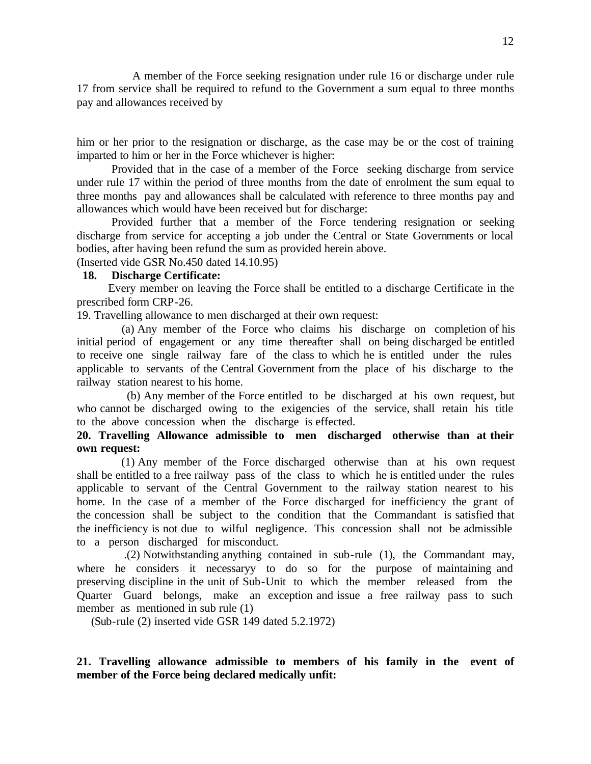A member of the Force seeking resignation under rule 16 or discharge under rule 17 from service shall be required to refund to the Government a sum equal to three months pay and allowances received by

him or her prior to the resignation or discharge, as the case may be or the cost of training imparted to him or her in the Force whichever is higher:

Provided that in the case of a member of the Force seeking discharge from service under rule 17 within the period of three months from the date of enrolment the sum equal to three months pay and allowances shall be calculated with reference to three months pay and allowances which would have been received but for discharge:

Provided further that a member of the Force tendering resignation or seeking discharge from service for accepting a job under the Central or State Governments or local bodies, after having been refund the sum as provided herein above.

(Inserted vide GSR No.450 dated 14.10.95)

### **18. Discharge Certificate:**

 Every member on leaving the Force shall be entitled to a discharge Certificate in the prescribed form CRP-26.

19. Travelling allowance to men discharged at their own request:

 (a) Any member of the Force who claims his discharge on completion of his initial period of engagement or any time thereafter shall on being discharged be entitled to receive one single railway fare of the class to which he is entitled under the rules applicable to servants of the Central Government from the place of his discharge to the railway station nearest to his home.

 (b) Any member of the Force entitled to be discharged at his own request, but who cannot be discharged owing to the exigencies of the service, shall retain his title to the above concession when the discharge is effected.

**20. Travelling Allowance admissible to men discharged otherwise than at their own request:**

 (1) Any member of the Force discharged otherwise than at his own request shall be entitled to a free railway pass of the class to which he is entitled under the rules applicable to servant of the Central Government to the railway station nearest to his home. In the case of a member of the Force discharged for inefficiency the grant of the concession shall be subject to the condition that the Commandant is satisfied that the inefficiency is not due to wilful negligence. This concession shall not be admissible to a person discharged for misconduct.

 .(2) Notwithstanding anything contained in sub-rule (1), the Commandant may, where he considers it necessaryy to do so for the purpose of maintaining and preserving discipline in the unit of Sub-Unit to which the member released from the Quarter Guard belongs, make an exception and issue a free railway pass to such member as mentioned in sub rule (1)

(Sub-rule (2) inserted vide GSR 149 dated 5.2.1972)

# **21. Travelling allowance admissible to members of his family in the event of member of the Force being declared medically unfit:**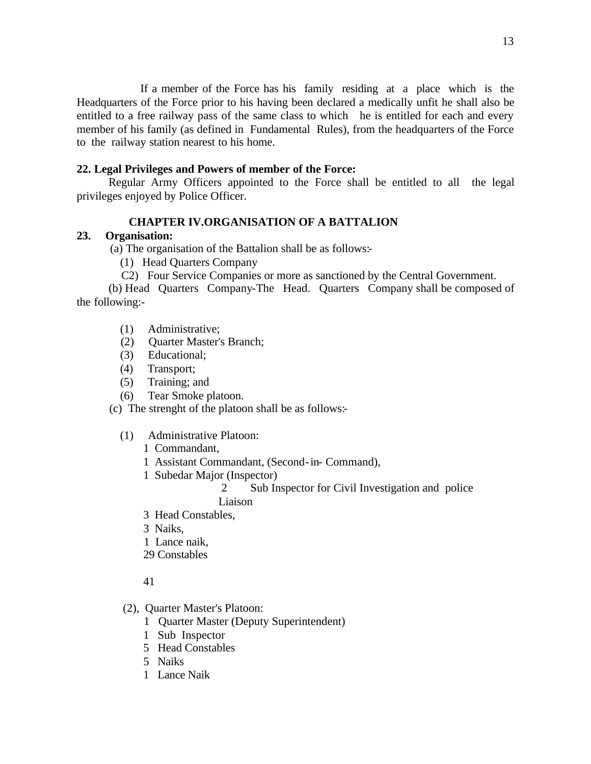If a member of the Force has his family residing at a place which is the Headquarters of the Force prior to his having been declared a medically unfit he shall also be entitled to a free railway pass of the same class to which he is entitled for each and every member of his family (as defined in Fundamental Rules), from the headquarters of the Force to the railway station nearest to his home.

# **22. Legal Privileges and Powers of member of the Force:**

 Regular Army Officers appointed to the Force shall be entitled to all the legal privileges enjoyed by Police Officer.

### **CHAPTER IV.ORGANISATION OF A BATTALION**

### **23. Organisation:**

(a) The organisation of the Battalion shall be as follows:-

- (1) Head Quarters Company
- C2) Four Service Companies or more as sanctioned by the Central Government.

 (b) Head Quarters Company-The Head. Quarters Company shall be composed of the following:-

- (1) Administrative;
- (2) Quarter Master's Branch;
- (3) Educational;
- (4) Transport;
- (5) Training; and
- (6) Tear Smoke platoon.

(c) The strenght of the platoon shall be as follows:-

(1) Administrative Platoon:

1 Commandant,

- 1 Assistant Commandant, (Second-in- Command),
- 1 Subedar Major (Inspector)
	- 2 Sub Inspector for Civil Investigation and police Liaison
- 3 Head Constables,
- 3 Naiks,
- 1 Lance naik,
- 29 Constables

#### 41

- (2), Quarter Master's Platoon:
	- 1 Quarter Master (Deputy Superintendent)
	- 1 Sub Inspector
	- 5 Head Constables
	- 5 Naiks
	- 1 Lance Naik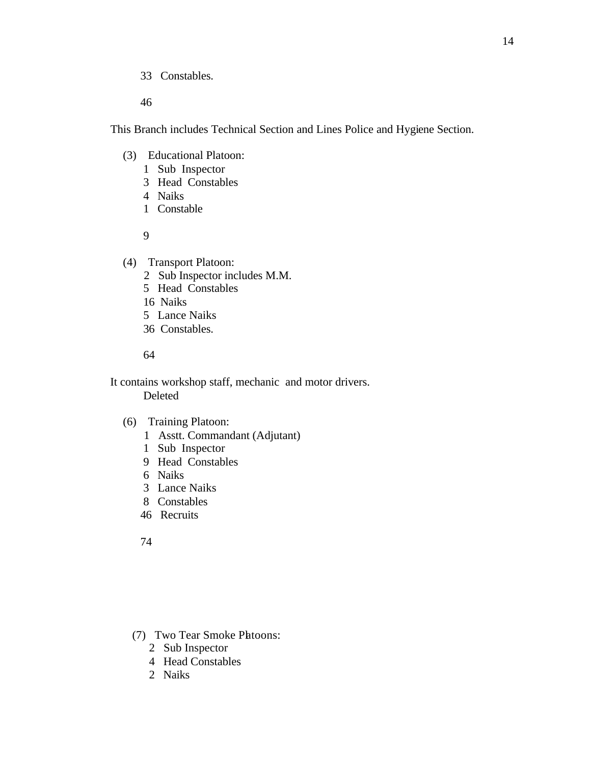33 Constables.

46

This Branch includes Technical Section and Lines Police and Hygiene Section.

- (3) Educational Platoon:
	- 1 Sub Inspector
	- 3 Head Constables
	- 4 Naiks
	- 1 Constable

9

(4) Transport Platoon:

- 2 Sub Inspector includes M.M.
- 5 Head Constables
- 16 Naiks
- 5 Lance Naiks
- 36 Constables.

64

 It contains workshop staff, mechanic and motor drivers. Deleted

# (6) Training Platoon:

- 1 Asstt. Commandant (Adjutant)
- 1 Sub Inspector
- 9 Head Constables
- 6 Naiks
- 3 Lance Naiks
- 8 Constables
- 46 Recruits

74

- (7) Two Tear Smoke Platoons:
	- 2 Sub Inspector
	- 4 Head Constables
	- 2 Naiks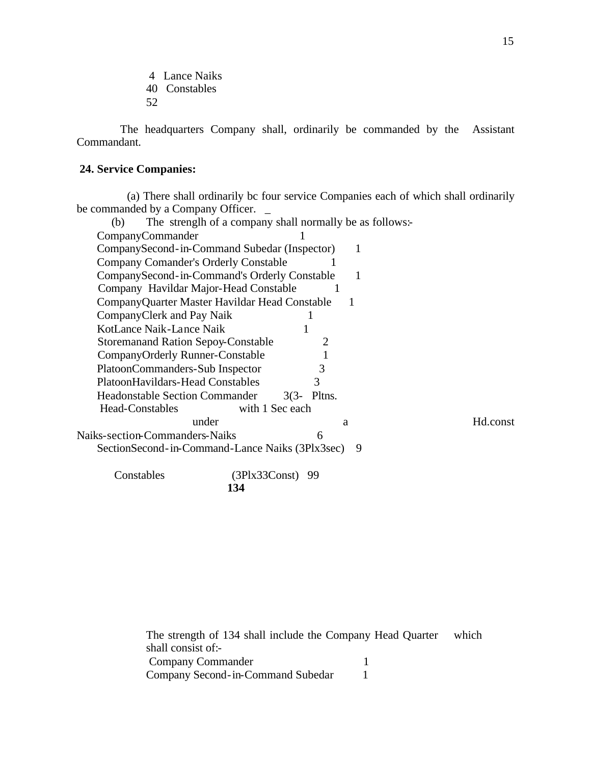- 4 Lance Naiks
- 40 Constables
- 52

 The headquarters Company shall, ordinarily be commanded by the Assistant Commandant.

# **24. Service Companies:**

 (a) There shall ordinarily bc four service Companies each of which shall ordinarily be commanded by a Company Officer. \_

| (b)                                             | The strength of a company shall normally be as follows: |          |
|-------------------------------------------------|---------------------------------------------------------|----------|
| CompanyCommander                                |                                                         |          |
| CompanySecond-in-Command Subedar (Inspector)    | 1                                                       |          |
| <b>Company Comander's Orderly Constable</b>     |                                                         |          |
| CompanySecond-in-Command's Orderly Constable    | 1                                                       |          |
| Company Havildar Major-Head Constable           |                                                         |          |
| CompanyQuarter Master Havildar Head Constable   |                                                         |          |
| CompanyClerk and Pay Naik                       |                                                         |          |
| KotLance Naik-Lance Naik                        |                                                         |          |
| <b>Storemanand Ration Sepoy-Constable</b>       |                                                         |          |
| CompanyOrderly Runner-Constable                 |                                                         |          |
| PlatoonCommanders-Sub Inspector                 | 3                                                       |          |
| PlatoonHavildars-Head Constables                | 3                                                       |          |
| <b>Headonstable Section Commander</b>           | $3(3 - 9)$ Pltns.                                       |          |
| <b>Head-Constables</b>                          | with 1 Sec each                                         |          |
| under                                           | a                                                       | Hd.const |
| <b>Naiks-section-Commanders-Naiks</b>           | 6                                                       |          |
| SectionSecond-in-Command-Lance Naiks (3Plx3sec) | 9                                                       |          |
| Constables                                      | $(3Plx33Const)$ 99                                      |          |
|                                                 | 134                                                     |          |

| The strength of 134 shall include the Company Head Quarter | which |
|------------------------------------------------------------|-------|
| shall consist of:-                                         |       |
| Company Commander                                          |       |
| Company Second-in-Command Subedar                          |       |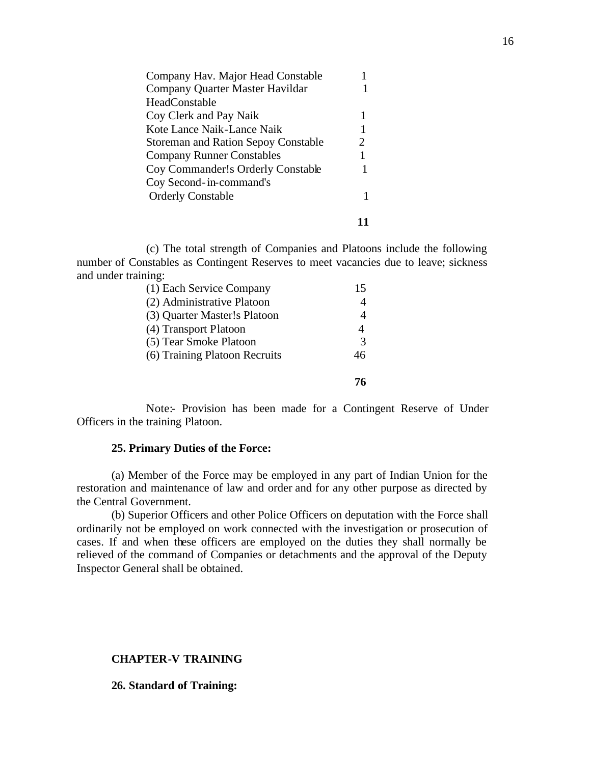| Company Hav. Major Head Constable          |   |
|--------------------------------------------|---|
| Company Quarter Master Havildar            |   |
| <b>HeadConstable</b>                       |   |
| Coy Clerk and Pay Naik                     |   |
| Kote Lance Naik-Lance Naik                 |   |
| <b>Storeman and Ration Sepoy Constable</b> | 2 |
| <b>Company Runner Constables</b>           |   |
| Coy Commander!s Orderly Constable          |   |
| Coy Second-in-command's                    |   |
| <b>Orderly Constable</b>                   |   |
|                                            |   |

(c) The total strength of Companies and Platoons include the following number of Constables as Contingent Reserves to meet vacancies due to leave; sickness and under training:

| (1) Each Service Company      |    |
|-------------------------------|----|
| (2) Administrative Platoon    |    |
| (3) Quarter Master!s Platoon  |    |
| (4) Transport Platoon         |    |
| (5) Tear Smoke Platoon        | 3  |
| (6) Training Platoon Recruits | 46 |
|                               |    |

Note:- Provision has been made for a Contingent Reserve of Under Officers in the training Platoon.

### **25. Primary Duties of the Force:**

(a) Member of the Force may be employed in any part of Indian Union for the restoration and maintenance of law and order and for any other purpose as directed by the Central Government.

(b) Superior Officers and other Police Officers on deputation with the Force shall ordinarily not be employed on work connected with the investigation or prosecution of cases. If and when these officers are employed on the duties they shall normally be relieved of the command of Companies or detachments and the approval of the Deputy Inspector General shall be obtained.

# **CHAPTER-V TRAINING**

#### **26. Standard of Training:**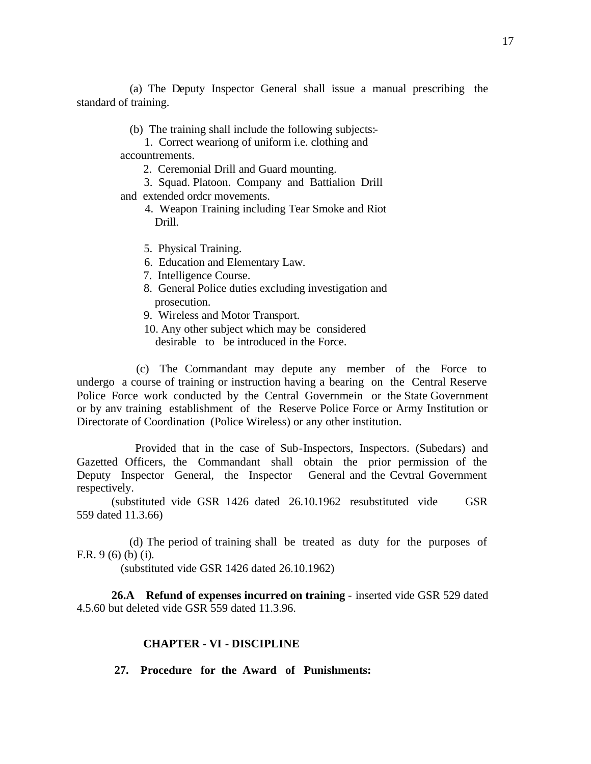(a) The Deputy Inspector General shall issue a manual prescribing the standard of training.

- (b) The training shall include the following subjects:-
- 1. Correct weariong of uniform i.e. clothing and accountrements.
	- 2. Ceremonial Drill and Guard mounting.
	- 3. Squad. Platoon. Company and Battialion Drill
- and extended ordcr movements.
	- 4. Weapon Training including Tear Smoke and Riot Drill.
	- 5. Physical Training.
	- 6. Education and Elementary Law.
	- 7. Intelligence Course.
	- 8. General Police duties excluding investigation and prosecution.
	- 9. Wireless and Motor Transport.
	- 10. Any other subject which may be considered desirable to be introduced in the Force.

 (c) The Commandant may depute any member of the Force to undergo a course of training or instruction having a bearing on the Central Reserve Police Force work conducted by the Central Governmein or the State Government or by anv training establishment of the Reserve Police Force or Army Institution or Directorate of Coordination (Police Wireless) or any other institution.

 Provided that in the case of Sub-Inspectors, Inspectors. (Subedars) and Gazetted Officers, the Commandant shall obtain the prior permission of the Deputy Inspector General, the Inspector General and the Cevtral Government respectively.

(substituted vide GSR 1426 dated 26.10.1962 resubstituted vide GSR 559 dated 11.3.66)

 (d) The period of training shall be treated as duty for the purposes of F.R. 9 (6) (b) (i).

(substituted vide GSR 1426 dated 26.10.1962)

**26.A Refund of expenses incurred on training** - inserted vide GSR 529 dated 4.5.60 but deleted vide GSR 559 dated 11.3.96.

#### **CHAPTER - VI - DISCIPLINE**

 **27. Procedure for the Award of Punishments:**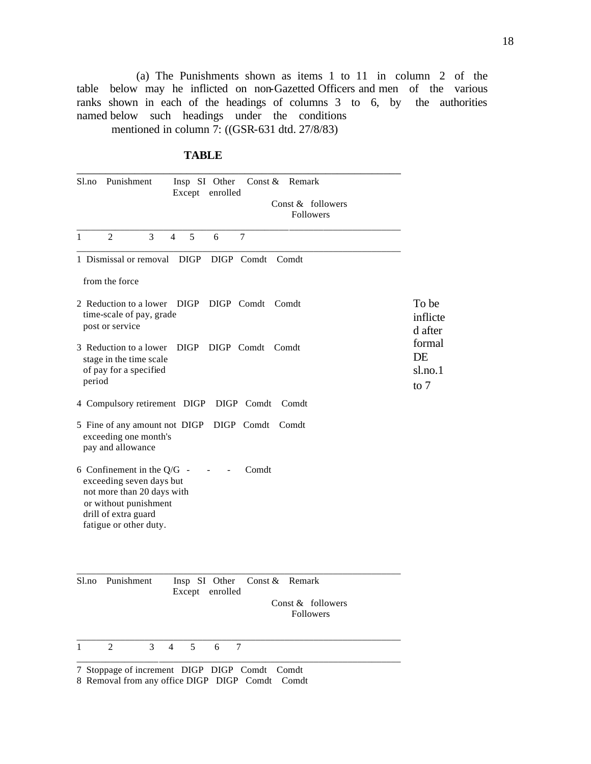(a) The Punishments shown as items 1 to 11 in column 2 of the table below may he inflicted on non-Gazetted Officers and men of the various ranks shown in each of the headings of columns 3 to 6, by the authorities named below such headings under the conditions mentioned in column 7: ((GSR-631 dtd. 27/8/83)

### **TABLE**

| $\mathbf{1}$<br>$\overline{2}$<br>3<br>4<br>5<br>7<br>6<br>1 Dismissal or removal<br><b>DIGP</b><br>DIGP Comdt<br>Comdt<br>from the force                                  |                              |
|----------------------------------------------------------------------------------------------------------------------------------------------------------------------------|------------------------------|
|                                                                                                                                                                            |                              |
|                                                                                                                                                                            |                              |
|                                                                                                                                                                            |                              |
| 2 Reduction to a lower DIGP DIGP Comdt Comdt<br>time-scale of pay, grade<br>post or service                                                                                | To be<br>inflicte<br>d after |
| 3 Reduction to a lower<br>DIGP DIGP Comdt Comdt<br>DE<br>stage in the time scale<br>of pay for a specified<br>period<br>to $7$                                             | formal<br>$s$ l.no.1         |
| 4 Compulsory retirement DIGP DIGP Comdt<br>Comdt                                                                                                                           |                              |
| 5 Fine of any amount not DIGP<br>DIGP Comdt Comdt<br>exceeding one month's<br>pay and allowance                                                                            |                              |
| 6 Confinement in the $Q/G$ -<br>Comdt<br>exceeding seven days but<br>not more than 20 days with<br>or without punishment<br>drill of extra guard<br>fatigue or other duty. |                              |
| Punishment<br>$S1$ .no<br>Insp SI Other<br>Const $\&$<br>Remark<br>enrolled<br>Except<br>Const & followers<br>Followers                                                    |                              |
| $\mathfrak{2}$<br>3<br>$\boldsymbol{7}$<br>$\mathbf{1}$<br>$\overline{4}$<br>5<br>6                                                                                        |                              |

8 Removal from any office DIGP DIGP Comdt Comdt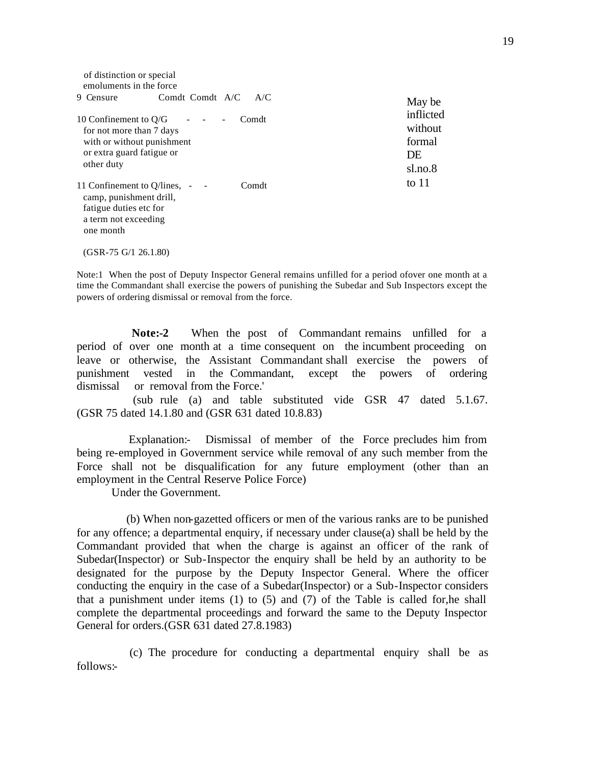| of distinction or special<br>emoluments in the force                                                                         |                 |       |
|------------------------------------------------------------------------------------------------------------------------------|-----------------|-------|
| 9 Censure                                                                                                                    | Comdt Comdt A/C | A/C   |
| 10 Confinement to $Q/G$<br>for not more than 7 days<br>with or without punishment<br>or extra guard fatigue or<br>other duty |                 | Comdt |
| 11 Confinement to Q/lines,<br>camp, punishment drill,<br>fatigue duties etc for<br>a term not exceeding<br>one month         |                 | Comdt |
| $(GSR-75 G/1 26.1.80)$                                                                                                       |                 |       |

Note:1 When the post of Deputy Inspector General remains unfilled for a period ofover one month at a time the Commandant shall exercise the powers of punishing the Subedar and Sub Inspectors except the powers of ordering dismissal or removal from the force.

 **Note:-2** When the post of Commandant remains unfilled for a period of over one month at a time consequent on the incumbent proceeding on leave or otherwise, the Assistant Commandant shall exercise the powers of punishment vested in the Commandant, except the powers of ordering dismissal or removal from the Force.'

 (sub rule (a) and table substituted vide GSR 47 dated 5.1.67. (GSR 75 dated 14.1.80 and (GSR 631 dated 10.8.83)

 Explanation:- Dismissal of member of the Force precludes him from being re-employed in Government service while removal of any such member from the Force shall not be disqualification for any future employment (other than an employment in the Central Reserve Police Force)

Under the Government.

 (b) When non-gazetted officers or men of the various ranks are to be punished for any offence; a departmental enquiry, if necessary under clause(a) shall be held by the Commandant provided that when the charge is against an officer of the rank of Subedar(Inspector) or Sub-Inspector the enquiry shall be held by an authority to be designated for the purpose by the Deputy Inspector General. Where the officer conducting the enquiry in the case of a Subedar(Inspector) or a Sub-Inspector considers that a punishment under items (1) to (5) and (7) of the Table is called for,he shall complete the departmental proceedings and forward the same to the Deputy Inspector General for orders.(GSR 631 dated 27.8.1983)

 (c) The procedure for conducting a departmental enquiry shall be as follows:-

May be inflicted without formal DE sl.no.8 to 11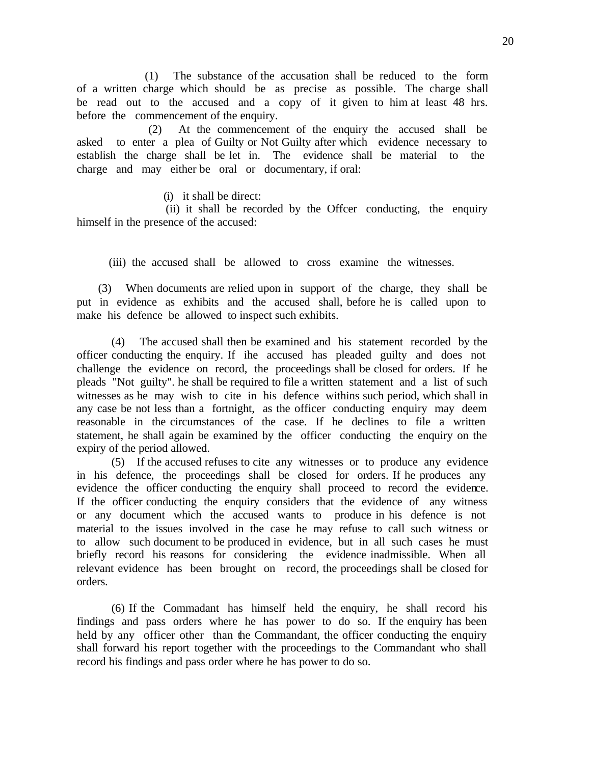(1) The substance of the accusation shall be reduced to the form of a written charge which should be as precise as possible. The charge shall be read out to the accused and a copy of it given to him at least 48 hrs. before the commencement of the enquiry.

 (2) At the commencement of the enquiry the accused shall be asked to enter a plea of Guilty or Not Guilty after which evidence necessary to establish the charge shall be let in. The evidence shall be material to the charge and may either be oral or documentary, if oral:

(i) it shall be direct:

 (ii) it shall be recorded by the Offcer conducting, the enquiry himself in the presence of the accused:

(iii) the accused shall be allowed to cross examine the witnesses.

 (3) When documents are relied upon in support of the charge, they shall be put in evidence as exhibits and the accused shall, before he is called upon to make his defence be allowed to inspect such exhibits.

(4) The accused shall then be examined and his statement recorded by the officer conducting the enquiry. If ihe accused has pleaded guilty and does not challenge the evidence on record, the proceedings shall be closed for orders. If he pleads "Not guilty". he shall be required to file a written statement and a list of such witnesses as he may wish to cite in his defence withins such period, which shall in any case be not less than a fortnight, as the officer conducting enquiry may deem reasonable in the circumstances of the case. If he declines to file a written statement, he shall again be examined by the officer conducting the enquiry on the expiry of the period allowed.

(5) If the accused refuses to cite any witnesses or to produce any evidence in his defence, the proceedings shall be closed for orders. If he produces any evidence the officer conducting the enquiry shall proceed to record the evidence. If the officer conducting the enquiry considers that the evidence of any witness or any document which the accused wants to produce in his defence is not material to the issues involved in the case he may refuse to call such witness or to allow such document to be produced in evidence, but in all such cases he must briefly record his reasons for considering the evidence inadmissible. When all relevant evidence has been brought on record, the proceedings shall be closed for orders.

(6) If the Commadant has himself held the enquiry, he shall record his findings and pass orders where he has power to do so. If the enquiry has been held by any officer other than the Commandant, the officer conducting the enquiry shall forward his report together with the proceedings to the Commandant who shall record his findings and pass order where he has power to do so.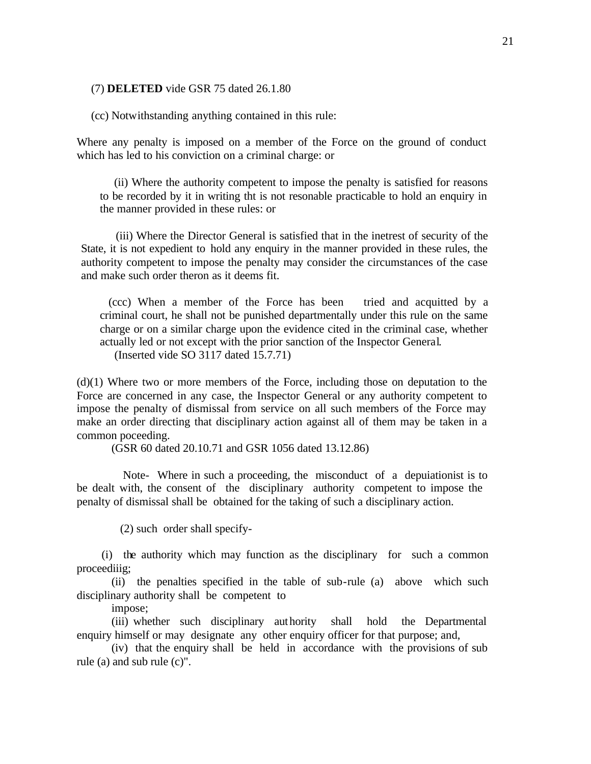#### (7) **DELETED** vide GSR 75 dated 26.1.80

(cc) Notwithstanding anything contained in this rule:

Where any penalty is imposed on a member of the Force on the ground of conduct which has led to his conviction on a criminal charge: or

 (ii) Where the authority competent to impose the penalty is satisfied for reasons to be recorded by it in writing tht is not resonable practicable to hold an enquiry in the manner provided in these rules: or

(iii) Where the Director General is satisfied that in the inetrest of security of the State, it is not expedient to hold any enquiry in the manner provided in these rules, the authority competent to impose the penalty may consider the circumstances of the case and make such order theron as it deems fit.

 (ccc) When a member of the Force has been tried and acquitted by a criminal court, he shall not be punished departmentally under this rule on the same charge or on a similar charge upon the evidence cited in the criminal case, whether actually led or not except with the prior sanction of the Inspector General. (Inserted vide SO 3117 dated 15.7.71)

(d)(1) Where two or more members of the Force, including those on deputation to the Force are concerned in any case, the Inspector General or any authority competent to impose the penalty of dismissal from service on all such members of the Force may make an order directing that disciplinary action against all of them may be taken in a common poceeding.

(GSR 60 dated 20.10.71 and GSR 1056 dated 13.12.86)

 Note- Where in such a proceeding, the misconduct of a depuiationist is to be dealt with, the consent of the disciplinary authority competent to impose the penalty of dismissal shall be obtained for the taking of such a disciplinary action.

(2) such order shall specify-

 (i) the authority which may function as the disciplinary for such a common proceediiig;

(ii) the penalties specified in the table of sub-rule (a) above which such disciplinary authority shall be competent to

impose;

(iii) whether such disciplinary authority shall hold the Departmental enquiry himself or may designate any other enquiry officer for that purpose; and,

(iv) that the enquiry shall be held in accordance with the provisions of sub rule (a) and sub rule (c)".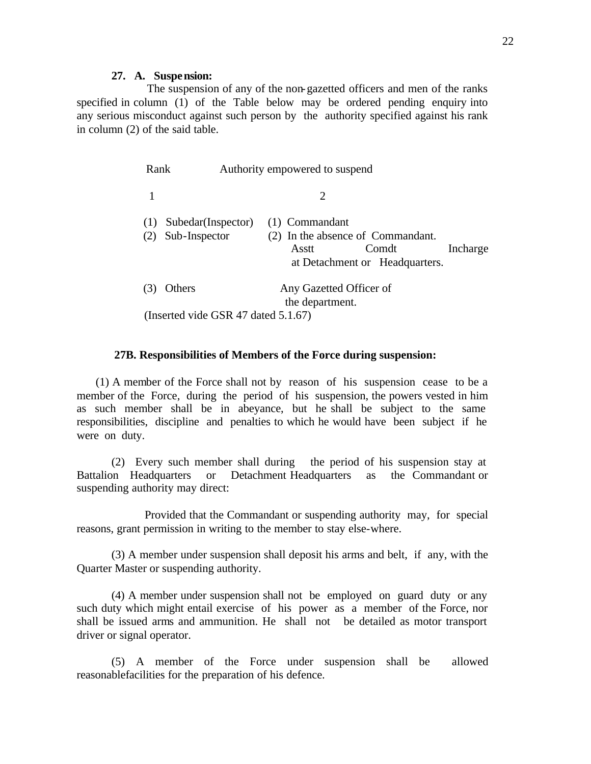### **27. A. Suspension:**

 The suspension of any of the non-gazetted officers and men of the ranks specified in column (1) of the Table below may be ordered pending enquiry into any serious misconduct against such person by the authority specified against his rank in column (2) of the said table.

| Rank       |                                     | Authority empowered to suspend                                                                                      |
|------------|-------------------------------------|---------------------------------------------------------------------------------------------------------------------|
|            |                                     | 2                                                                                                                   |
| (1)<br>(2) | Subedar(Inspector)<br>Sub-Inspector | (1) Commandant<br>(2) In the absence of Commandant.<br>Comdt<br>Incharge<br>Asstt<br>at Detachment or Headquarters. |
| 3          | Others                              | Any Gazetted Officer of<br>the department.                                                                          |
|            | (Inserted vide GSR 47 dated 5.1.67) |                                                                                                                     |

### **27B. Responsibilities of Members of the Force during suspension:**

 (1) A member of the Force shall not by reason of his suspension cease to be a member of the Force, during the period of his suspension, the powers vested in him as such member shall be in abeyance, but he shall be subject to the same responsibilities, discipline and penalties to which he would have been subject if he were on duty.

(2) Every such member shall during the period of his suspension stay at Battalion Headquarters or Detachment Headquarters as the Commandant or suspending authority may direct:

 Provided that the Commandant or suspending authority may, for special reasons, grant permission in writing to the member to stay else-where.

(3) A member under suspension shall deposit his arms and belt, if any, with the Quarter Master or suspending authority.

(4) A member under suspension shall not be employed on guard duty or any such duty which might entail exercise of his power as a member of the Force, nor shall be issued arms and ammunition. He shall not be detailed as motor transport driver or signal operator.

(5) A member of the Force under suspension shall be allowed reasonablefacilities for the preparation of his defence.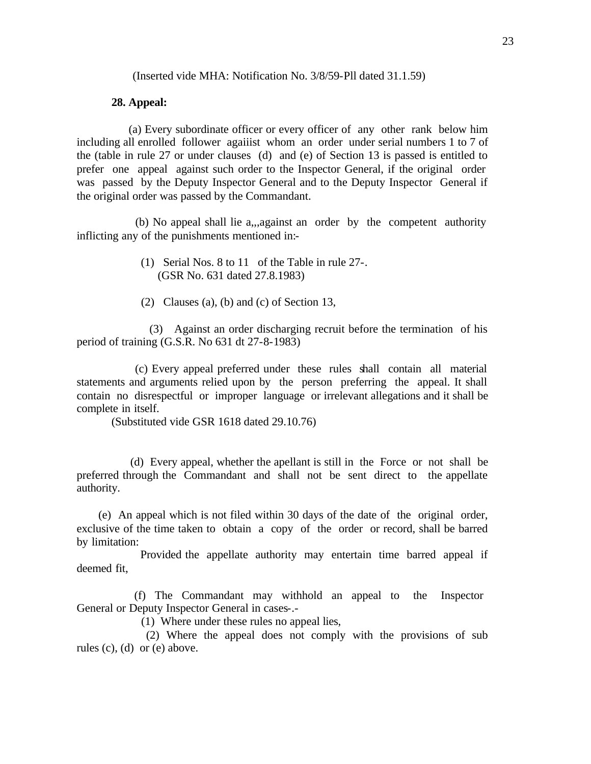(Inserted vide MHA: Notification No. 3/8/59-Pll dated 31.1.59)

### **28. Appeal:**

 (a) Every subordinate officer or every officer of any other rank below him including all enrolled follower agaiiist whom an order under serial numbers 1 to 7 of the (table in rule 27 or under clauses (d) and (e) of Section 13 is passed is entitled to prefer one appeal against such order to the Inspector General, if the original order was passed by the Deputy Inspector General and to the Deputy Inspector General if the original order was passed by the Commandant.

 (b) No appeal shall lie a,,,against an order by the competent authority inflicting any of the punishments mentioned in:-

- (1) Serial Nos. 8 to 11 of the Table in rule 27-. (GSR No. 631 dated 27.8.1983)
- (2) Clauses (a), (b) and (c) of Section 13,

 (3) Against an order discharging recruit before the termination of his period of training (G.S.R. No 631 dt 27-8-1983)

 (c) Every appeal preferred under these rules shall contain all material statements and arguments relied upon by the person preferring the appeal. It shall contain no disrespectful or improper language or irrelevant allegations and it shall be complete in itself.

(Substituted vide GSR 1618 dated 29.10.76)

 (d) Every appeal, whether the apellant is still in the Force or not shall be preferred through the Commandant and shall not be sent direct to the appellate authority.

 (e) An appeal which is not filed within 30 days of the date of the original order, exclusive of the time taken to obtain a copy of the order or record, shall be barred by limitation:

 Provided the appellate authority may entertain time barred appeal if deemed fit,

 (f) The Commandant may withhold an appeal to the Inspector General or Deputy Inspector General in cases-.-

(1) Where under these rules no appeal lies,

 (2) Where the appeal does not comply with the provisions of sub rules (c), (d) or (e) above.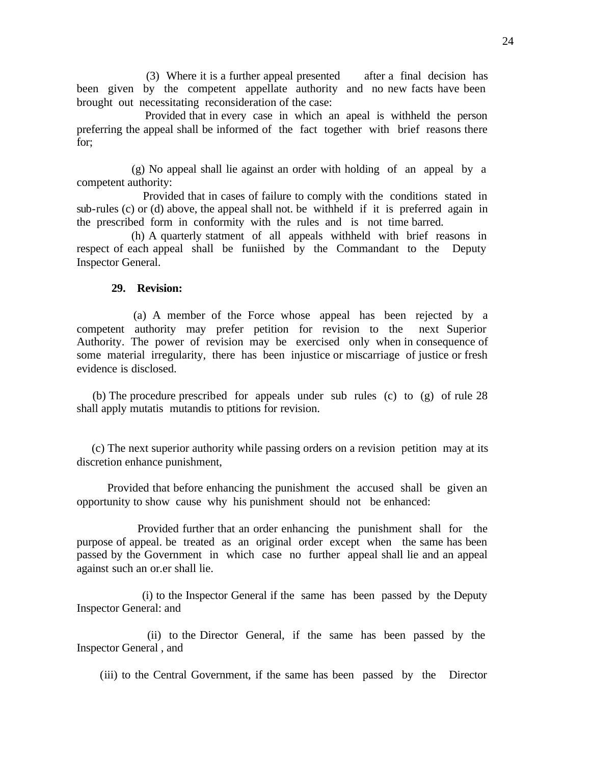(3) Where it is a further appeal presented after a final decision has been given by the competent appellate authority and no new facts have been brought out necessitating reconsideration of the case:

 Provided that in every case in which an apeal is withheld the person preferring the appeal shall be informed of the fact together with brief reasons there for;

 (g) No appeal shall lie against an order with holding of an appeal by a competent authority:

 Provided that in cases of failure to comply with the conditions stated in sub-rules (c) or (d) above, the appeal shall not. be withheld if it is preferred again in the prescribed form in conformity with the rules and is not time barred.

 (h) A quarterly statment of all appeals withheld with brief reasons in respect of each appeal shall be funiished by the Commandant to the Deputy Inspector General.

#### **29. Revision:**

 (a) A member of the Force whose appeal has been rejected by a competent authority may prefer petition for revision to the next Superior Authority. The power of revision may be exercised only when in consequence of some material irregularity, there has been injustice or miscarriage of justice or fresh evidence is disclosed.

 (b) The procedure prescribed for appeals under sub rules (c) to (g) of rule 28 shall apply mutatis mutandis to ptitions for revision.

 (c) The next superior authority while passing orders on a revision petition may at its discretion enhance punishment,

 Provided that before enhancing the punishment the accused shall be given an opportunity to show cause why his punishment should not be enhanced:

 Provided further that an order enhancing the punishment shall for the purpose of appeal. be treated as an original order except when the same has been passed by the Government in which case no further appeal shall lie and an appeal against such an or.er shall lie.

 (i) to the Inspector General if the same has been passed by the Deputy Inspector General: and

 (ii) to the Director General, if the same has been passed by the Inspector General , and

(iii) to the Central Government, if the same has been passed by the Director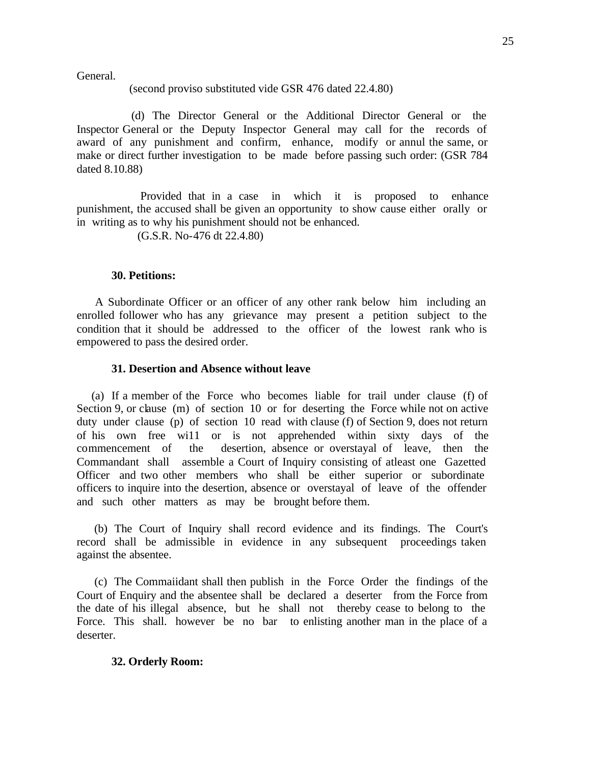General.

#### (second proviso substituted vide GSR 476 dated 22.4.80)

 (d) The Director General or the Additional Director General or the Inspector General or the Deputy Inspector General may call for the records of award of any punishment and confirm, enhance, modify or annul the same, or make or direct further investigation to be made before passing such order: (GSR 784 dated 8.10.88)

 Provided that in a case in which it is proposed to enhance punishment, the accused shall be given an opportunity to show cause either orally or in writing as to why his punishment should not be enhanced.

(G.S.R. No-476 dt 22.4.80)

#### **30. Petitions:**

 A Subordinate Officer or an officer of any other rank below him including an enrolled follower who has any grievance may present a petition subject to the condition that it should be addressed to the officer of the lowest rank who is empowered to pass the desired order.

#### **31. Desertion and Absence without leave**

 (a) If a member of the Force who becomes liable for trail under clause (f) of Section 9, or clause (m) of section 10 or for deserting the Force while not on active duty under clause (p) of section 10 read with clause (f) of Section 9, does not return of his own free wi11 or is not apprehended within sixty days of the commencement of the desertion, absence or overstayal of leave, then the Commandant shall assemble a Court of Inquiry consisting of atleast one Gazetted Officer and two other members who shall be either superior or subordinate officers to inquire into the desertion, absence or overstayal of leave of the offender and such other matters as may be brought before them.

 (b) The Court of Inquiry shall record evidence and its findings. The Court's record shall be admissible in evidence in any subsequent proceedings taken against the absentee.

 (c) The Commaiidant shall then publish in the Force Order the findings of the Court of Enquiry and the absentee shall be declared a deserter from the Force from the date of his illegal absence, but he shall not thereby cease to belong to the Force. This shall. however be no bar to enlisting another man in the place of a deserter.

#### **32. Orderly Room:**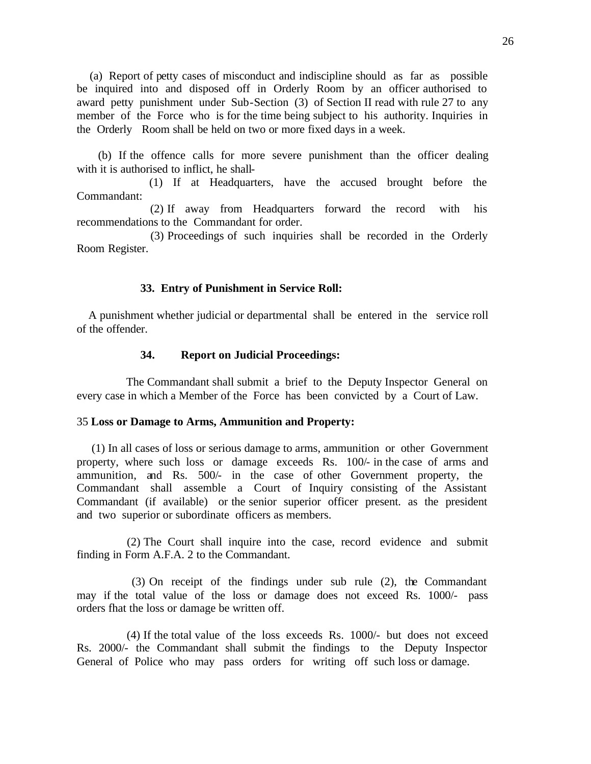(a) Report of petty cases of misconduct and indiscipline should as far as possible be inquired into and disposed off in Orderly Room by an officer authorised to award petty punishment under Sub-Section (3) of Section II read with rule 27 to any member of the Force who is for the time being subject to his authority. Inquiries in the Orderly Room shall be held on two or more fixed days in a week.

 (b) If the offence calls for more severe punishment than the officer dealing with it is authorised to inflict, he shall-

 (1) If at Headquarters, have the accused brought before the Commandant:

 (2) If away from Headquarters forward the record with his recommendations to the Commandant for order.

 (3) Proceedings of such inquiries shall be recorded in the Orderly Room Register.

#### **33. Entry of Punishment in Service Roll:**

 A punishment whether judicial or departmental shall be entered in the service roll of the offender.

#### **34. Report on Judicial Proceedings:**

 The Commandant shall submit a brief to the Deputy Inspector General on every case in which a Member of the Force has been convicted by a Court of Law.

### 35 **Loss or Damage to Arms, Ammunition and Property:**

 (1) In all cases of loss or serious damage to arms, ammunition or other Government property, where such loss or damage exceeds Rs. 100/- in the case of arms and ammunition, and Rs. 500/- in the case of other Government property, the Commandant shall assemble a Court of Inquiry consisting of the Assistant Commandant (if available) or the senior superior officer present. as the president and two superior or subordinate officers as members.

 (2) The Court shall inquire into the case, record evidence and submit finding in Form A.F.A. 2 to the Commandant.

 (3) On receipt of the findings under sub rule (2), the Commandant may if the total value of the loss or damage does not exceed Rs. 1000/- pass orders fhat the loss or damage be written off.

 (4) If the total value of the loss exceeds Rs. 1000/- but does not exceed Rs. 2000/- the Commandant shall submit the findings to the Deputy Inspector General of Police who may pass orders for writing off such loss or damage.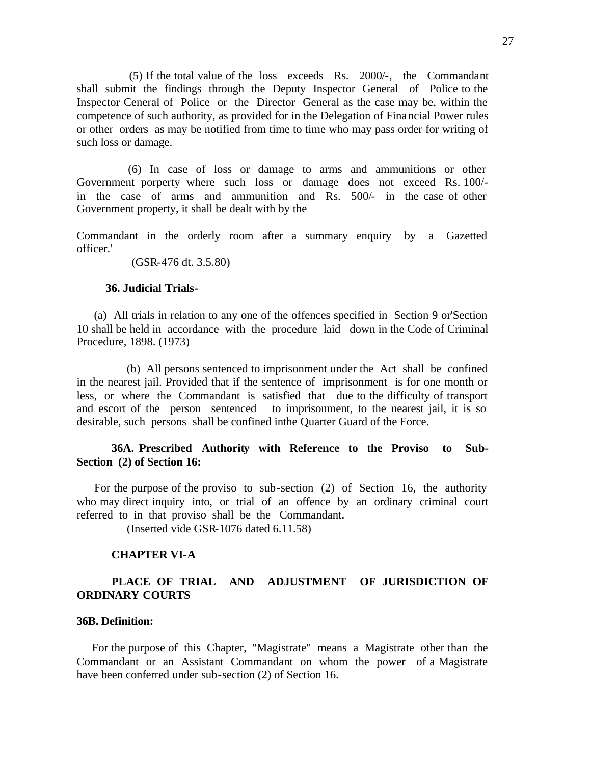(5) If the total value of the loss exceeds Rs. 2000/-, the Commandant shall submit the findings through the Deputy Inspector General of Police to the Inspector Ceneral of Police or the Director General as the case may be, within the competence of such authority, as provided for in the Delegation of Financial Power rules or other orders as may be notified from time to time who may pass order for writing of such loss or damage.

 (6) In case of loss or damage to arms and ammunitions or other Government porperty where such loss or damage does not exceed Rs. 100/ in the case of arms and ammunition and Rs. 500/- in the case of other Government property, it shall be dealt with by the

Commandant in the orderly room after a summary enquiry by a Gazetted officer.'

(GSR-476 dt. 3.5.80)

#### **36. Judicial Trials-**

 (a) All trials in relation to any one of the offences specified in Section 9 or'Section 10 shall be held in accordance with the procedure laid down in the Code of Criminal Procedure, 1898. (1973)

 (b) All persons sentenced to imprisonment under the Act shall be confined in the nearest jail. Provided that if the sentence of imprisonment is for one month or less, or where the Commandant is satisfied that due to the difficulty of transport and escort of the person sentenced to imprisonment, to the nearest jail, it is so desirable, such persons shall be confined inthe Quarter Guard of the Force.

# **36A. Prescribed Authority with Reference to the Proviso to Sub-Section (2) of Section 16:**

 For the purpose of the proviso to sub-section (2) of Section 16, the authority who may direct inquiry into, or trial of an offence by an ordinary criminal court referred to in that proviso shall be the Commandant.

(Inserted vide GSR-1076 dated 6.11.58)

### **CHAPTER VI-A**

# **PLACE OF TRIAL AND ADJUSTMENT OF JURISDICTION OF ORDINARY COURTS**

### **36B. Definition:**

 For the purpose of this Chapter, "Magistrate" means a Magistrate other than the Commandant or an Assistant Commandant on whom the power of a Magistrate have been conferred under sub-section (2) of Section 16.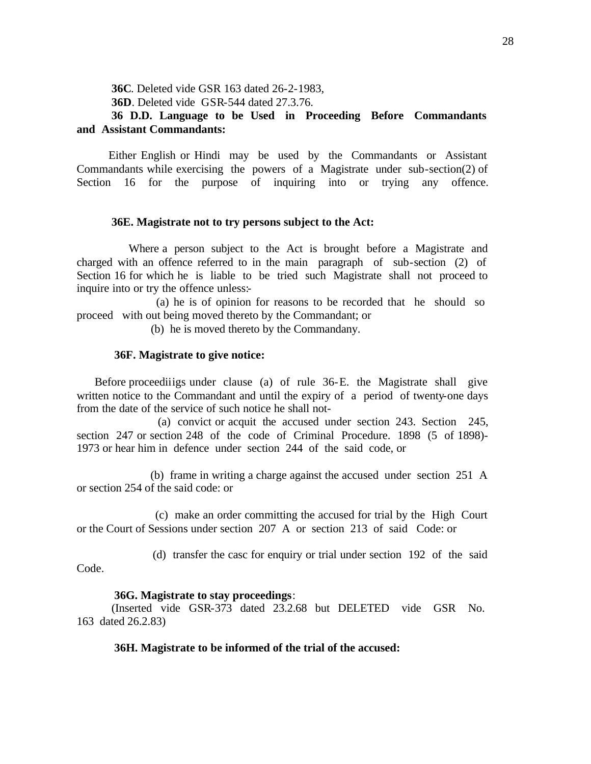**36C**. Deleted vide GSR 163 dated 26-2-1983, **36D**. Deleted vide GSR-544 dated 27.3.76.

# **36 D.D. Language to be Used in Proceeding Before Commandants and Assistant Commandants:**

 Either English or Hindi may be used by the Commandants or Assistant Commandants while exercising the powers of a Magistrate under sub-section(2) of Section 16 for the purpose of inquiring into or trying any offence.

#### **36E. Magistrate not to try persons subject to the Act:**

 Where a person subject to the Act is brought before a Magistrate and charged with an offence referred to in the main paragraph of sub-section (2) of Section 16 for which he is liable to be tried such Magistrate shall not proceed to inquire into or try the offence unless:-

 (a) he is of opinion for reasons to be recorded that he should so proceed with out being moved thereto by the Commandant; or

(b) he is moved thereto by the Commandany.

### **36F. Magistrate to give notice:**

 Before proceediiigs under clause (a) of rule 36-E. the Magistrate shall give written notice to the Commandant and until the expiry of a period of twenty-one days from the date of the service of such notice he shall not-

 (a) convict or acquit the accused under section 243. Section 245, section 247 or section 248 of the code of Criminal Procedure. 1898 (5 of 1898)- 1973 or hear him in defence under section 244 of the said code, or

 (b) frame in writing a charge against the accused under section 251 A or section 254 of the said code: or

 (c) make an order committing the accused for trial by the High Court or the Court of Sessions under section 207 A or section 213 of said Code: or

(d) transfer the casc for enquiry or trial under section 192 of the said

Code.

#### **36G. Magistrate to stay proceedings**:

(Inserted vide GSR-373 dated 23.2.68 but DELETED vide GSR No. 163 dated 26.2.83)

#### **36H. Magistrate to be informed of the trial of the accused:**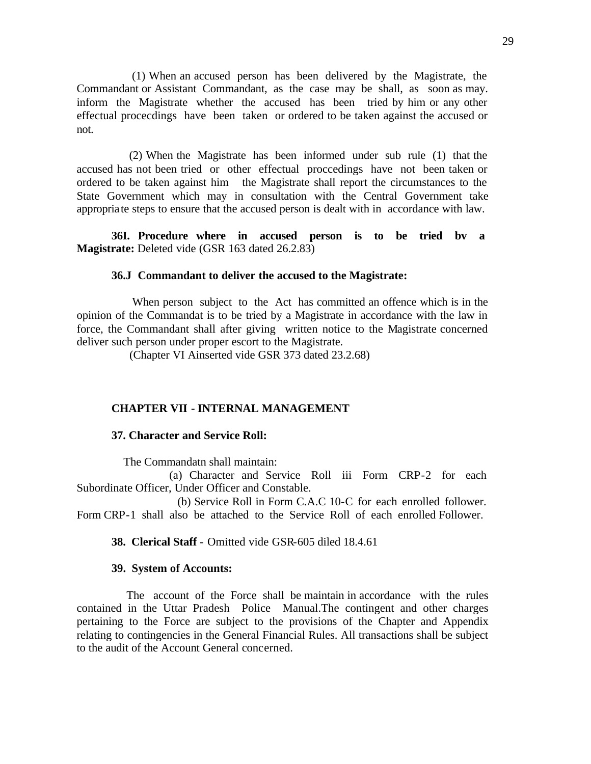(1) When an accused person has been delivered by the Magistrate, the Commandant or Assistant Commandant, as the case may be shall, as soon as may. inform the Magistrate whether the accused has been tried by him or any other effectual procecdings have been taken or ordered to be taken against the accused or not.

 (2) When the Magistrate has been informed under sub rule (1) that the accused has not been tried or other effectual proccedings have not been taken or ordered to be taken against him the Magistrate shall report the circumstances to the State Government which may in consultation with the Central Government take appropriate steps to ensure that the accused person is dealt with in accordance with law.

**36I. Procedure where in accused person is to be tried bv a Magistrate:** Deleted vide (GSR 163 dated 26.2.83)

#### **36.J Commandant to deliver the accused to the Magistrate:**

 When person subject to the Act has committed an offence which is in the opinion of the Commandat is to be tried by a Magistrate in accordance with the law in force, the Commandant shall after giving written notice to the Magistrate concerned deliver such person under proper escort to the Magistrate.

(Chapter VI Ainserted vide GSR 373 dated 23.2.68)

# **CHAPTER VII - INTERNAL MANAGEMENT**

#### **37. Character and Service Roll:**

The Commandatn shall maintain:

 (a) Character and Service Roll iii Form CRP-2 for each Subordinate Officer, Under Officer and Constable.

 (b) Service Roll in Form C.A.C 10-C for each enrolled follower. Form CRP-1 shall also be attached to the Service Roll of each enrolled Follower.

**38. Clerical Staff** - Omitted vide GSR-605 diled 18.4.61

#### **39. System of Accounts:**

 The account of the Force shall be maintain in accordance with the rules contained in the Uttar Pradesh Police Manual.The contingent and other charges pertaining to the Force are subject to the provisions of the Chapter and Appendix relating to contingencies in the General Financial Rules. All transactions shall be subject to the audit of the Account General concerned.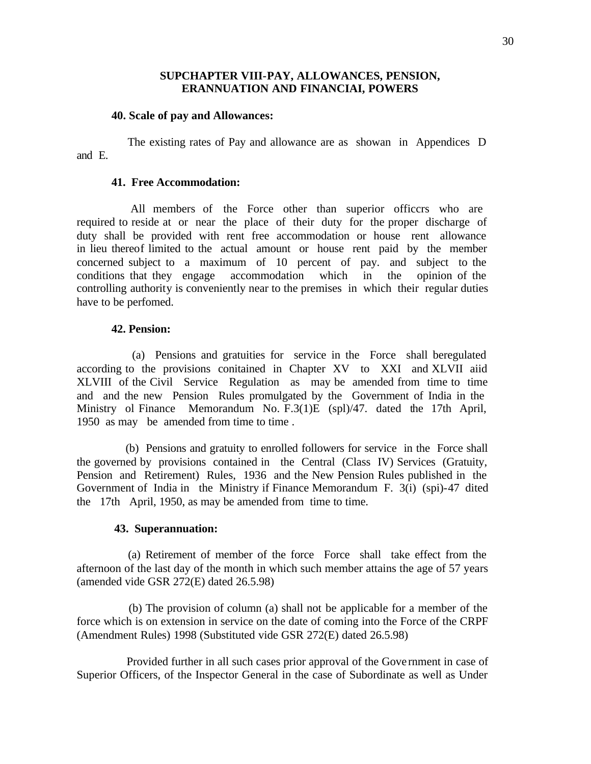### **SUPCHAPTER VIII-PAY, ALLOWANCES, PENSION, ERANNUATION AND FINANCIAI, POWERS**

#### **40. Scale of pay and Allowances:**

 The existing rates of Pay and allowance are as showan in Appendices D and E.

#### **41. Free Accommodation:**

 All members of the Force other than superior officcrs who are required to reside at or near the place of their duty for the proper discharge of duty shall be provided with rent free accommodation or house rent allowance in lieu thereof limited to the actual amount or house rent paid by the member concerned subject to a maximum of 10 percent of pay. and subject to the conditions that they engage accommodation which in the opinion of the controlling authority is conveniently near to the premises in which their regular duties have to be perfomed.

#### **42. Pension:**

 (a) Pensions and gratuities for service in the Force shall beregulated according to the provisions conitained in Chapter XV to XXI and XLVII aiid XLVIII of the Civil Service Regulation as may be amended from time to time and and the new Pension Rules promulgated by the Government of India in the Ministry ol Finance Memorandum No. F.3(1)E (spl)/47. dated the 17th April, 1950 as may be amended from time to time.

 (b) Pensions and gratuity to enrolled followers for service in the Force shall the governed by provisions contained in the Central (Class IV) Services (Gratuity, Pension and Retirement) Rules, 1936 and the New Pension Rules published in the Government of India in the Ministry if Finance Memorandum F. 3(i) (spi)-47 dited the 17th April, 1950, as may be amended from time to time.

#### **43. Superannuation:**

 (a) Retirement of member of the force Force shall take effect from the afternoon of the last day of the month in which such member attains the age of 57 years (amended vide GSR 272(E) dated 26.5.98)

 (b) The provision of column (a) shall not be applicable for a member of the force which is on extension in service on the date of coming into the Force of the CRPF (Amendment Rules) 1998 (Substituted vide GSR 272(E) dated 26.5.98)

 Provided further in all such cases prior approval of the Gove rnment in case of Superior Officers, of the Inspector General in the case of Subordinate as well as Under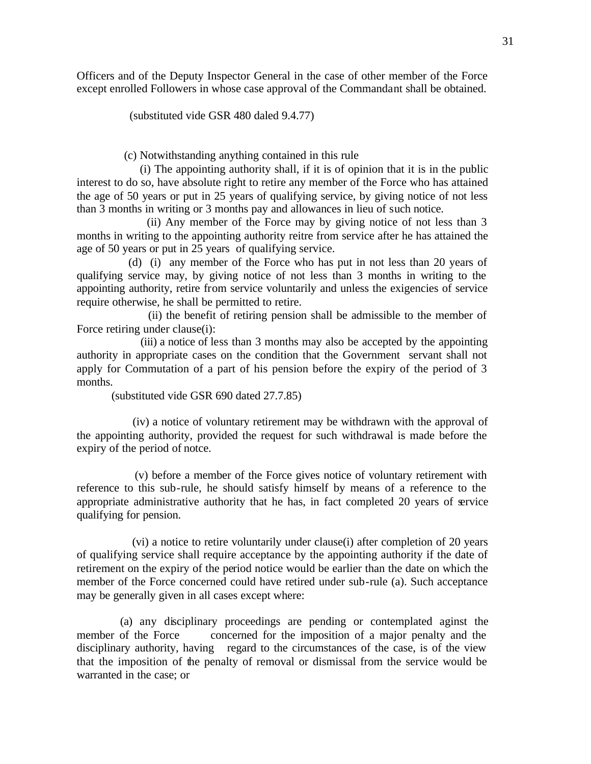Officers and of the Deputy Inspector General in the case of other member of the Force except enrolled Followers in whose case approval of the Commandant shall be obtained.

(substituted vide GSR 480 daled 9.4.77)

(c) Notwithstanding anything contained in this rule

 (i) The appointing authority shall, if it is of opinion that it is in the public interest to do so, have absolute right to retire any member of the Force who has attained the age of 50 years or put in 25 years of qualifying service, by giving notice of not less than 3 months in writing or 3 months pay and allowances in lieu of such notice.

 (ii) Any member of the Force may by giving notice of not less than 3 months in writing to the appointing authority reitre from service after he has attained the age of 50 years or put in 25 years of qualifying service.

 (d) (i) any member of the Force who has put in not less than 20 years of qualifying service may, by giving notice of not less than 3 months in writing to the appointing authority, retire from service voluntarily and unless the exigencies of service require otherwise, he shall be permitted to retire.

 (ii) the benefit of retiring pension shall be admissible to the member of Force retiring under clause(i):

 (iii) a notice of less than 3 months may also be accepted by the appointing authority in appropriate cases on the condition that the Government servant shall not apply for Commutation of a part of his pension before the expiry of the period of 3 months.

(substituted vide GSR 690 dated 27.7.85)

 (iv) a notice of voluntary retirement may be withdrawn with the approval of the appointing authority, provided the request for such withdrawal is made before the expiry of the period of notce.

 (v) before a member of the Force gives notice of voluntary retirement with reference to this sub-rule, he should satisfy himself by means of a reference to the appropriate administrative authority that he has, in fact completed 20 years of service qualifying for pension.

 (vi) a notice to retire voluntarily under clause(i) after completion of 20 years of qualifying service shall require acceptance by the appointing authority if the date of retirement on the expiry of the period notice would be earlier than the date on which the member of the Force concerned could have retired under sub-rule (a). Such acceptance may be generally given in all cases except where:

 (a) any disciplinary proceedings are pending or contemplated aginst the member of the Force concerned for the imposition of a major penalty and the disciplinary authority, having regard to the circumstances of the case, is of the view that the imposition of the penalty of removal or dismissal from the service would be warranted in the case; or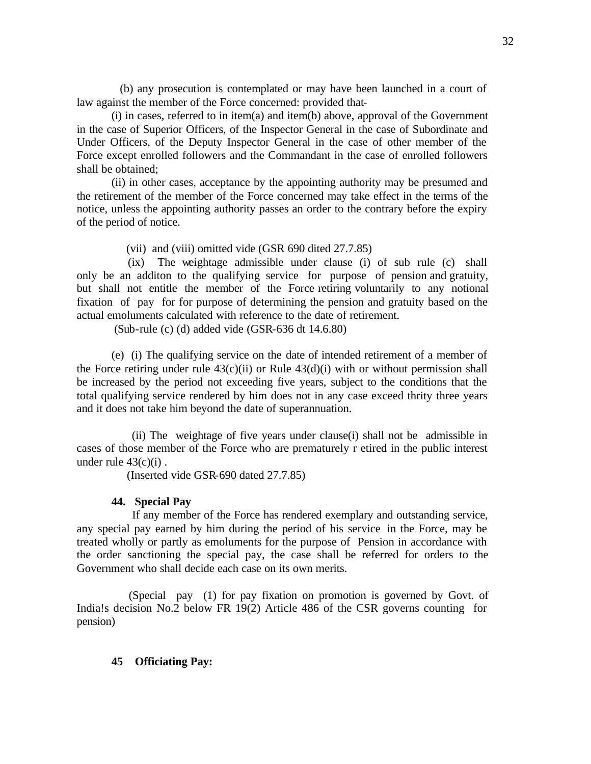(b) any prosecution is contemplated or may have been launched in a court of law against the member of the Force concerned: provided that-

(i) in cases, referred to in item(a) and item(b) above, approval of the Government in the case of Superior Officers, of the Inspector General in the case of Subordinate and Under Officers, of the Deputy Inspector General in the case of other member of the Force except enrolled followers and the Commandant in the case of enrolled followers shall be obtained;

(ii) in other cases, acceptance by the appointing authority may be presumed and the retirement of the member of the Force concerned may take effect in the terms of the notice, unless the appointing authority passes an order to the contrary before the expiry of the period of notice.

(vii) and (viii) omitted vide (GSR 690 dited 27.7.85)

 (ix) The weightage admissible under clause (i) of sub rule (c) shall only be an additon to the qualifying service for purpose of pension and gratuity, but shall not entitle the member of the Force retiring voluntarily to any notional fixation of pay for for purpose of determining the pension and gratuity based on the actual emoluments calculated with reference to the date of retirement.

(Sub-rule (c) (d) added vide (GSR-636 dt 14.6.80)

(e) (i) The qualifying service on the date of intended retirement of a member of the Force retiring under rule  $43(c)(ii)$  or Rule  $43(d)(i)$  with or without permission shall be increased by the period not exceeding five years, subject to the conditions that the total qualifying service rendered by him does not in any case exceed thrity three years and it does not take him beyond the date of superannuation.

 (ii) The weightage of five years under clause(i) shall not be admissible in cases of those member of the Force who are prematurely r etired in the public interest under rule  $43(c)(i)$ .

(Inserted vide GSR-690 dated 27.7.85)

#### **44. Special Pay**

 If any member of the Force has rendered exemplary and outstanding service, any special pay earned by him during the period of his service in the Force, may be treated wholly or partly as emoluments for the purpose of Pension in accordance with the order sanctioning the special pay, the case shall be referred for orders to the Government who shall decide each case on its own merits.

 (Special pay (1) for pay fixation on promotion is governed by Govt. of India!s decision No.2 below FR 19(2) Article 486 of the CSR governs counting for pension)

#### **45 Officiating Pay:**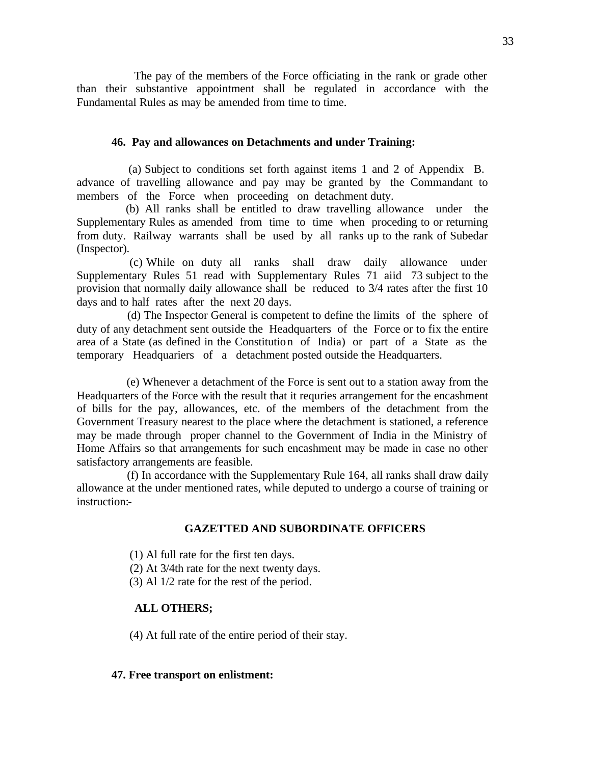The pay of the members of the Force officiating in the rank or grade other than their substantive appointment shall be regulated in accordance with the Fundamental Rules as may be amended from time to time.

#### **46. Pay and allowances on Detachments and under Training:**

 (a) Subject to conditions set forth against items 1 and 2 of Appendix B. advance of travelling allowance and pay may be granted by the Commandant to members of the Force when proceeding on detachment duty.

 (b) All ranks shall be entitled to draw travelling allowance under the Supplementary Rules as amended from time to time when proceding to or returning from duty. Railway warrants shall be used by all ranks up to the rank of Subedar (Inspector).

 (c) While on duty all ranks shall draw daily allowance under Supplementary Rules 51 read with Supplementary Rules 71 aiid 73 subject to the provision that normally daily allowance shall be reduced to 3/4 rates after the first 10 days and to half rates after the next 20 days.

 (d) The Inspector General is competent to define the limits of the sphere of duty of any detachment sent outside the Headquarters of the Force or to fix the entire area of a State (as defined in the Constitution of India) or part of a State as the temporary Headquariers of a detachment posted outside the Headquarters.

 (e) Whenever a detachment of the Force is sent out to a station away from the Headquarters of the Force with the result that it requries arrangement for the encashment of bills for the pay, allowances, etc. of the members of the detachment from the Government Treasury nearest to the place where the detachment is stationed, a reference may be made through proper channel to the Government of India in the Ministry of Home Affairs so that arrangements for such encashment may be made in case no other satisfactory arrangements are feasible.

 (f) In accordance with the Supplementary Rule 164, all ranks shall draw daily allowance at the under mentioned rates, while deputed to undergo a course of training or instruction:-

#### **GAZETTED AND SUBORDINATE OFFICERS**

(1) Al full rate for the first ten days.

- (2) At 3/4th rate for the next twenty days.
- (3) Al 1/2 rate for the rest of the period.

#### **ALL OTHERS;**

(4) At full rate of the entire period of their stay.

#### **47. Free transport on enlistment:**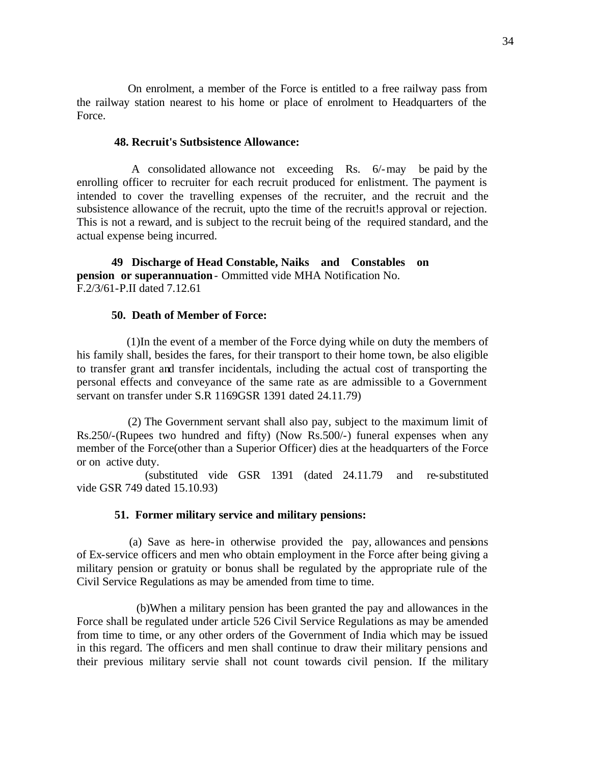On enrolment, a member of the Force is entitled to a free railway pass from the railway station nearest to his home or place of enrolment to Headquarters of the Force.

#### **48. Recruit's Sutbsistence Allowance:**

 A consolidated allowance not exceeding Rs. 6/-may be paid by the enrolling officer to recruiter for each recruit produced for enlistment. The payment is intended to cover the travelling expenses of the recruiter, and the recruit and the subsistence allowance of the recruit, upto the time of the recruit!s approval or rejection. This is not a reward, and is subject to the recruit being of the required standard, and the actual expense being incurred.

**49 Discharge of Head Constable, Naiks and Constables on pension or superannuation**- Ommitted vide MHA Notification No. F.2/3/61-P.II dated 7.12.61

#### **50. Death of Member of Force:**

 (1)In the event of a member of the Force dying while on duty the members of his family shall, besides the fares, for their transport to their home town, be also eligible to transfer grant and transfer incidentals, including the actual cost of transporting the personal effects and conveyance of the same rate as are admissible to a Government servant on transfer under S.R 1169GSR 1391 dated 24.11.79)

 (2) The Government servant shall also pay, subject to the maximum limit of Rs.250/-(Rupees two hundred and fifty) (Now Rs.500/-) funeral expenses when any member of the Force(other than a Superior Officer) dies at the headquarters of the Force or on active duty.

 (substituted vide GSR 1391 (dated 24.11.79 and re-substituted vide GSR 749 dated 15.10.93)

#### **51. Former military service and military pensions:**

 (a) Save as here-in otherwise provided the pay, allowances and pensions of Ex-service officers and men who obtain employment in the Force after being giving a military pension or gratuity or bonus shall be regulated by the appropriate rule of the Civil Service Regulations as may be amended from time to time.

 (b)When a military pension has been granted the pay and allowances in the Force shall be regulated under article 526 Civil Service Regulations as may be amended from time to time, or any other orders of the Government of India which may be issued in this regard. The officers and men shall continue to draw their military pensions and their previous military servie shall not count towards civil pension. If the military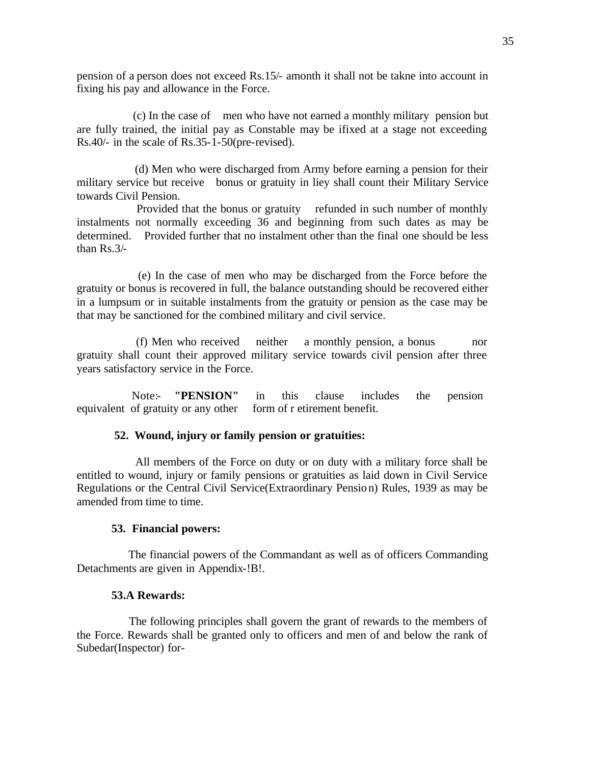pension of a person does not exceed Rs.15/- amonth it shall not be takne into account in fixing his pay and allowance in the Force.

 (c) In the case of men who have not earned a monthly military pension but are fully trained, the initial pay as Constable may be ifixed at a stage not exceeding Rs.40/- in the scale of Rs.35-1-50(pre-revised).

 (d) Men who were discharged from Army before earning a pension for their military service but receive bonus or gratuity in liey shall count their Military Service towards Civil Pension.

 Provided that the bonus or gratuity refunded in such number of monthly instalments not normally exceeding 36 and beginning from such dates as may be determined. Provided further that no instalment other than the final one should be less than Rs.3/-

 (e) In the case of men who may be discharged from the Force before the gratuity or bonus is recovered in full, the balance outstanding should be recovered either in a lumpsum or in suitable instalments from the gratuity or pension as the case may be that may be sanctioned for the combined military and civil service.

 (f) Men who received neither a monthly pension, a bonus nor gratuity shall count their approved military service towards civil pension after three years satisfactory service in the Force.

Note:- **"PENSION"** in this clause includes the pension equivalent of gratuity or any other form of r etirement benefit.

# **52. Wound, injury or family pension or gratuities:**

 All members of the Force on duty or on duty with a military force shall be entitled to wound, injury or family pensions or gratuities as laid down in Civil Service Regulations or the Central Civil Service(Extraordinary Pension) Rules, 1939 as may be amended from time to time.

#### **53. Financial powers:**

 The financial powers of the Commandant as well as of officers Commanding Detachments are given in Appendix-!B!.

### **53.A Rewards:**

 The following principles shall govern the grant of rewards to the members of the Force. Rewards shall be granted only to officers and men of and below the rank of Subedar(Inspector) for-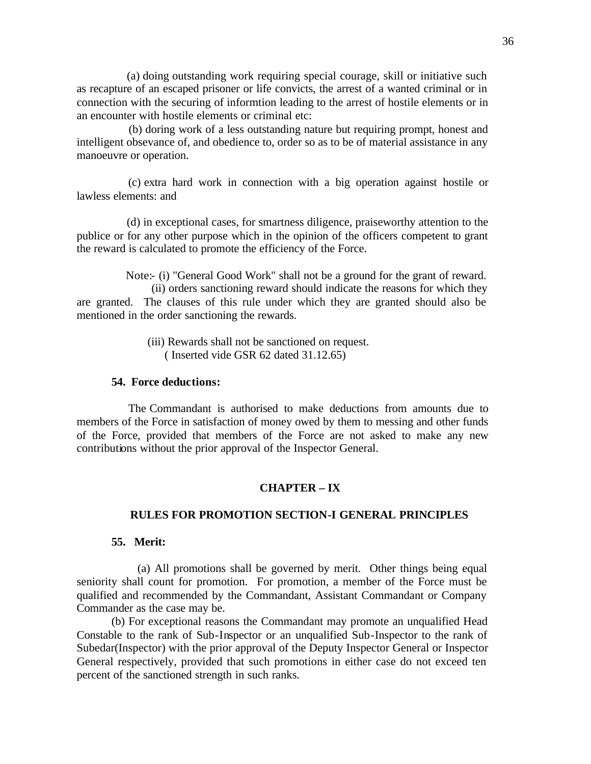(a) doing outstanding work requiring special courage, skill or initiative such as recapture of an escaped prisoner or life convicts, the arrest of a wanted criminal or in connection with the securing of informtion leading to the arrest of hostile elements or in an encounter with hostile elements or criminal etc:

 (b) doring work of a less outstanding nature but requiring prompt, honest and intelligent obsevance of, and obedience to, order so as to be of material assistance in any manoeuvre or operation.

 (c) extra hard work in connection with a big operation against hostile or lawless elements: and

 (d) in exceptional cases, for smartness diligence, praiseworthy attention to the publice or for any other purpose which in the opinion of the officers competent to grant the reward is calculated to promote the efficiency of the Force.

 Note:- (i) "General Good Work" shall not be a ground for the grant of reward. (ii) orders sanctioning reward should indicate the reasons for which they are granted. The clauses of this rule under which they are granted should also be mentioned in the order sanctioning the rewards.

> (iii) Rewards shall not be sanctioned on request. ( Inserted vide GSR 62 dated 31.12.65)

# **54. Force deductions:**

 The Commandant is authorised to make deductions from amounts due to members of the Force in satisfaction of money owed by them to messing and other funds of the Force, provided that members of the Force are not asked to make any new contributions without the prior approval of the Inspector General.

# **CHAPTER – IX**

#### **RULES FOR PROMOTION SECTION-I GENERAL PRINCIPLES**

### **55. Merit:**

 (a) All promotions shall be governed by merit. Other things being equal seniority shall count for promotion. For promotion, a member of the Force must be qualified and recommended by the Commandant, Assistant Commandant or Company Commander as the case may be.

(b) For exceptional reasons the Commandant may promote an unqualified Head Constable to the rank of Sub-Inspector or an unqualified Sub-Inspector to the rank of Subedar(Inspector) with the prior approval of the Deputy Inspector General or Inspector General respectively, provided that such promotions in either case do not exceed ten percent of the sanctioned strength in such ranks.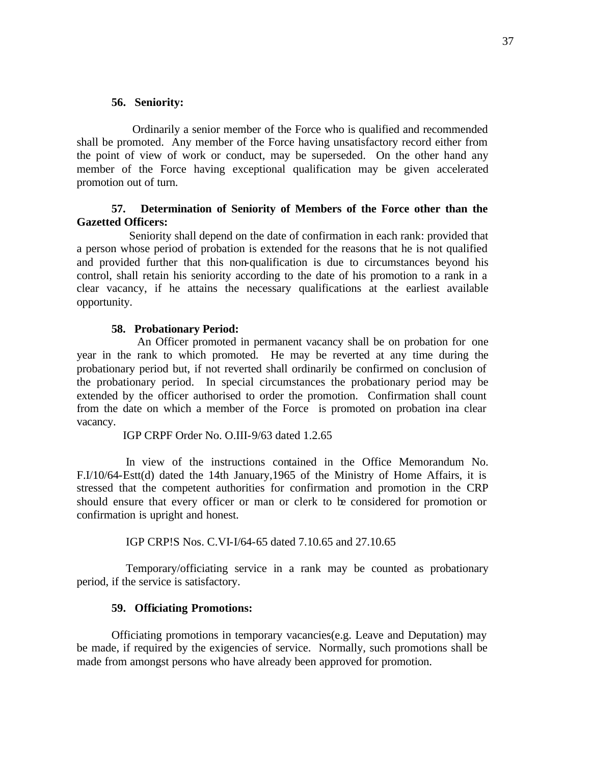#### **56. Seniority:**

 Ordinarily a senior member of the Force who is qualified and recommended shall be promoted. Any member of the Force having unsatisfactory record either from the point of view of work or conduct, may be superseded. On the other hand any member of the Force having exceptional qualification may be given accelerated promotion out of turn.

# **57. Determination of Seniority of Members of the Force other than the Gazetted Officers:**

 Seniority shall depend on the date of confirmation in each rank: provided that a person whose period of probation is extended for the reasons that he is not qualified and provided further that this non-qualification is due to circumstances beyond his control, shall retain his seniority according to the date of his promotion to a rank in a clear vacancy, if he attains the necessary qualifications at the earliest available opportunity.

#### **58. Probationary Period:**

 An Officer promoted in permanent vacancy shall be on probation for one year in the rank to which promoted. He may be reverted at any time during the probationary period but, if not reverted shall ordinarily be confirmed on conclusion of the probationary period. In special circumstances the probationary period may be extended by the officer authorised to order the promotion. Confirmation shall count from the date on which a member of the Force is promoted on probation ina clear vacancy.

IGP CRPF Order No. O.III-9/63 dated 1.2.65

 In view of the instructions contained in the Office Memorandum No. F.I/10/64-Estt(d) dated the 14th January,1965 of the Ministry of Home Affairs, it is stressed that the competent authorities for confirmation and promotion in the CRP should ensure that every officer or man or clerk to be considered for promotion or confirmation is upright and honest.

IGP CRP!S Nos. C.VI-I/64-65 dated 7.10.65 and 27.10.65

 Temporary/officiating service in a rank may be counted as probationary period, if the service is satisfactory.

#### **59. Officiating Promotions:**

Officiating promotions in temporary vacancies(e.g. Leave and Deputation) may be made, if required by the exigencies of service. Normally, such promotions shall be made from amongst persons who have already been approved for promotion.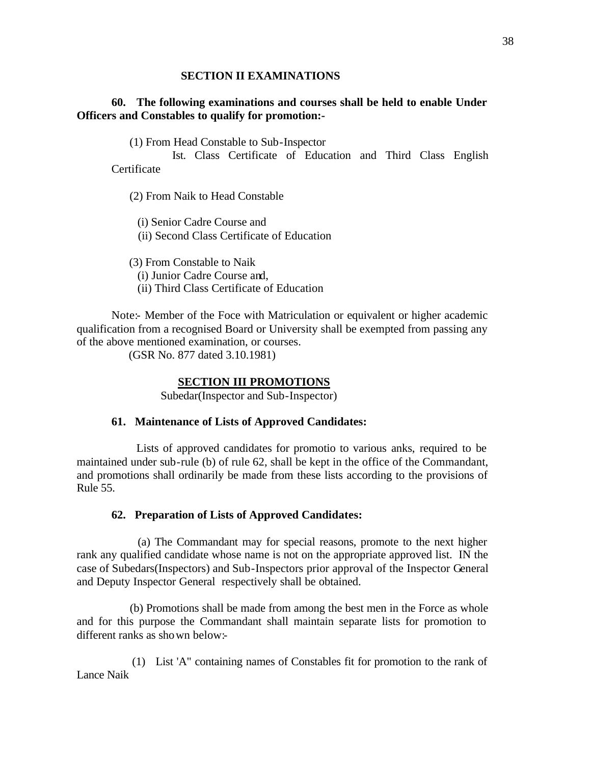### **SECTION II EXAMINATIONS**

## **60. The following examinations and courses shall be held to enable Under Officers and Constables to qualify for promotion:-**

(1) From Head Constable to Sub-Inspector

 Ist. Class Certificate of Education and Third Class English **Certificate** 

(2) From Naik to Head Constable

(i) Senior Cadre Course and

(ii) Second Class Certificate of Education

(3) From Constable to Naik

(i) Junior Cadre Course and,

(ii) Third Class Certificate of Education

Note:- Member of the Foce with Matriculation or equivalent or higher academic qualification from a recognised Board or University shall be exempted from passing any of the above mentioned examination, or courses.

(GSR No. 877 dated 3.10.1981)

#### **SECTION III PROMOTIONS**

Subedar(Inspector and Sub-Inspector)

## **61. Maintenance of Lists of Approved Candidates:**

 Lists of approved candidates for promotio to various anks, required to be maintained under sub-rule (b) of rule 62, shall be kept in the office of the Commandant, and promotions shall ordinarily be made from these lists according to the provisions of Rule 55.

## **62. Preparation of Lists of Approved Candidates:**

 (a) The Commandant may for special reasons, promote to the next higher rank any qualified candidate whose name is not on the appropriate approved list. IN the case of Subedars(Inspectors) and Sub-Inspectors prior approval of the Inspector General and Deputy Inspector General respectively shall be obtained.

 (b) Promotions shall be made from among the best men in the Force as whole and for this purpose the Commandant shall maintain separate lists for promotion to different ranks as shown below:-

 (1) List 'A" containing names of Constables fit for promotion to the rank of Lance Naik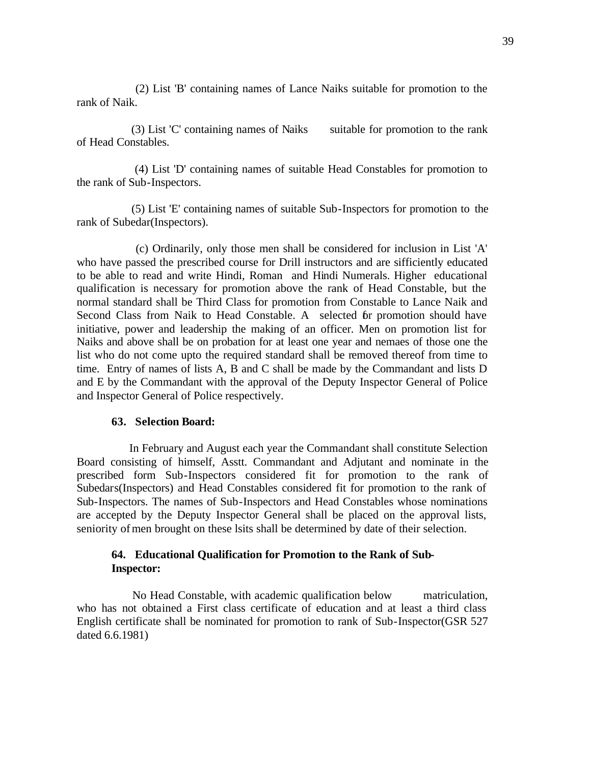(2) List 'B' containing names of Lance Naiks suitable for promotion to the rank of Naik.

(3) List 'C' containing names of Naiks suitable for promotion to the rank of Head Constables.

 (4) List 'D' containing names of suitable Head Constables for promotion to the rank of Sub-Inspectors.

 (5) List 'E' containing names of suitable Sub-Inspectors for promotion to the rank of Subedar(Inspectors).

 (c) Ordinarily, only those men shall be considered for inclusion in List 'A' who have passed the prescribed course for Drill instructors and are sifficiently educated to be able to read and write Hindi, Roman and Hindi Numerals. Higher educational qualification is necessary for promotion above the rank of Head Constable, but the normal standard shall be Third Class for promotion from Constable to Lance Naik and Second Class from Naik to Head Constable. A selected for promotion should have initiative, power and leadership the making of an officer. Men on promotion list for Naiks and above shall be on probation for at least one year and nemaes of those one the list who do not come upto the required standard shall be removed thereof from time to time. Entry of names of lists A, B and C shall be made by the Commandant and lists D and E by the Commandant with the approval of the Deputy Inspector General of Police and Inspector General of Police respectively.

#### **63. Selection Board:**

 In February and August each year the Commandant shall constitute Selection Board consisting of himself, Asstt. Commandant and Adjutant and nominate in the prescribed form Sub-Inspectors considered fit for promotion to the rank of Subedars(Inspectors) and Head Constables considered fit for promotion to the rank of Sub-Inspectors. The names of Sub-Inspectors and Head Constables whose nominations are accepted by the Deputy Inspector General shall be placed on the approval lists, seniority of men brought on these lsits shall be determined by date of their selection.

## **64. Educational Qualification for Promotion to the Rank of Sub-Inspector:**

 No Head Constable, with academic qualification below matriculation, who has not obtained a First class certificate of education and at least a third class English certificate shall be nominated for promotion to rank of Sub-Inspector(GSR 527 dated 6.6.1981)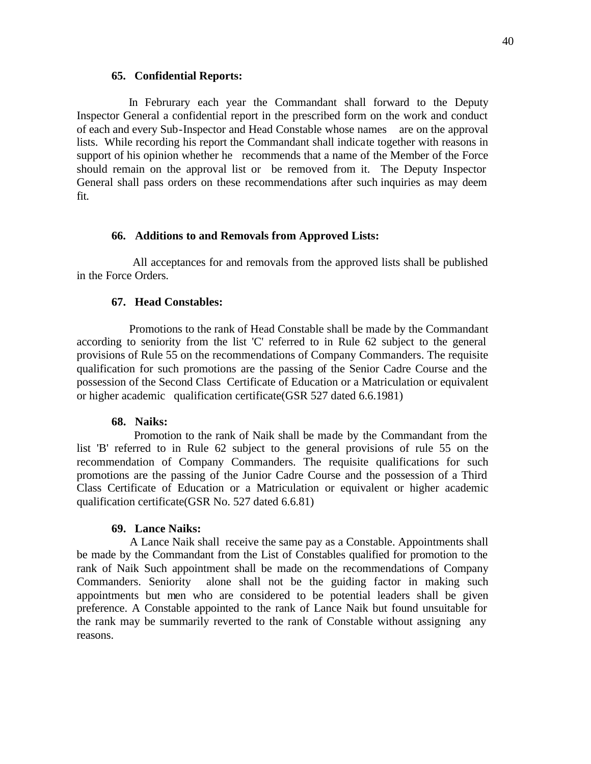#### **65. Confidential Reports:**

 In Februrary each year the Commandant shall forward to the Deputy Inspector General a confidential report in the prescribed form on the work and conduct of each and every Sub-Inspector and Head Constable whose names are on the approval lists. While recording his report the Commandant shall indicate together with reasons in support of his opinion whether he recommends that a name of the Member of the Force should remain on the approval list or be removed from it. The Deputy Inspector General shall pass orders on these recommendations after such inquiries as may deem fit.

### **66. Additions to and Removals from Approved Lists:**

 All acceptances for and removals from the approved lists shall be published in the Force Orders.

## **67. Head Constables:**

 Promotions to the rank of Head Constable shall be made by the Commandant according to seniority from the list 'C' referred to in Rule 62 subject to the general provisions of Rule 55 on the recommendations of Company Commanders. The requisite qualification for such promotions are the passing of the Senior Cadre Course and the possession of the Second Class Certificate of Education or a Matriculation or equivalent or higher academic qualification certificate(GSR 527 dated 6.6.1981)

### **68. Naiks:**

 Promotion to the rank of Naik shall be made by the Commandant from the list 'B' referred to in Rule 62 subject to the general provisions of rule 55 on the recommendation of Company Commanders. The requisite qualifications for such promotions are the passing of the Junior Cadre Course and the possession of a Third Class Certificate of Education or a Matriculation or equivalent or higher academic qualification certificate(GSR No. 527 dated 6.6.81)

#### **69. Lance Naiks:**

 A Lance Naik shall receive the same pay as a Constable. Appointments shall be made by the Commandant from the List of Constables qualified for promotion to the rank of Naik Such appointment shall be made on the recommendations of Company Commanders. Seniority alone shall not be the guiding factor in making such appointments but men who are considered to be potential leaders shall be given preference. A Constable appointed to the rank of Lance Naik but found unsuitable for the rank may be summarily reverted to the rank of Constable without assigning any reasons.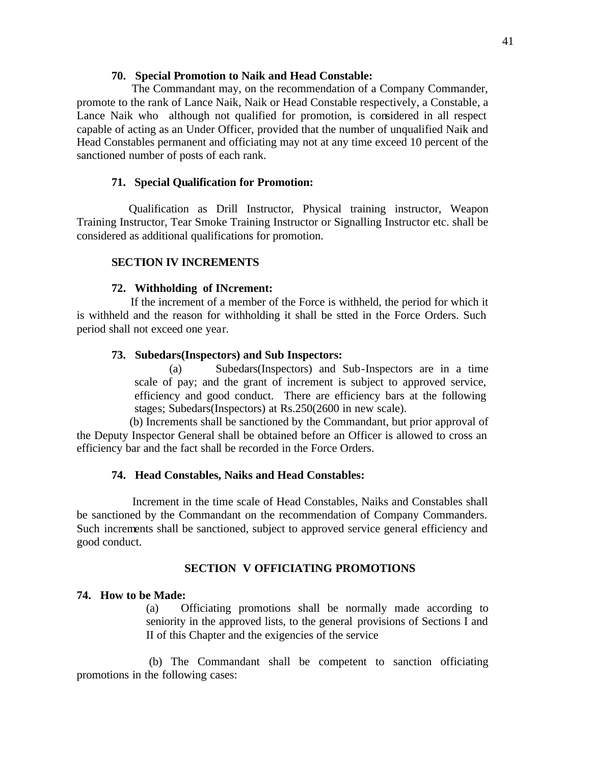### **70. Special Promotion to Naik and Head Constable:**

 The Commandant may, on the recommendation of a Company Commander, promote to the rank of Lance Naik, Naik or Head Constable respectively, a Constable, a Lance Naik who although not qualified for promotion, is considered in all respect capable of acting as an Under Officer, provided that the number of unqualified Naik and Head Constables permanent and officiating may not at any time exceed 10 percent of the sanctioned number of posts of each rank.

## **71. Special Qualification for Promotion:**

 Qualification as Drill Instructor, Physical training instructor, Weapon Training Instructor, Tear Smoke Training Instructor or Signalling Instructor etc. shall be considered as additional qualifications for promotion.

### **SECTION IV INCREMENTS**

#### **72. Withholding of INcrement:**

 If the increment of a member of the Force is withheld, the period for which it is withheld and the reason for withholding it shall be stted in the Force Orders. Such period shall not exceed one year.

#### **73. Subedars(Inspectors) and Sub Inspectors:**

(a) Subedars(Inspectors) and Sub-Inspectors are in a time scale of pay; and the grant of increment is subject to approved service, efficiency and good conduct. There are efficiency bars at the following stages; Subedars(Inspectors) at Rs.250(2600 in new scale).

 (b) Increments shall be sanctioned by the Commandant, but prior approval of the Deputy Inspector General shall be obtained before an Officer is allowed to cross an efficiency bar and the fact shall be recorded in the Force Orders.

## **74. Head Constables, Naiks and Head Constables:**

 Increment in the time scale of Head Constables, Naiks and Constables shall be sanctioned by the Commandant on the recommendation of Company Commanders. Such increments shall be sanctioned, subject to approved service general efficiency and good conduct.

#### **SECTION V OFFICIATING PROMOTIONS**

#### **74. How to be Made:**

(a) Officiating promotions shall be normally made according to seniority in the approved lists, to the general provisions of Sections I and II of this Chapter and the exigencies of the service

 (b) The Commandant shall be competent to sanction officiating promotions in the following cases: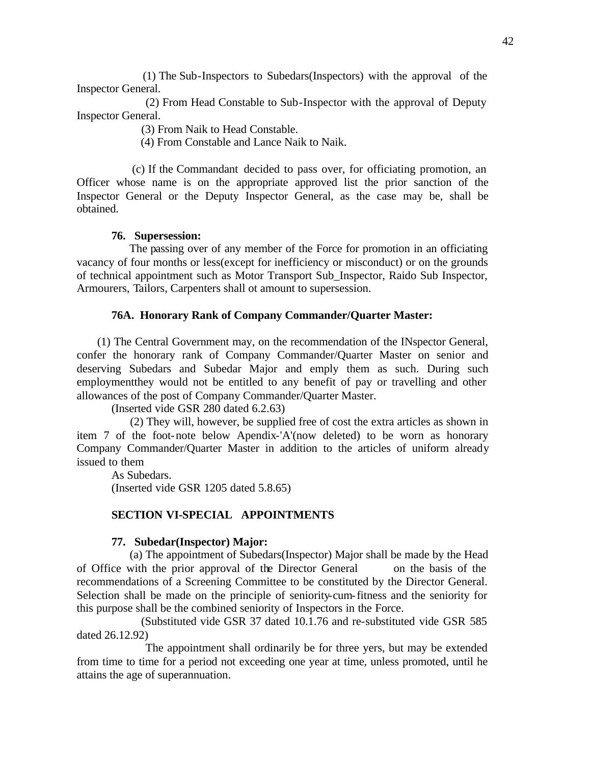(1) The Sub-Inspectors to Subedars(Inspectors) with the approval of the Inspector General.

 (2) From Head Constable to Sub-Inspector with the approval of Deputy Inspector General.

(3) From Naik to Head Constable.

(4) From Constable and Lance Naik to Naik.

 (c) If the Commandant decided to pass over, for officiating promotion, an Officer whose name is on the appropriate approved list the prior sanction of the Inspector General or the Deputy Inspector General, as the case may be, shall be obtained.

#### **76. Supersession:**

 The passing over of any member of the Force for promotion in an officiating vacancy of four months or less(except for inefficiency or misconduct) or on the grounds of technical appointment such as Motor Transport Sub\_Inspector, Raido Sub Inspector, Armourers, Tailors, Carpenters shall ot amount to supersession.

#### **76A. Honorary Rank of Company Commander/Quarter Master:**

 (1) The Central Government may, on the recommendation of the INspector General, confer the honorary rank of Company Commander/Quarter Master on senior and deserving Subedars and Subedar Major and emply them as such. During such employmentthey would not be entitled to any benefit of pay or travelling and other allowances of the post of Company Commander/Quarter Master.

(Inserted vide GSR 280 dated 6.2.63)

 (2) They will, however, be supplied free of cost the extra articles as shown in item 7 of the foot-note below Apendix-'A'(now deleted) to be worn as honorary Company Commander/Quarter Master in addition to the articles of uniform already issued to them

As Subedars. (Inserted vide GSR 1205 dated 5.8.65)

### **SECTION VI-SPECIAL APPOINTMENTS**

#### **77. Subedar(Inspector) Major:**

 (a) The appointment of Subedars(Inspector) Major shall be made by the Head of Office with the prior approval of the Director General on the basis of the recommendations of a Screening Committee to be constituted by the Director General. Selection shall be made on the principle of seniority-cum-fitness and the seniority for this purpose shall be the combined seniority of Inspectors in the Force.

 (Substituted vide GSR 37 dated 10.1.76 and re-substituted vide GSR 585 dated 26.12.92)

 The appointment shall ordinarily be for three yers, but may be extended from time to time for a period not exceeding one year at time, unless promoted, until he attains the age of superannuation.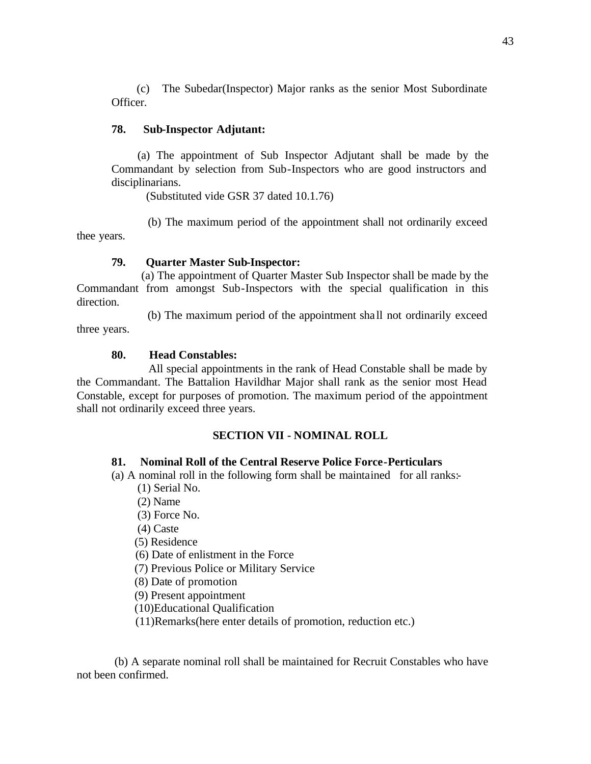(c) The Subedar(Inspector) Major ranks as the senior Most Subordinate Officer.

## **78. Sub-Inspector Adjutant:**

 (a) The appointment of Sub Inspector Adjutant shall be made by the Commandant by selection from Sub-Inspectors who are good instructors and disciplinarians.

(Substituted vide GSR 37 dated 10.1.76)

 (b) The maximum period of the appointment shall not ordinarily exceed thee years.

## **79. Quarter Master Sub-Inspector:**

 (a) The appointment of Quarter Master Sub Inspector shall be made by the Commandant from amongst Sub-Inspectors with the special qualification in this direction.

 (b) The maximum period of the appointment sha ll not ordinarily exceed three years.

## **80. Head Constables:**

 All special appointments in the rank of Head Constable shall be made by the Commandant. The Battalion Havildhar Major shall rank as the senior most Head Constable, except for purposes of promotion. The maximum period of the appointment shall not ordinarily exceed three years.

## **SECTION VII - NOMINAL ROLL**

## **81. Nominal Roll of the Central Reserve Police Force-Perticulars**

(a) A nominal roll in the following form shall be maintained for all ranks:-

- (1) Serial No.
- (2) Name
- (3) Force No.

(4) Caste

(5) Residence

(6) Date of enlistment in the Force

(7) Previous Police or Military Service

(8) Date of promotion

(9) Present appointment

(10)Educational Qualification

(11)Remarks(here enter details of promotion, reduction etc.)

 (b) A separate nominal roll shall be maintained for Recruit Constables who have not been confirmed.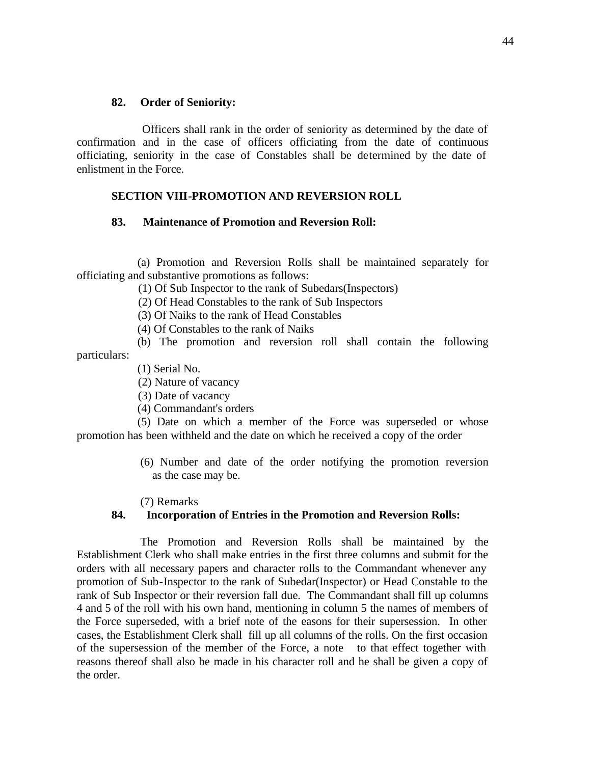#### **82. Order of Seniority:**

 Officers shall rank in the order of seniority as determined by the date of confirmation and in the case of officers officiating from the date of continuous officiating, seniority in the case of Constables shall be determined by the date of enlistment in the Force.

### **SECTION VIII-PROMOTION AND REVERSION ROLL**

#### **83. Maintenance of Promotion and Reversion Roll:**

 (a) Promotion and Reversion Rolls shall be maintained separately for officiating and substantive promotions as follows:

(1) Of Sub Inspector to the rank of Subedars(Inspectors)

(2) Of Head Constables to the rank of Sub Inspectors

(3) Of Naiks to the rank of Head Constables

(4) Of Constables to the rank of Naiks

 (b) The promotion and reversion roll shall contain the following particulars:

(1) Serial No.

(2) Nature of vacancy

(3) Date of vacancy

(4) Commandant's orders

 (5) Date on which a member of the Force was superseded or whose promotion has been withheld and the date on which he received a copy of the order

> (6) Number and date of the order notifying the promotion reversion as the case may be.

(7) Remarks

### **84. Incorporation of Entries in the Promotion and Reversion Rolls:**

 The Promotion and Reversion Rolls shall be maintained by the Establishment Clerk who shall make entries in the first three columns and submit for the orders with all necessary papers and character rolls to the Commandant whenever any promotion of Sub-Inspector to the rank of Subedar(Inspector) or Head Constable to the rank of Sub Inspector or their reversion fall due. The Commandant shall fill up columns 4 and 5 of the roll with his own hand, mentioning in column 5 the names of members of the Force superseded, with a brief note of the easons for their supersession. In other cases, the Establishment Clerk shall fill up all columns of the rolls. On the first occasion of the supersession of the member of the Force, a note to that effect together with reasons thereof shall also be made in his character roll and he shall be given a copy of the order.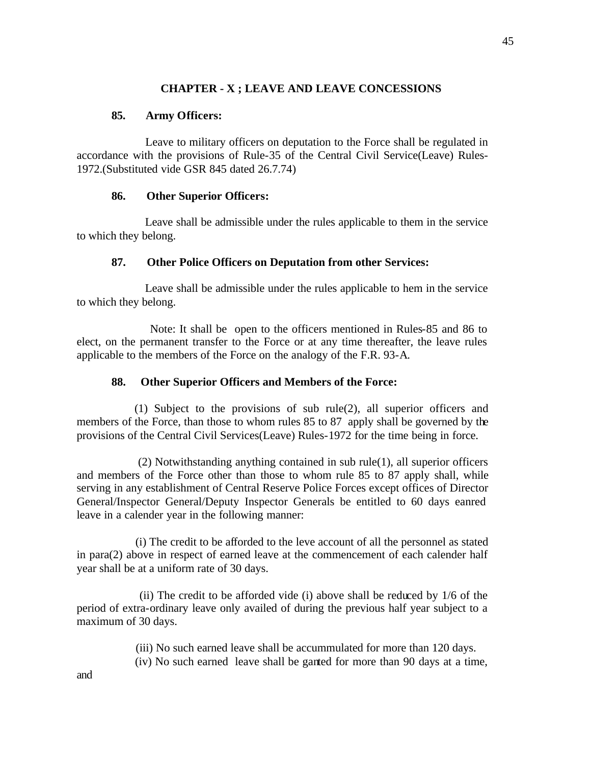# **CHAPTER - X ; LEAVE AND LEAVE CONCESSIONS**

## **85. Army Officers:**

 Leave to military officers on deputation to the Force shall be regulated in accordance with the provisions of Rule-35 of the Central Civil Service(Leave) Rules-1972.(Substituted vide GSR 845 dated 26.7.74)

## **86. Other Superior Officers:**

 Leave shall be admissible under the rules applicable to them in the service to which they belong.

# **87. Other Police Officers on Deputation from other Services:**

 Leave shall be admissible under the rules applicable to hem in the service to which they belong.

 Note: It shall be open to the officers mentioned in Rules-85 and 86 to elect, on the permanent transfer to the Force or at any time thereafter, the leave rules applicable to the members of the Force on the analogy of the F.R. 93-A.

## **88. Other Superior Officers and Members of the Force:**

 (1) Subject to the provisions of sub rule(2), all superior officers and members of the Force, than those to whom rules 85 to 87 apply shall be governed by the provisions of the Central Civil Services(Leave) Rules-1972 for the time being in force.

 (2) Notwithstanding anything contained in sub rule(1), all superior officers and members of the Force other than those to whom rule 85 to 87 apply shall, while serving in any establishment of Central Reserve Police Forces except offices of Director General/Inspector General/Deputy Inspector Generals be entitled to 60 days eanred leave in a calender year in the following manner:

 (i) The credit to be afforded to the leve account of all the personnel as stated in para(2) above in respect of earned leave at the commencement of each calender half year shall be at a uniform rate of 30 days.

 (ii) The credit to be afforded vide (i) above shall be reduced by 1/6 of the period of extra-ordinary leave only availed of during the previous half year subject to a maximum of 30 days.

(iii) No such earned leave shall be accummulated for more than 120 days.

(iv) No such earned leave shall be ganted for more than 90 days at a time,

and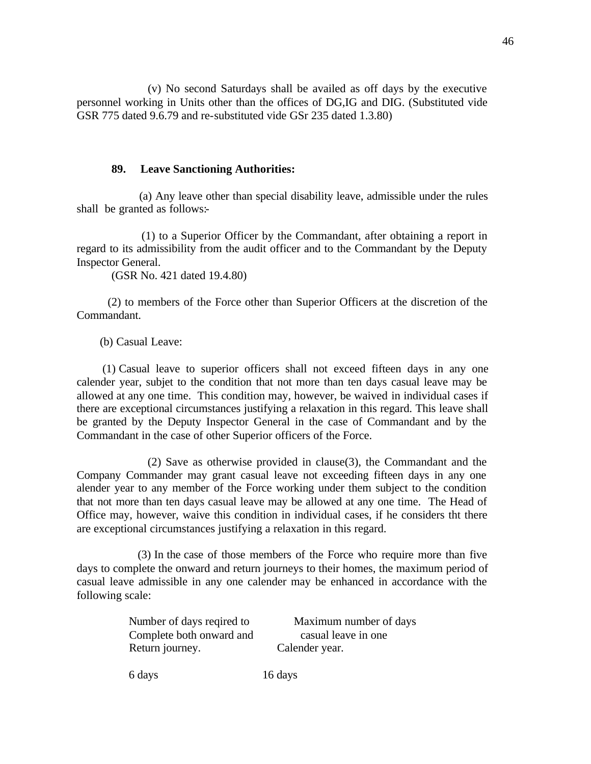(v) No second Saturdays shall be availed as off days by the executive personnel working in Units other than the offices of DG,IG and DIG. (Substituted vide GSR 775 dated 9.6.79 and re-substituted vide GSr 235 dated 1.3.80)

## **89. Leave Sanctioning Authorities:**

 (a) Any leave other than special disability leave, admissible under the rules shall be granted as follows:-

 (1) to a Superior Officer by the Commandant, after obtaining a report in regard to its admissibility from the audit officer and to the Commandant by the Deputy Inspector General.

(GSR No. 421 dated 19.4.80)

 (2) to members of the Force other than Superior Officers at the discretion of the Commandant.

(b) Casual Leave:

 (1) Casual leave to superior officers shall not exceed fifteen days in any one calender year, subjet to the condition that not more than ten days casual leave may be allowed at any one time. This condition may, however, be waived in individual cases if there are exceptional circumstances justifying a relaxation in this regard. This leave shall be granted by the Deputy Inspector General in the case of Commandant and by the Commandant in the case of other Superior officers of the Force.

 (2) Save as otherwise provided in clause(3), the Commandant and the Company Commander may grant casual leave not exceeding fifteen days in any one alender year to any member of the Force working under them subject to the condition that not more than ten days casual leave may be allowed at any one time. The Head of Office may, however, waive this condition in individual cases, if he considers tht there are exceptional circumstances justifying a relaxation in this regard.

 (3) In the case of those members of the Force who require more than five days to complete the onward and return journeys to their homes, the maximum period of casual leave admissible in any one calender may be enhanced in accordance with the following scale:

| Number of days reqired to | Maximum number of days |  |
|---------------------------|------------------------|--|
| Complete both onward and  | casual leave in one    |  |
| Return journey.           | Calender year.         |  |

6 days 16 days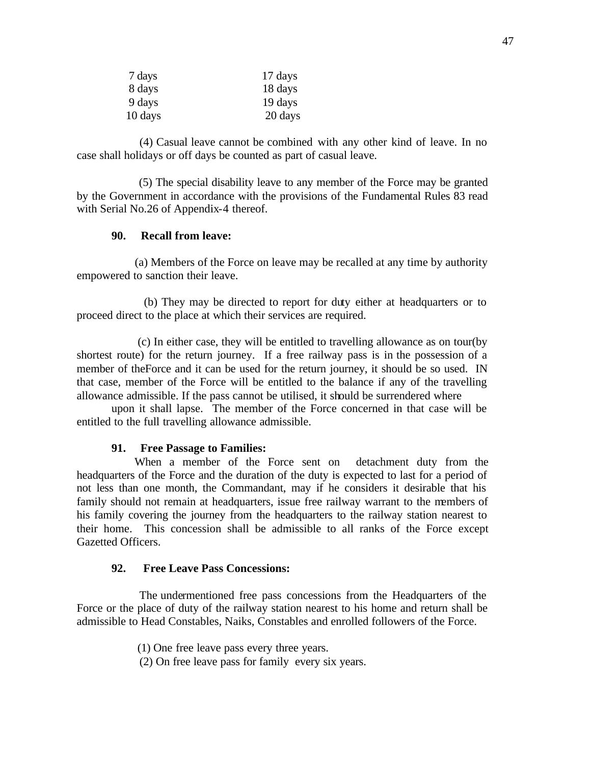| 7 days  | 17 days |
|---------|---------|
| 8 days  | 18 days |
| 9 days  | 19 days |
| 10 days | 20 days |

 (4) Casual leave cannot be combined with any other kind of leave. In no case shall holidays or off days be counted as part of casual leave.

 (5) The special disability leave to any member of the Force may be granted by the Government in accordance with the provisions of the Fundamental Rules 83 read with Serial No.26 of Appendix-4 thereof.

### **90. Recall from leave:**

 (a) Members of the Force on leave may be recalled at any time by authority empowered to sanction their leave.

 (b) They may be directed to report for duty either at headquarters or to proceed direct to the place at which their services are required.

 (c) In either case, they will be entitled to travelling allowance as on tour(by shortest route) for the return journey. If a free railway pass is in the possession of a member of theForce and it can be used for the return journey, it should be so used. IN that case, member of the Force will be entitled to the balance if any of the travelling allowance admissible. If the pass cannot be utilised, it should be surrendered where

upon it shall lapse. The member of the Force concerned in that case will be entitled to the full travelling allowance admissible.

#### **91. Free Passage to Families:**

 When a member of the Force sent on detachment duty from the headquarters of the Force and the duration of the duty is expected to last for a period of not less than one month, the Commandant, may if he considers it desirable that his family should not remain at headquarters, issue free railway warrant to the members of his family covering the journey from the headquarters to the railway station nearest to their home. This concession shall be admissible to all ranks of the Force except Gazetted Officers.

#### **92. Free Leave Pass Concessions:**

 The undermentioned free pass concessions from the Headquarters of the Force or the place of duty of the railway station nearest to his home and return shall be admissible to Head Constables, Naiks, Constables and enrolled followers of the Force.

(1) One free leave pass every three years.

(2) On free leave pass for family every six years.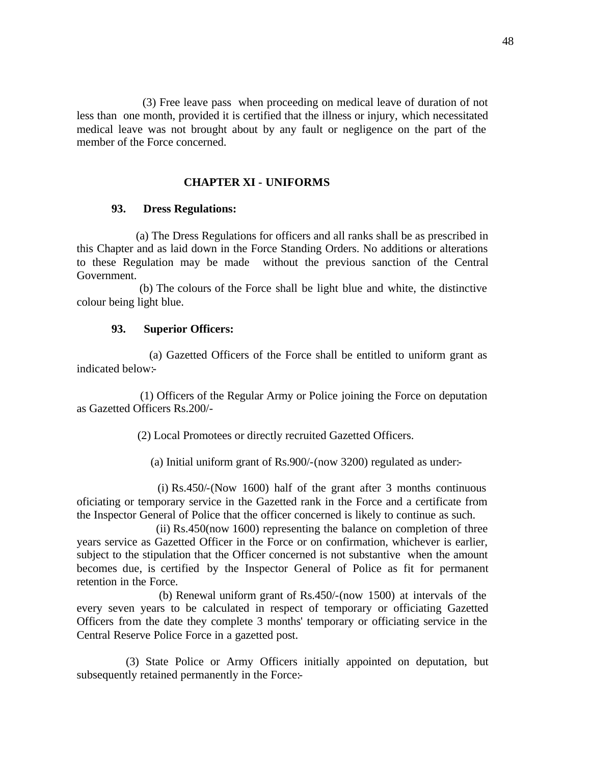(3) Free leave pass when proceeding on medical leave of duration of not less than one month, provided it is certified that the illness or injury, which necessitated medical leave was not brought about by any fault or negligence on the part of the member of the Force concerned.

### **CHAPTER XI - UNIFORMS**

#### **93. Dress Regulations:**

 (a) The Dress Regulations for officers and all ranks shall be as prescribed in this Chapter and as laid down in the Force Standing Orders. No additions or alterations to these Regulation may be made without the previous sanction of the Central Government.

 (b) The colours of the Force shall be light blue and white, the distinctive colour being light blue.

#### **93. Superior Officers:**

 (a) Gazetted Officers of the Force shall be entitled to uniform grant as indicated below:-

 (1) Officers of the Regular Army or Police joining the Force on deputation as Gazetted Officers Rs.200/-

(2) Local Promotees or directly recruited Gazetted Officers.

(a) Initial uniform grant of Rs.900/-(now 3200) regulated as under:-

 (i) Rs.450/-(Now 1600) half of the grant after 3 months continuous oficiating or temporary service in the Gazetted rank in the Force and a certificate from the Inspector General of Police that the officer concerned is likely to continue as such.

 (ii) Rs.450(now 1600) representing the balance on completion of three years service as Gazetted Officer in the Force or on confirmation, whichever is earlier, subject to the stipulation that the Officer concerned is not substantive when the amount becomes due, is certified by the Inspector General of Police as fit for permanent retention in the Force.

 (b) Renewal uniform grant of Rs.450/-(now 1500) at intervals of the every seven years to be calculated in respect of temporary or officiating Gazetted Officers from the date they complete 3 months' temporary or officiating service in the Central Reserve Police Force in a gazetted post.

 (3) State Police or Army Officers initially appointed on deputation, but subsequently retained permanently in the Force:-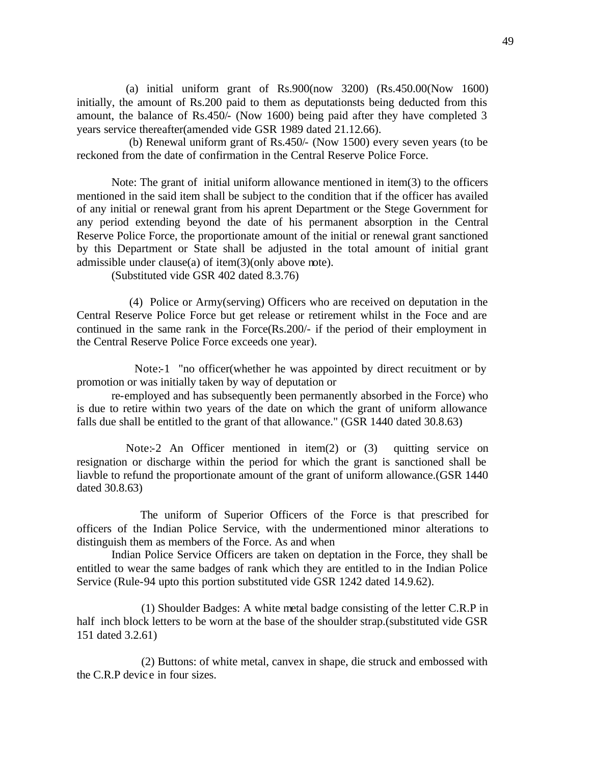(a) initial uniform grant of Rs.900(now 3200) (Rs.450.00(Now 1600) initially, the amount of Rs.200 paid to them as deputationsts being deducted from this amount, the balance of Rs.450/- (Now 1600) being paid after they have completed 3 years service thereafter(amended vide GSR 1989 dated 21.12.66).

 (b) Renewal uniform grant of Rs.450/- (Now 1500) every seven years (to be reckoned from the date of confirmation in the Central Reserve Police Force.

Note: The grant of initial uniform allowance mentioned in item(3) to the officers mentioned in the said item shall be subject to the condition that if the officer has availed of any initial or renewal grant from his aprent Department or the Stege Government for any period extending beyond the date of his permanent absorption in the Central Reserve Police Force, the proportionate amount of the initial or renewal grant sanctioned by this Department or State shall be adjusted in the total amount of initial grant admissible under clause(a) of item(3)(only above note).

(Substituted vide GSR 402 dated 8.3.76)

 (4) Police or Army(serving) Officers who are received on deputation in the Central Reserve Police Force but get release or retirement whilst in the Foce and are continued in the same rank in the Force(Rs.200/- if the period of their employment in the Central Reserve Police Force exceeds one year).

Note:-1 "no officer (whether he was appointed by direct recuitment or by promotion or was initially taken by way of deputation or

re-employed and has subsequently been permanently absorbed in the Force) who is due to retire within two years of the date on which the grant of uniform allowance falls due shall be entitled to the grant of that allowance." (GSR 1440 dated 30.8.63)

Note:-2 An Officer mentioned in item(2) or (3) quitting service on resignation or discharge within the period for which the grant is sanctioned shall be liavble to refund the proportionate amount of the grant of uniform allowance.(GSR 1440 dated 30.8.63)

 The uniform of Superior Officers of the Force is that prescribed for officers of the Indian Police Service, with the undermentioned minor alterations to distinguish them as members of the Force. As and when

Indian Police Service Officers are taken on deptation in the Force, they shall be entitled to wear the same badges of rank which they are entitled to in the Indian Police Service (Rule-94 upto this portion substituted vide GSR 1242 dated 14.9.62).

 (1) Shoulder Badges: A white metal badge consisting of the letter C.R.P in half inch block letters to be worn at the base of the shoulder strap.(substituted vide GSR 151 dated 3.2.61)

 (2) Buttons: of white metal, canvex in shape, die struck and embossed with the C.R.P devic e in four sizes.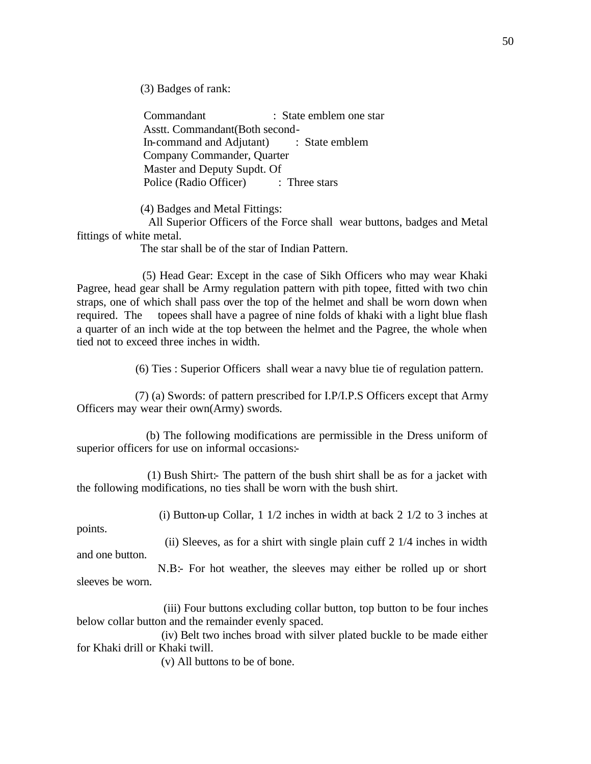(3) Badges of rank:

 Commandant : State emblem one star Asstt. Commandant(Both second- In-command and Adjutant) : State emblem Company Commander, Quarter Master and Deputy Supdt. Of Police (Radio Officer) : Three stars

(4) Badges and Metal Fittings:

 All Superior Officers of the Force shall wear buttons, badges and Metal fittings of white metal.

The star shall be of the star of Indian Pattern.

 (5) Head Gear: Except in the case of Sikh Officers who may wear Khaki Pagree, head gear shall be Army regulation pattern with pith topee, fitted with two chin straps, one of which shall pass over the top of the helmet and shall be worn down when required. The topees shall have a pagree of nine folds of khaki with a light blue flash a quarter of an inch wide at the top between the helmet and the Pagree, the whole when tied not to exceed three inches in width.

(6) Ties : Superior Officers shall wear a navy blue tie of regulation pattern.

 (7) (a) Swords: of pattern prescribed for I.P/I.P.S Officers except that Army Officers may wear their own(Army) swords.

 (b) The following modifications are permissible in the Dress uniform of superior officers for use on informal occasions:-

 (1) Bush Shirt:- The pattern of the bush shirt shall be as for a jacket with the following modifications, no ties shall be worn with the bush shirt.

(i) Button-up Collar, 1 1/2 inches in width at back 2 1/2 to 3 inches at

points.

and one button.

(ii) Sleeves, as for a shirt with single plain cuff 2 1/4 inches in width

 N.B:- For hot weather, the sleeves may either be rolled up or short sleeves be worn.

 (iii) Four buttons excluding collar button, top button to be four inches below collar button and the remainder evenly spaced.

 (iv) Belt two inches broad with silver plated buckle to be made either for Khaki drill or Khaki twill.

(v) All buttons to be of bone.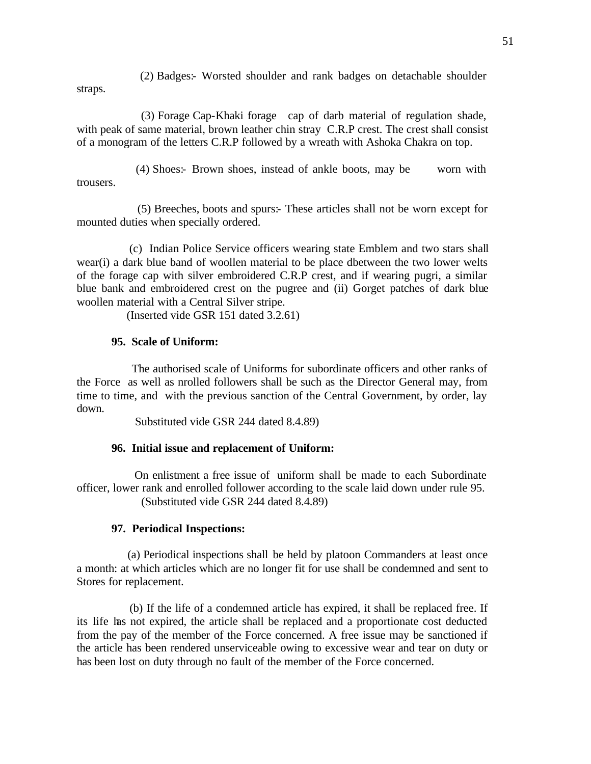(2) Badges:- Worsted shoulder and rank badges on detachable shoulder straps.

 (3) Forage Cap-Khaki forage cap of darb material of regulation shade, with peak of same material, brown leather chin stray C.R.P crest. The crest shall consist of a monogram of the letters C.R.P followed by a wreath with Ashoka Chakra on top.

 (4) Shoes:- Brown shoes, instead of ankle boots, may be worn with trousers.

 (5) Breeches, boots and spurs:- These articles shall not be worn except for mounted duties when specially ordered.

 (c) Indian Police Service officers wearing state Emblem and two stars shall wear(i) a dark blue band of woollen material to be place dbetween the two lower welts of the forage cap with silver embroidered C.R.P crest, and if wearing pugri, a similar blue bank and embroidered crest on the pugree and (ii) Gorget patches of dark blue woollen material with a Central Silver stripe.

(Inserted vide GSR 151 dated 3.2.61)

## **95. Scale of Uniform:**

 The authorised scale of Uniforms for subordinate officers and other ranks of the Force as well as nrolled followers shall be such as the Director General may, from time to time, and with the previous sanction of the Central Government, by order, lay down.

Substituted vide GSR 244 dated 8.4.89)

## **96. Initial issue and replacement of Uniform:**

 On enlistment a free issue of uniform shall be made to each Subordinate officer, lower rank and enrolled follower according to the scale laid down under rule 95. (Substituted vide GSR 244 dated 8.4.89)

## **97. Periodical Inspections:**

 (a) Periodical inspections shall be held by platoon Commanders at least once a month: at which articles which are no longer fit for use shall be condemned and sent to Stores for replacement.

 (b) If the life of a condemned article has expired, it shall be replaced free. If its life has not expired, the article shall be replaced and a proportionate cost deducted from the pay of the member of the Force concerned. A free issue may be sanctioned if the article has been rendered unserviceable owing to excessive wear and tear on duty or has been lost on duty through no fault of the member of the Force concerned.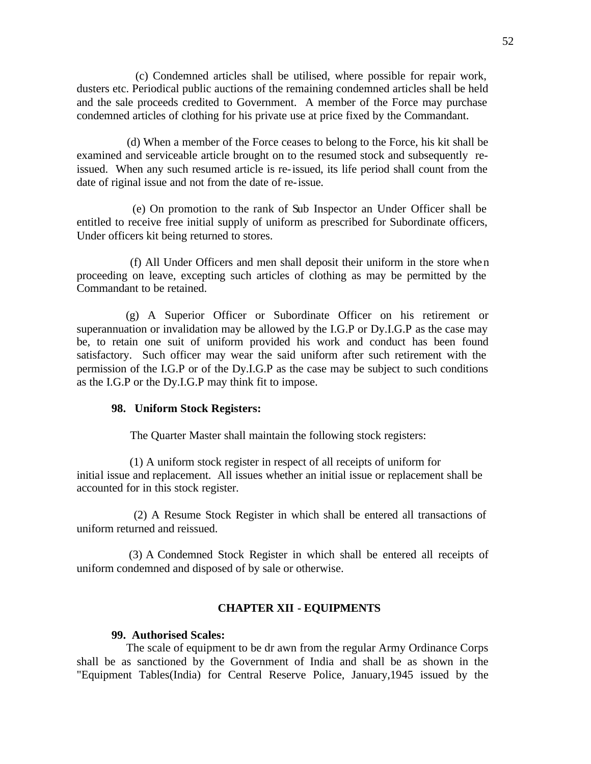(c) Condemned articles shall be utilised, where possible for repair work, dusters etc. Periodical public auctions of the remaining condemned articles shall be held and the sale proceeds credited to Government. A member of the Force may purchase condemned articles of clothing for his private use at price fixed by the Commandant.

 (d) When a member of the Force ceases to belong to the Force, his kit shall be examined and serviceable article brought on to the resumed stock and subsequently reissued. When any such resumed article is re-issued, its life period shall count from the date of riginal issue and not from the date of re-issue.

 (e) On promotion to the rank of Sub Inspector an Under Officer shall be entitled to receive free initial supply of uniform as prescribed for Subordinate officers, Under officers kit being returned to stores.

 (f) All Under Officers and men shall deposit their uniform in the store when proceeding on leave, excepting such articles of clothing as may be permitted by the Commandant to be retained.

 (g) A Superior Officer or Subordinate Officer on his retirement or superannuation or invalidation may be allowed by the I.G.P or Dy.I.G.P as the case may be, to retain one suit of uniform provided his work and conduct has been found satisfactory. Such officer may wear the said uniform after such retirement with the permission of the I.G.P or of the Dy.I.G.P as the case may be subject to such conditions as the I.G.P or the Dy.I.G.P may think fit to impose.

#### **98. Uniform Stock Registers:**

The Quarter Master shall maintain the following stock registers:

 (1) A uniform stock register in respect of all receipts of uniform for initial issue and replacement. All issues whether an initial issue or replacement shall be accounted for in this stock register.

 (2) A Resume Stock Register in which shall be entered all transactions of uniform returned and reissued.

 (3) A Condemned Stock Register in which shall be entered all receipts of uniform condemned and disposed of by sale or otherwise.

#### **CHAPTER XII - EQUIPMENTS**

#### **99. Authorised Scales:**

 The scale of equipment to be dr awn from the regular Army Ordinance Corps shall be as sanctioned by the Government of India and shall be as shown in the "Equipment Tables(India) for Central Reserve Police, January,1945 issued by the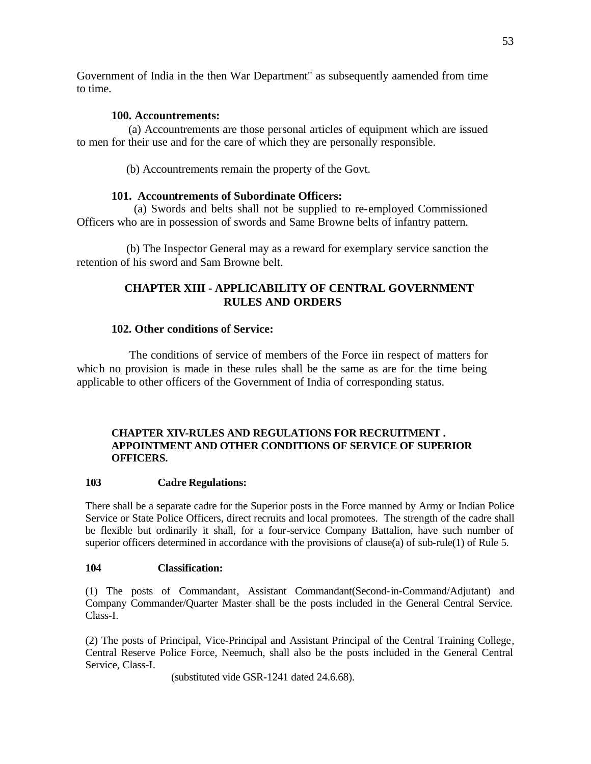Government of India in the then War Department" as subsequently aamended from time to time.

# **100. Accountrements:**

 (a) Accountrements are those personal articles of equipment which are issued to men for their use and for the care of which they are personally responsible.

(b) Accountrements remain the property of the Govt.

## **101. Accountrements of Subordinate Officers:**

 (a) Swords and belts shall not be supplied to re-employed Commissioned Officers who are in possession of swords and Same Browne belts of infantry pattern.

 (b) The Inspector General may as a reward for exemplary service sanction the retention of his sword and Sam Browne belt.

# **CHAPTER XIII - APPLICABILITY OF CENTRAL GOVERNMENT RULES AND ORDERS**

## **102. Other conditions of Service:**

 The conditions of service of members of the Force iin respect of matters for which no provision is made in these rules shall be the same as are for the time being applicable to other officers of the Government of India of corresponding status.

## **CHAPTER XIV-RULES AND REGULATIONS FOR RECRUITMENT . APPOINTMENT AND OTHER CONDITIONS OF SERVICE OF SUPERIOR OFFICERS.**

## **103 Cadre Regulations:**

There shall be a separate cadre for the Superior posts in the Force manned by Army or Indian Police Service or State Police Officers, direct recruits and local promotees. The strength of the cadre shall be flexible but ordinarily it shall, for a four-service Company Battalion, have such number of superior officers determined in accordance with the provisions of clause(a) of sub-rule(1) of Rule 5.

## **104 Classification:**

(1) The posts of Commandant, Assistant Commandant(Second-in-Command/Adjutant) and Company Commander/Quarter Master shall be the posts included in the General Central Service. Class-I.

(2) The posts of Principal, Vice-Principal and Assistant Principal of the Central Training College, Central Reserve Police Force, Neemuch, shall also be the posts included in the General Central Service, Class-I.

(substituted vide GSR-1241 dated 24.6.68).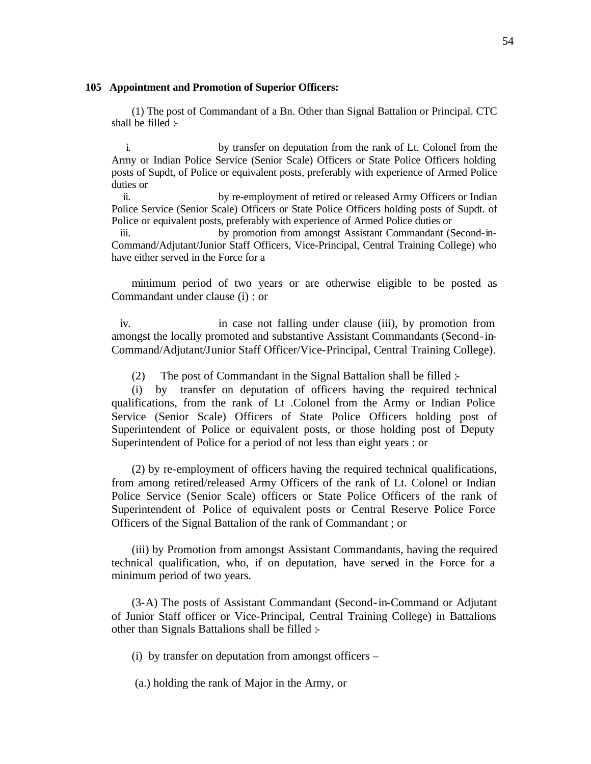#### **105 Appointment and Promotion of Superior Officers:**

(1) The post of Commandant of a Bn. Other than Signal Battalion or Principal. CTC shall be filled :-

i. by transfer on deputation from the rank of Lt. Colonel from the Army or Indian Police Service (Senior Scale) Officers or State Police Officers holding posts of Supdt, of Police or equivalent posts, preferably with experience of Armed Police duties or

ii. by re-employment of retired or released Army Officers or Indian Police Service (Senior Scale) Officers or State Police Officers holding posts of Supdt. of Police or equivalent posts, preferably with experience of Armed Police duties or

iii. by promotion from amongst Assistant Commandant (Second-in-Command/Adjutant/Junior Staff Officers, Vice-Principal, Central Training College) who have either served in the Force for a

minimum period of two years or are otherwise eligible to be posted as Commandant under clause (i) : or

iv. in case not falling under clause (iii), by promotion from amongst the locally promoted and substantive Assistant Commandants (Second-in-Command/Adjutant/Junior Staff Officer/Vice-Principal, Central Training College).

(2) The post of Commandant in the Signal Battalion shall be filled :-

(i) by transfer on deputation of officers having the required technical qualifications, from the rank of Lt .Colonel from the Army or Indian Police Service (Senior Scale) Officers of State Police Officers holding post of Superintendent of Police or equivalent posts, or those holding post of Deputy Superintendent of Police for a period of not less than eight years : or

(2) by re-employment of officers having the required technical qualifications, from among retired/released Army Officers of the rank of Lt. Colonel or Indian Police Service (Senior Scale) officers or State Police Officers of the rank of Superintendent of Police of equivalent posts or Central Reserve Police Force Officers of the Signal Battalion of the rank of Commandant ; or

(iii) by Promotion from amongst Assistant Commandants, having the required technical qualification, who, if on deputation, have served in the Force for a minimum period of two years.

(3-A) The posts of Assistant Commandant (Second-in-Command or Adjutant of Junior Staff officer or Vice-Principal, Central Training College) in Battalions other than Signals Battalions shall be filled :-

(i) by transfer on deputation from amongst officers –

(a.) holding the rank of Major in the Army, or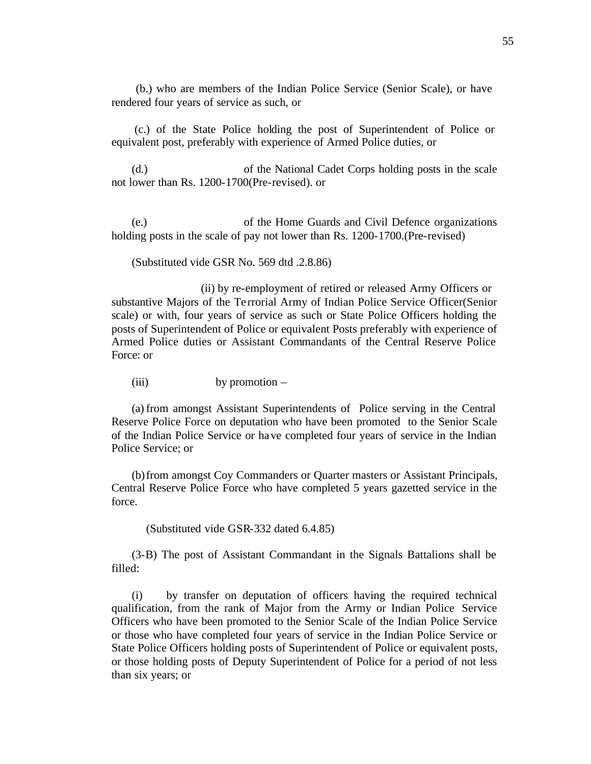(b.) who are members of the Indian Police Service (Senior Scale), or have rendered four years of service as such, or

 (c.) of the State Police holding the post of Superintendent of Police or equivalent post, preferably with experience of Armed Police duties, or

(d.) of the National Cadet Corps holding posts in the scale not lower than Rs. 1200-1700(Pre-revised). or

(e.) of the Home Guards and Civil Defence organizations holding posts in the scale of pay not lower than Rs. 1200-1700.(Pre-revised)

(Substituted vide GSR No. 569 dtd .2.8.86)

 (ii) by re-employment of retired or released Army Officers or substantive Majors of the Te rrorial Army of Indian Police Service Officer(Senior scale) or with, four years of service as such or State Police Officers holding the posts of Superintendent of Police or equivalent Posts preferably with experience of Armed Police duties or Assistant Commandants of the Central Reserve Police Force: or

(iii) by promotion –

(a) from amongst Assistant Superintendents of Police serving in the Central Reserve Police Force on deputation who have been promoted to the Senior Scale of the Indian Police Service or have completed four years of service in the Indian Police Service; or

(b)from amongst Coy Commanders or Quarter masters or Assistant Principals, Central Reserve Police Force who have completed 5 years gazetted service in the force.

(Substituted vide GSR-332 dated 6.4.85)

(3-B) The post of Assistant Commandant in the Signals Battalions shall be filled:

(i) by transfer on deputation of officers having the required technical qualification, from the rank of Major from the Army or Indian Police Service Officers who have been promoted to the Senior Scale of the Indian Police Service or those who have completed four years of service in the Indian Police Service or State Police Officers holding posts of Superintendent of Police or equivalent posts, or those holding posts of Deputy Superintendent of Police for a period of not less than six years; or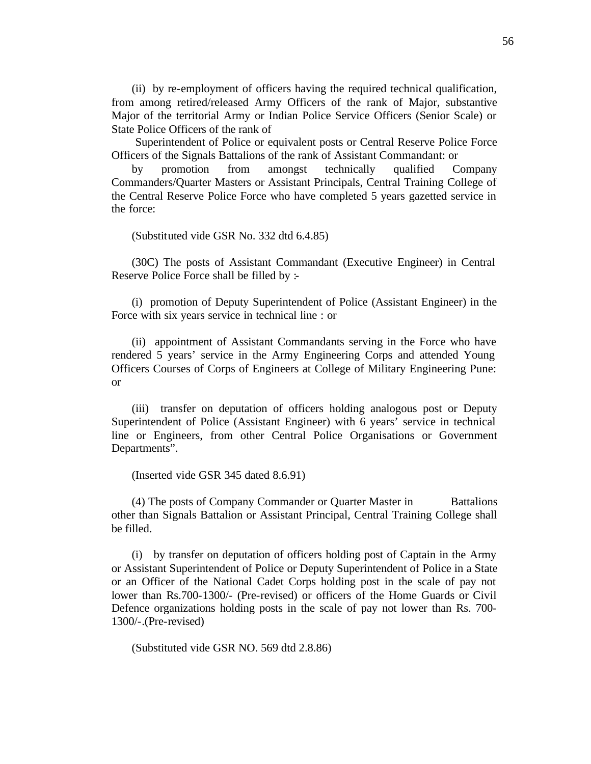(ii) by re-employment of officers having the required technical qualification, from among retired/released Army Officers of the rank of Major, substantive Major of the territorial Army or Indian Police Service Officers (Senior Scale) or State Police Officers of the rank of

 Superintendent of Police or equivalent posts or Central Reserve Police Force Officers of the Signals Battalions of the rank of Assistant Commandant: or

by promotion from amongst technically qualified Company Commanders/Quarter Masters or Assistant Principals, Central Training College of the Central Reserve Police Force who have completed 5 years gazetted service in the force:

(Substituted vide GSR No. 332 dtd 6.4.85)

(30C) The posts of Assistant Commandant (Executive Engineer) in Central Reserve Police Force shall be filled by :-

(i) promotion of Deputy Superintendent of Police (Assistant Engineer) in the Force with six years service in technical line : or

(ii) appointment of Assistant Commandants serving in the Force who have rendered 5 years' service in the Army Engineering Corps and attended Young Officers Courses of Corps of Engineers at College of Military Engineering Pune: or

(iii) transfer on deputation of officers holding analogous post or Deputy Superintendent of Police (Assistant Engineer) with 6 years' service in technical line or Engineers, from other Central Police Organisations or Government Departments".

(Inserted vide GSR 345 dated 8.6.91)

(4) The posts of Company Commander or Quarter Master in Battalions other than Signals Battalion or Assistant Principal, Central Training College shall be filled.

(i) by transfer on deputation of officers holding post of Captain in the Army or Assistant Superintendent of Police or Deputy Superintendent of Police in a State or an Officer of the National Cadet Corps holding post in the scale of pay not lower than Rs.700-1300/- (Pre-revised) or officers of the Home Guards or Civil Defence organizations holding posts in the scale of pay not lower than Rs. 700- 1300/-.(Pre-revised)

(Substituted vide GSR NO. 569 dtd 2.8.86)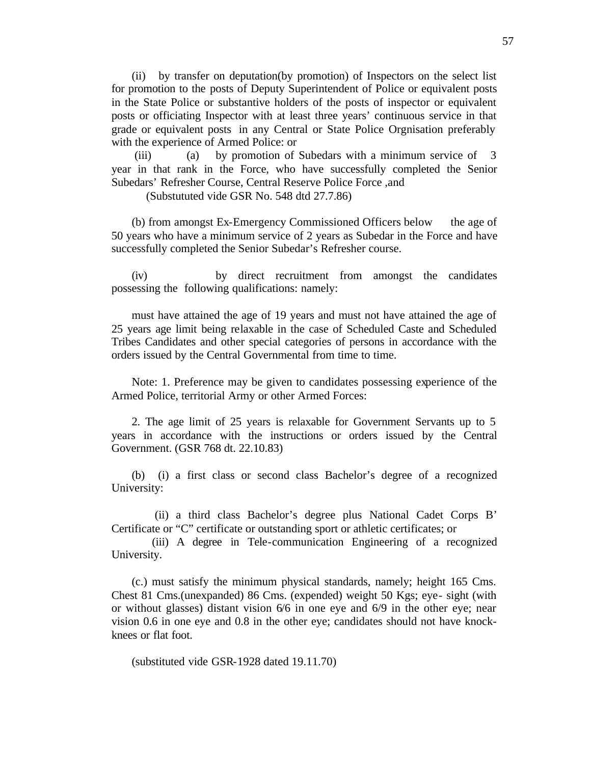(ii) by transfer on deputation(by promotion) of Inspectors on the select list for promotion to the posts of Deputy Superintendent of Police or equivalent posts in the State Police or substantive holders of the posts of inspector or equivalent posts or officiating Inspector with at least three years' continuous service in that grade or equivalent posts in any Central or State Police Orgnisation preferably with the experience of Armed Police: or

 (iii) (a) by promotion of Subedars with a minimum service of 3 year in that rank in the Force, who have successfully completed the Senior Subedars' Refresher Course, Central Reserve Police Force ,and

(Substututed vide GSR No. 548 dtd 27.7.86)

(b) from amongst Ex-Emergency Commissioned Officers below the age of 50 years who have a minimum service of 2 years as Subedar in the Force and have successfully completed the Senior Subedar's Refresher course.

(iv) by direct recruitment from amongst the candidates possessing the following qualifications: namely:

must have attained the age of 19 years and must not have attained the age of 25 years age limit being relaxable in the case of Scheduled Caste and Scheduled Tribes Candidates and other special categories of persons in accordance with the orders issued by the Central Governmental from time to time.

Note: 1. Preference may be given to candidates possessing experience of the Armed Police, territorial Army or other Armed Forces:

2. The age limit of 25 years is relaxable for Government Servants up to 5 years in accordance with the instructions or orders issued by the Central Government. (GSR 768 dt. 22.10.83)

(b) (i) a first class or second class Bachelor's degree of a recognized University:

 (ii) a third class Bachelor's degree plus National Cadet Corps B' Certificate or "C" certificate or outstanding sport or athletic certificates; or

 (iii) A degree in Tele-communication Engineering of a recognized University.

(c.) must satisfy the minimum physical standards, namely; height 165 Cms. Chest 81 Cms.(unexpanded) 86 Cms. (expended) weight 50 Kgs; eye- sight (with or without glasses) distant vision 6/6 in one eye and 6/9 in the other eye; near vision 0.6 in one eye and 0.8 in the other eye; candidates should not have knockknees or flat foot.

(substituted vide GSR-1928 dated 19.11.70)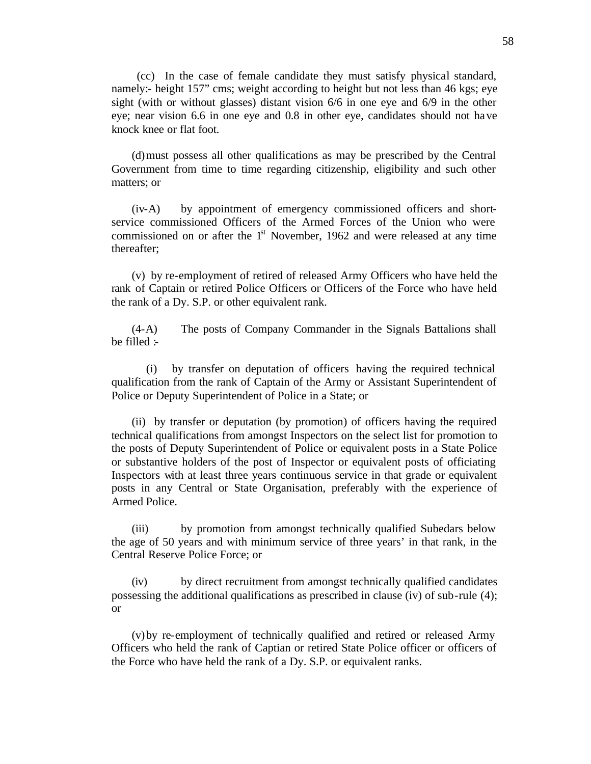(cc) In the case of female candidate they must satisfy physical standard, namely:- height 157" cms; weight according to height but not less than 46 kgs; eye sight (with or without glasses) distant vision 6/6 in one eye and 6/9 in the other eye; near vision 6.6 in one eye and 0.8 in other eye, candidates should not have knock knee or flat foot.

(d)must possess all other qualifications as may be prescribed by the Central Government from time to time regarding citizenship, eligibility and such other matters; or

(iv-A) by appointment of emergency commissioned officers and shortservice commissioned Officers of the Armed Forces of the Union who were commissioned on or after the  $1<sup>st</sup>$  November, 1962 and were released at any time thereafter;

(v) by re-employment of retired of released Army Officers who have held the rank of Captain or retired Police Officers or Officers of the Force who have held the rank of a Dy. S.P. or other equivalent rank.

(4-A) The posts of Company Commander in the Signals Battalions shall be filled  $\div$ 

(i) by transfer on deputation of officers having the required technical qualification from the rank of Captain of the Army or Assistant Superintendent of Police or Deputy Superintendent of Police in a State; or

(ii) by transfer or deputation (by promotion) of officers having the required technical qualifications from amongst Inspectors on the select list for promotion to the posts of Deputy Superintendent of Police or equivalent posts in a State Police or substantive holders of the post of Inspector or equivalent posts of officiating Inspectors with at least three years continuous service in that grade or equivalent posts in any Central or State Organisation, preferably with the experience of Armed Police.

(iii) by promotion from amongst technically qualified Subedars below the age of 50 years and with minimum service of three years' in that rank, in the Central Reserve Police Force; or

(iv) by direct recruitment from amongst technically qualified candidates possessing the additional qualifications as prescribed in clause (iv) of sub-rule (4); or

(v)by re-employment of technically qualified and retired or released Army Officers who held the rank of Captian or retired State Police officer or officers of the Force who have held the rank of a Dy. S.P. or equivalent ranks.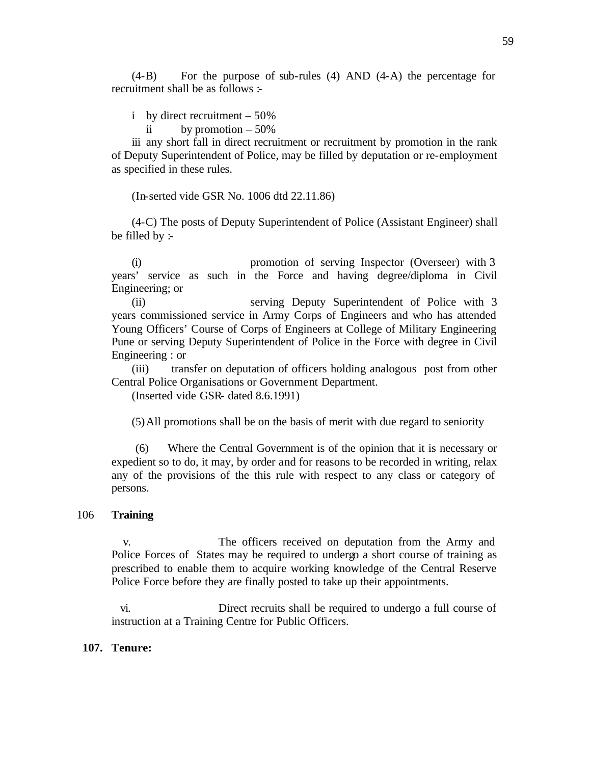(4-B) For the purpose of sub-rules (4) AND (4-A) the percentage for recruitment shall be as follows :-

i by direct recruitment – 50%

ii by promotion  $-50\%$ 

iii any short fall in direct recruitment or recruitment by promotion in the rank of Deputy Superintendent of Police, may be filled by deputation or re-employment as specified in these rules.

(In-serted vide GSR No. 1006 dtd 22.11.86)

(4-C) The posts of Deputy Superintendent of Police (Assistant Engineer) shall be filled by :-

(i) promotion of serving Inspector (Overseer) with 3 years' service as such in the Force and having degree/diploma in Civil Engineering; or

(ii) serving Deputy Superintendent of Police with 3 years commissioned service in Army Corps of Engineers and who has attended Young Officers' Course of Corps of Engineers at College of Military Engineering Pune or serving Deputy Superintendent of Police in the Force with degree in Civil Engineering : or

(iii) transfer on deputation of officers holding analogous post from other Central Police Organisations or Government Department.

(Inserted vide GSR- dated 8.6.1991)

(5)All promotions shall be on the basis of merit with due regard to seniority

 (6) Where the Central Government is of the opinion that it is necessary or expedient so to do, it may, by order and for reasons to be recorded in writing, relax any of the provisions of the this rule with respect to any class or category of persons.

### 106 **Training**

v. The officers received on deputation from the Army and Police Forces of States may be required to undergo a short course of training as prescribed to enable them to acquire working knowledge of the Central Reserve Police Force before they are finally posted to take up their appointments.

vi. Direct recruits shall be required to undergo a full course of instruction at a Training Centre for Public Officers.

#### **107. Tenure:**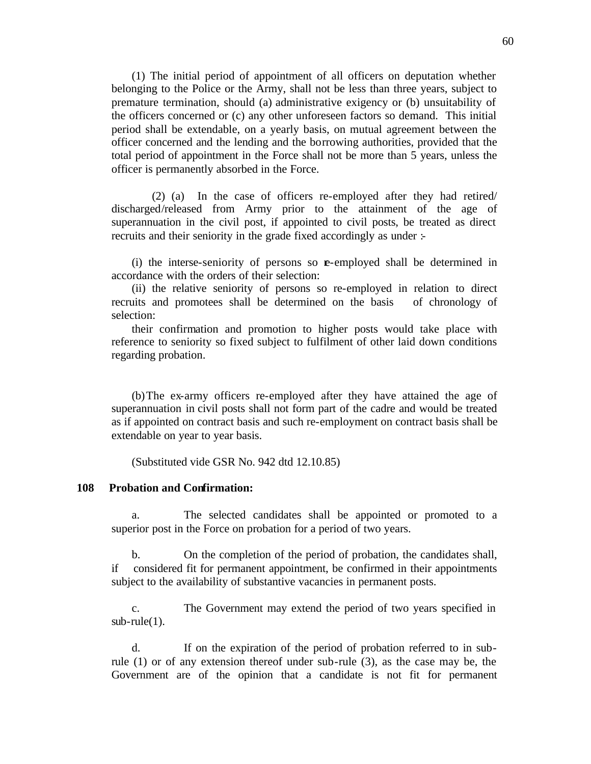(1) The initial period of appointment of all officers on deputation whether belonging to the Police or the Army, shall not be less than three years, subject to premature termination, should (a) administrative exigency or (b) unsuitability of the officers concerned or (c) any other unforeseen factors so demand. This initial period shall be extendable, on a yearly basis, on mutual agreement between the officer concerned and the lending and the borrowing authorities, provided that the total period of appointment in the Force shall not be more than 5 years, unless the officer is permanently absorbed in the Force.

 (2) (a) In the case of officers re-employed after they had retired/ discharged/released from Army prior to the attainment of the age of superannuation in the civil post, if appointed to civil posts, be treated as direct recruits and their seniority in the grade fixed accordingly as under :-

(i) the interse-seniority of persons so **e**-employed shall be determined in accordance with the orders of their selection:

(ii) the relative seniority of persons so re-employed in relation to direct recruits and promotees shall be determined on the basis of chronology of selection:

their confirmation and promotion to higher posts would take place with reference to seniority so fixed subject to fulfilment of other laid down conditions regarding probation.

(b)The ex-army officers re-employed after they have attained the age of superannuation in civil posts shall not form part of the cadre and would be treated as if appointed on contract basis and such re-employment on contract basis shall be extendable on year to year basis.

(Substituted vide GSR No. 942 dtd 12.10.85)

#### **108 Probation and Confirmation:**

a. The selected candidates shall be appointed or promoted to a superior post in the Force on probation for a period of two years.

b. On the completion of the period of probation, the candidates shall, if considered fit for permanent appointment, be confirmed in their appointments subject to the availability of substantive vacancies in permanent posts.

c. The Government may extend the period of two years specified in  $sub$ -rule $(1)$ .

d. If on the expiration of the period of probation referred to in subrule (1) or of any extension thereof under sub-rule (3), as the case may be, the Government are of the opinion that a candidate is not fit for permanent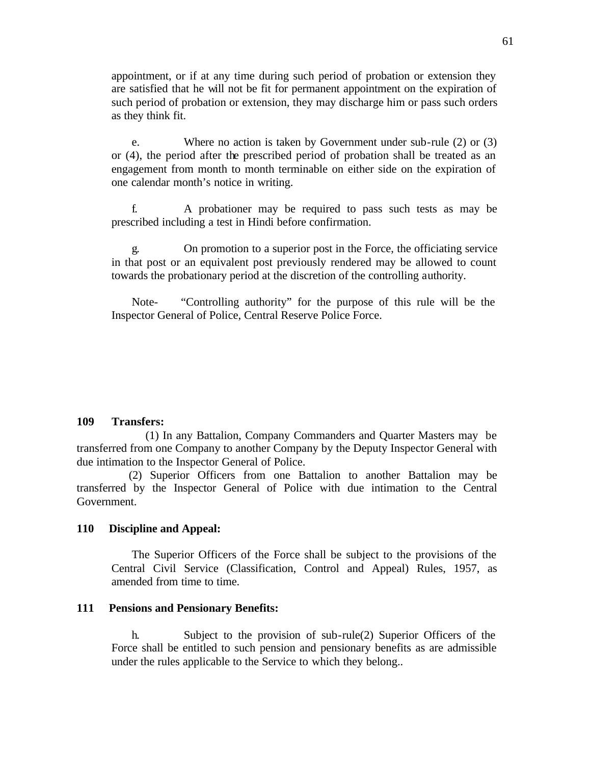appointment, or if at any time during such period of probation or extension they are satisfied that he will not be fit for permanent appointment on the expiration of such period of probation or extension, they may discharge him or pass such orders as they think fit.

e. Where no action is taken by Government under sub-rule (2) or (3) or (4), the period after the prescribed period of probation shall be treated as an engagement from month to month terminable on either side on the expiration of one calendar month's notice in writing.

f. A probationer may be required to pass such tests as may be prescribed including a test in Hindi before confirmation.

g. On promotion to a superior post in the Force, the officiating service in that post or an equivalent post previously rendered may be allowed to count towards the probationary period at the discretion of the controlling authority.

Note- "Controlling authority" for the purpose of this rule will be the Inspector General of Police, Central Reserve Police Force.

## **109 Transfers:**

 (1) In any Battalion, Company Commanders and Quarter Masters may be transferred from one Company to another Company by the Deputy Inspector General with due intimation to the Inspector General of Police.

 (2) Superior Officers from one Battalion to another Battalion may be transferred by the Inspector General of Police with due intimation to the Central Government.

#### **110 Discipline and Appeal:**

The Superior Officers of the Force shall be subject to the provisions of the Central Civil Service (Classification, Control and Appeal) Rules, 1957, as amended from time to time.

#### **111 Pensions and Pensionary Benefits:**

h. Subject to the provision of sub-rule(2) Superior Officers of the Force shall be entitled to such pension and pensionary benefits as are admissible under the rules applicable to the Service to which they belong..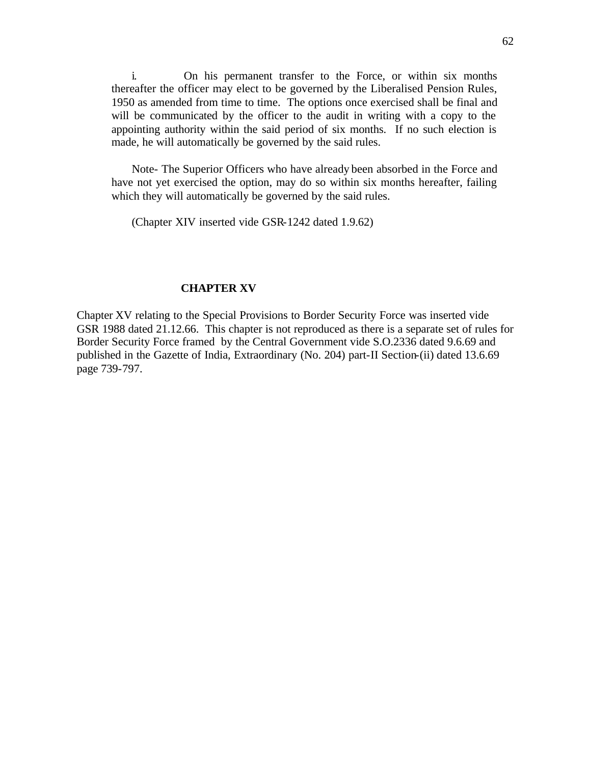i. On his permanent transfer to the Force, or within six months thereafter the officer may elect to be governed by the Liberalised Pension Rules, 1950 as amended from time to time. The options once exercised shall be final and will be communicated by the officer to the audit in writing with a copy to the appointing authority within the said period of six months. If no such election is made, he will automatically be governed by the said rules.

Note- The Superior Officers who have already been absorbed in the Force and have not yet exercised the option, may do so within six months hereafter, failing which they will automatically be governed by the said rules.

(Chapter XIV inserted vide GSR-1242 dated 1.9.62)

## **CHAPTER XV**

Chapter XV relating to the Special Provisions to Border Security Force was inserted vide GSR 1988 dated 21.12.66. This chapter is not reproduced as there is a separate set of rules for Border Security Force framed by the Central Government vide S.O.2336 dated 9.6.69 and published in the Gazette of India, Extraordinary (No. 204) part-II Section-(ii) dated 13.6.69 page 739-797.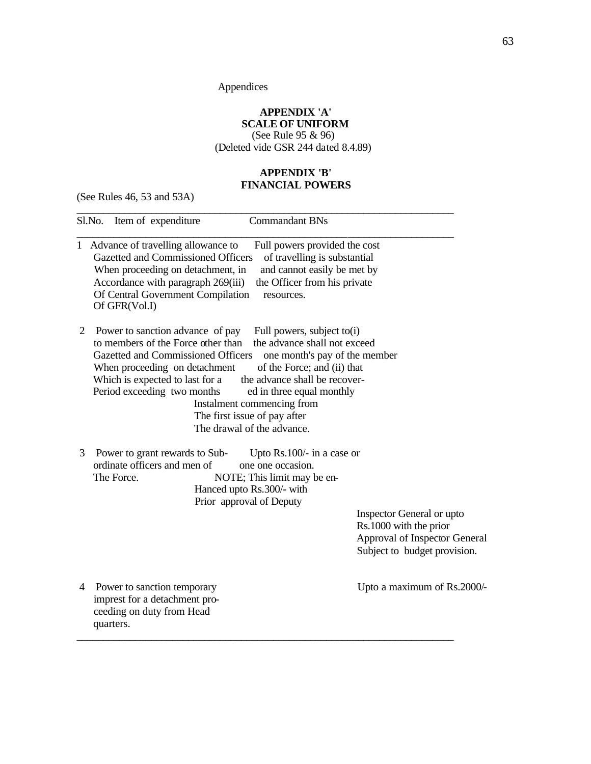Appendices

## **APPENDIX 'A' SCALE OF UNIFORM**

(See Rule 95 & 96) (Deleted vide GSR 244 dated 8.4.89)

# **APPENDIX 'B' FINANCIAL POWERS**

(See Rules 46, 53 and 53A)

|   | Item of expenditure<br><b>Commandant BNs</b><br>Sl.No.                                                                                                                                                                                                                                                                                                                                                                                                                                                  |                                                                                                                      |
|---|---------------------------------------------------------------------------------------------------------------------------------------------------------------------------------------------------------------------------------------------------------------------------------------------------------------------------------------------------------------------------------------------------------------------------------------------------------------------------------------------------------|----------------------------------------------------------------------------------------------------------------------|
|   | 1 Advance of travelling allowance to<br>Full powers provided the cost<br>Gazetted and Commissioned Officers<br>of travelling is substantial<br>When proceeding on detachment, in<br>and cannot easily be met by<br>Accordance with paragraph 269(iii)<br>the Officer from his private<br>Of Central Government Compilation<br>resources.<br>Of GFR(Vol.I)                                                                                                                                               |                                                                                                                      |
| 2 | Full powers, subject to(i)<br>Power to sanction advance of pay<br>to members of the Force other than<br>the advance shall not exceed<br>Gazetted and Commissioned Officers<br>one month's pay of the member<br>of the Force; and (ii) that<br>When proceeding on detachment<br>Which is expected to last for a<br>the advance shall be recover-<br>Period exceeding two months<br>ed in three equal monthly<br>Instalment commencing from<br>The first issue of pay after<br>The drawal of the advance. |                                                                                                                      |
| 3 | Power to grant rewards to Sub-<br>Upto Rs.100/- in a case or<br>ordinate officers and men of<br>one one occasion.<br>The Force.<br>NOTE; This limit may be en-<br>Hanced upto Rs.300/- with<br>Prior approval of Deputy                                                                                                                                                                                                                                                                                 | Inspector General or upto<br>Rs.1000 with the prior<br>Approval of Inspector General<br>Subject to budget provision. |
| 4 | Power to sanction temporary<br>imprest for a detachment pro-<br>ceeding on duty from Head<br>quarters.                                                                                                                                                                                                                                                                                                                                                                                                  | Upto a maximum of Rs.2000/-                                                                                          |

\_\_\_\_\_\_\_\_\_\_\_\_\_\_\_\_\_\_\_\_\_\_\_\_\_\_\_\_\_\_\_\_\_\_\_\_\_\_\_\_\_\_\_\_\_\_\_\_\_\_\_\_\_\_\_\_\_\_\_\_\_\_\_\_\_\_\_\_\_\_\_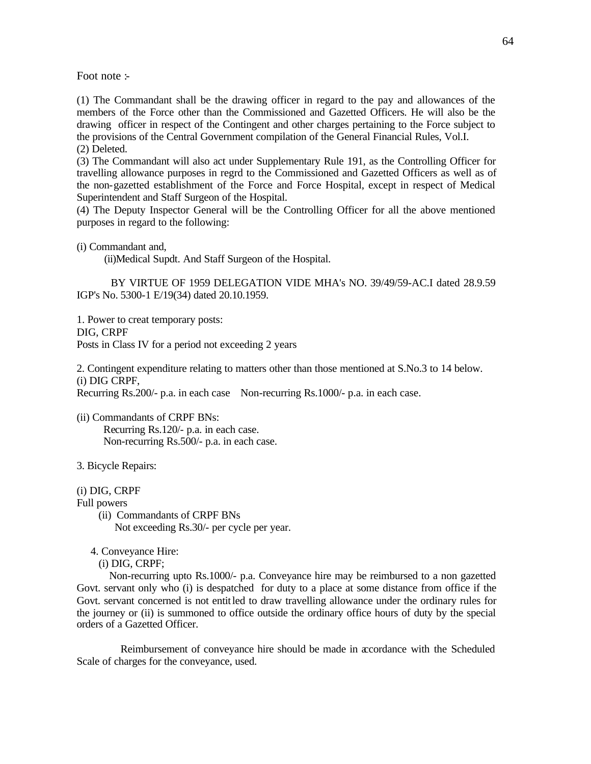Foot note :-

(1) The Commandant shall be the drawing officer in regard to the pay and allowances of the members of the Force other than the Commissioned and Gazetted Officers. He will also be the drawing officer in respect of the Contingent and other charges pertaining to the Force subject to the provisions of the Central Government compilation of the General Financial Rules, Vol.I.

(2) Deleted.

(3) The Commandant will also act under Supplementary Rule 191, as the Controlling Officer for travelling allowance purposes in regrd to the Commissioned and Gazetted Officers as well as of the non-gazetted establishment of the Force and Force Hospital, except in respect of Medical Superintendent and Staff Surgeon of the Hospital.

(4) The Deputy Inspector General will be the Controlling Officer for all the above mentioned purposes in regard to the following:

(i) Commandant and,

(ii)Medical Supdt. And Staff Surgeon of the Hospital.

 BY VIRTUE OF 1959 DELEGATION VIDE MHA's NO. 39/49/59-AC.I dated 28.9.59 IGP's No. 5300-1 E/19(34) dated 20.10.1959.

1. Power to creat temporary posts: DIG, CRPF Posts in Class IV for a period not exceeding 2 years

2. Contingent expenditure relating to matters other than those mentioned at S.No.3 to 14 below. (i) DIG CRPF,

Recurring Rs.200/- p.a. in each case Non-recurring Rs.1000/- p.a. in each case.

(ii) Commandants of CRPF BNs: Recurring Rs.120/- p.a. in each case. Non-recurring Rs.500/- p.a. in each case.

3. Bicycle Repairs:

(i) DIG, CRPF

Full powers

- (ii) Commandants of CRPF BNs Not exceeding Rs.30/- per cycle per year.
- 4. Conveyance Hire:

(i) DIG, CRPF;

 Non-recurring upto Rs.1000/- p.a. Conveyance hire may be reimbursed to a non gazetted Govt. servant only who (i) is despatched for duty to a place at some distance from office if the Govt. servant concerned is not entitled to draw travelling allowance under the ordinary rules for the journey or (ii) is summoned to office outside the ordinary office hours of duty by the special orders of a Gazetted Officer.

 Reimbursement of conveyance hire should be made in accordance with the Scheduled Scale of charges for the conveyance, used.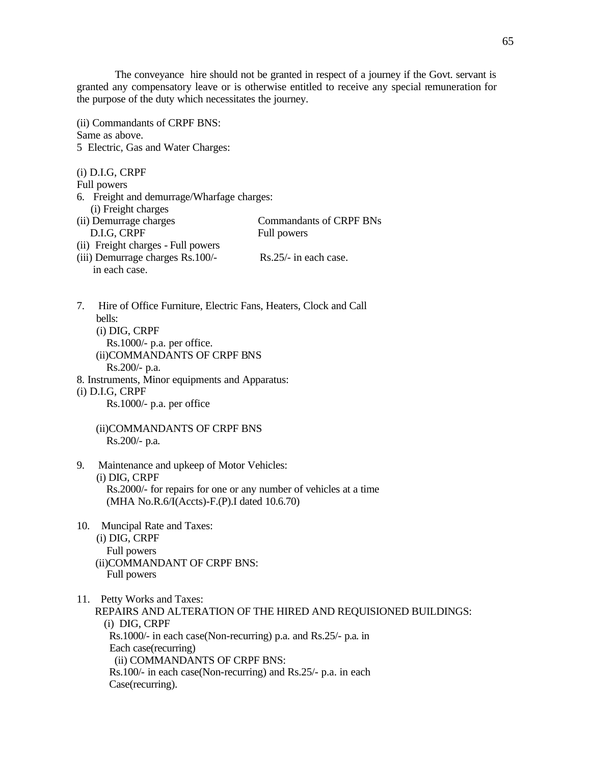The conveyance hire should not be granted in respect of a journey if the Govt. servant is granted any compensatory leave or is otherwise entitled to receive any special remuneration for the purpose of the duty which necessitates the journey.

(ii) Commandants of CRPF BNS: Same as above. 5 Electric, Gas and Water Charges:

(i) D.I.G, CRPF Full powers 6. Freight and demurrage/Wharfage charges: (ii) Freight charges<br>(ii) Demurrage charges Commandants of CRPF BNs D.I.G, CRPF Full powers (ii) Freight charges - Full powers (iii) Demurrage charges Rs.100/- Rs.25/- in each case. in each case.

7. Hire of Office Furniture, Electric Fans, Heaters, Clock and Call bells: (i) DIG, CRPF Rs.1000/- p.a. per office. (ii)COMMANDANTS OF CRPF BNS Rs.200/- p.a. 8. Instruments, Minor equipments and Apparatus: (i) D.I.G, CRPF

Rs.1000/- p.a. per office

 (ii)COMMANDANTS OF CRPF BNS Rs.200/- p.a.

- 9. Maintenance and upkeep of Motor Vehicles: (i) DIG, CRPF Rs.2000/- for repairs for one or any number of vehicles at a time (MHA No.R.6/I(Accts)-F.(P).I dated 10.6.70)
- 10. Muncipal Rate and Taxes: (i) DIG, CRPF Full powers (ii)COMMANDANT OF CRPF BNS: Full powers

11. Petty Works and Taxes: REPAIRS AND ALTERATION OF THE HIRED AND REQUISIONED BUILDINGS: (i) DIG, CRPF Rs.1000/- in each case(Non-recurring) p.a. and Rs.25/- p.a. in Each case(recurring) (ii) COMMANDANTS OF CRPF BNS: Rs.100/- in each case(Non-recurring) and Rs.25/- p.a. in each Case(recurring).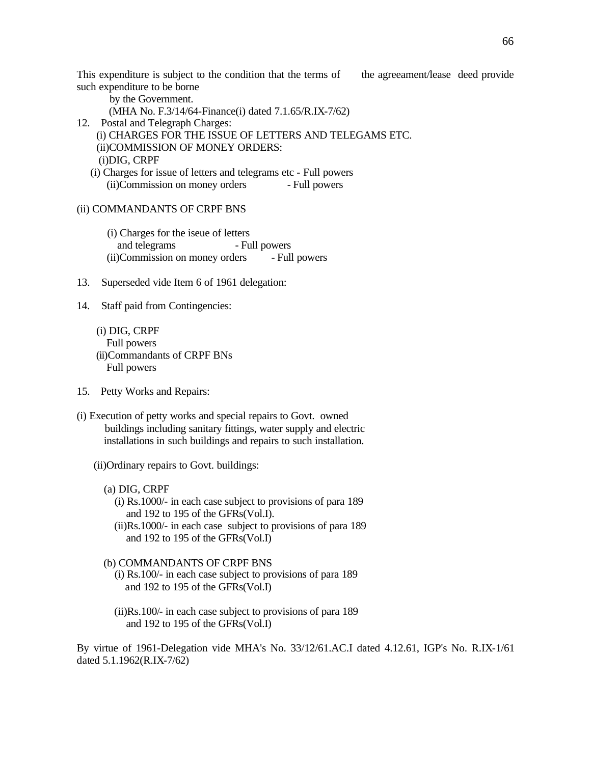This expenditure is subject to the condition that the terms of the agreeament/lease deed provide such expenditure to be borne

by the Government.

(MHA No. F.3/14/64-Finance(i) dated 7.1.65/R.IX-7/62)

12. Postal and Telegraph Charges:

 (i) CHARGES FOR THE ISSUE OF LETTERS AND TELEGAMS ETC. (ii)COMMISSION OF MONEY ORDERS:

(i)DIG, CRPF

 (i) Charges for issue of letters and telegrams etc - Full powers (ii)Commission on money orders - Full powers

## (ii) COMMANDANTS OF CRPF BNS

- (i) Charges for the iseue of letters and telegrams - Full powers (ii)Commission on money orders - Full powers
- 13. Superseded vide Item 6 of 1961 delegation:

14. Staff paid from Contingencies:

 (i) DIG, CRPF Full powers (ii)Commandants of CRPF BNs Full powers

- 15. Petty Works and Repairs:
- (i) Execution of petty works and special repairs to Govt. owned buildings including sanitary fittings, water supply and electric installations in such buildings and repairs to such installation.

(ii)Ordinary repairs to Govt. buildings:

- (a) DIG, CRPF
	- (i) Rs.1000/- in each case subject to provisions of para 189 and 192 to 195 of the GFRs(Vol.I).
	- (ii)Rs.1000/- in each case subject to provisions of para 189 and 192 to 195 of the GFRs(Vol.I)

## (b) COMMANDANTS OF CRPF BNS

- (i) Rs.100/- in each case subject to provisions of para 189 and 192 to 195 of the GFRs(Vol.I)
- (ii)Rs.100/- in each case subject to provisions of para 189 and 192 to 195 of the GFRs(Vol.I)

By virtue of 1961-Delegation vide MHA's No. 33/12/61.AC.I dated 4.12.61, IGP's No. R.IX-1/61 dated 5.1.1962(R.IX-7/62)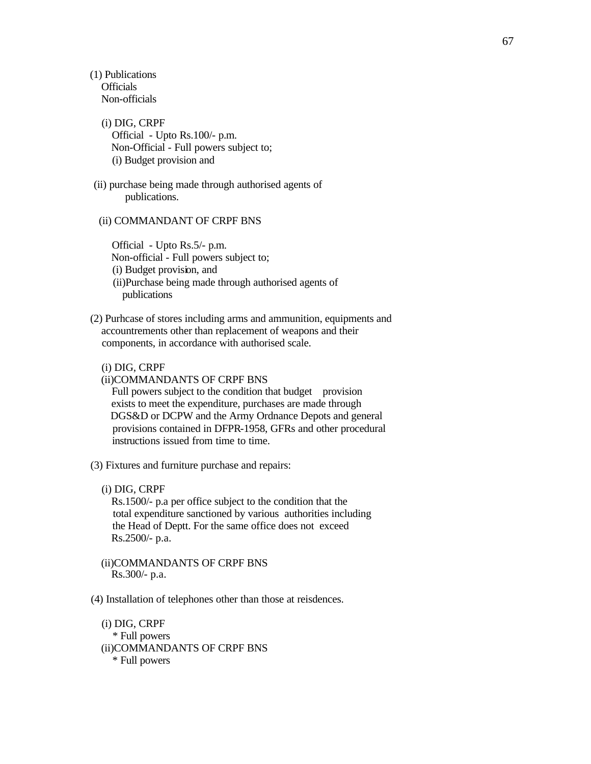(1) Publications Officials Non-officials

- (i) DIG, CRPF Official - Upto Rs.100/- p.m. Non-Official - Full powers subject to; (i) Budget provision and
- (ii) purchase being made through authorised agents of publications.

#### (ii) COMMANDANT OF CRPF BNS

 Official - Upto Rs.5/- p.m. Non-official - Full powers subject to; (i) Budget provision, and (ii)Purchase being made through authorised agents of publications

 (2) Purhcase of stores including arms and ammunition, equipments and accountrements other than replacement of weapons and their components, in accordance with authorised scale.

(i) DIG, CRPF

(ii)COMMANDANTS OF CRPF BNS

Full powers subject to the condition that budget provision exists to meet the expenditure, purchases are made through DGS&D or DCPW and the Army Ordnance Depots and general provisions contained in DFPR-1958, GFRs and other procedural instructions issued from time to time.

(3) Fixtures and furniture purchase and repairs:

(i) DIG, CRPF

 Rs.1500/- p.a per office subject to the condition that the total expenditure sanctioned by various authorities including the Head of Deptt. For the same office does not exceed Rs.2500/- p.a.

- (ii)COMMANDANTS OF CRPF BNS Rs.300/- p.a.
- (4) Installation of telephones other than those at reisdences.

 (i) DIG, CRPF \* Full powers (ii)COMMANDANTS OF CRPF BNS \* Full powers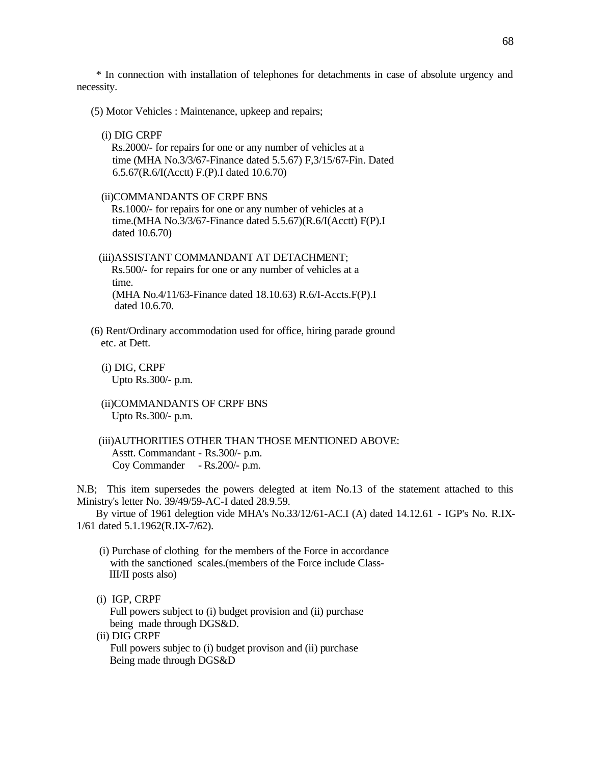\* In connection with installation of telephones for detachments in case of absolute urgency and necessity.

(5) Motor Vehicles : Maintenance, upkeep and repairs;

(i) DIG CRPF

 Rs.2000/- for repairs for one or any number of vehicles at a time (MHA No.3/3/67-Finance dated 5.5.67) F,3/15/67-Fin. Dated 6.5.67(R.6/I(Acctt) F.(P).I dated 10.6.70)

#### (ii)COMMANDANTS OF CRPF BNS

 Rs.1000/- for repairs for one or any number of vehicles at a time.(MHA No.3/3/67-Finance dated 5.5.67)(R.6/I(Acctt) F(P).I dated 10.6.70)

 (iii)ASSISTANT COMMANDANT AT DETACHMENT; Rs.500/- for repairs for one or any number of vehicles at a time. (MHA No.4/11/63-Finance dated 18.10.63) R.6/I-Accts.F(P).I dated 10.6.70.

- (6) Rent/Ordinary accommodation used for office, hiring parade ground etc. at Dett.
	- (i) DIG, CRPF Upto Rs.300/- p.m.
	- (ii)COMMANDANTS OF CRPF BNS Upto Rs.300/- p.m.
	- (iii)AUTHORITIES OTHER THAN THOSE MENTIONED ABOVE: Asstt. Commandant - Rs.300/- p.m. Coy Commander - Rs.200/- p.m.

N.B; This item supersedes the powers delegted at item No.13 of the statement attached to this Ministry's letter No. 39/49/59-AC-I dated 28.9.59.

 By virtue of 1961 delegtion vide MHA's No.33/12/61-AC.I (A) dated 14.12.61 - IGP's No. R.IX-1/61 dated 5.1.1962(R.IX-7/62).

- (i) Purchase of clothing for the members of the Force in accordance with the sanctioned scales.(members of the Force include Class- III/II posts also)
- (i) IGP, CRPF

 Full powers subject to (i) budget provision and (ii) purchase being made through DGS&D.

(ii) DIG CRPF

 Full powers subjec to (i) budget provison and (ii) purchase Being made through DGS&D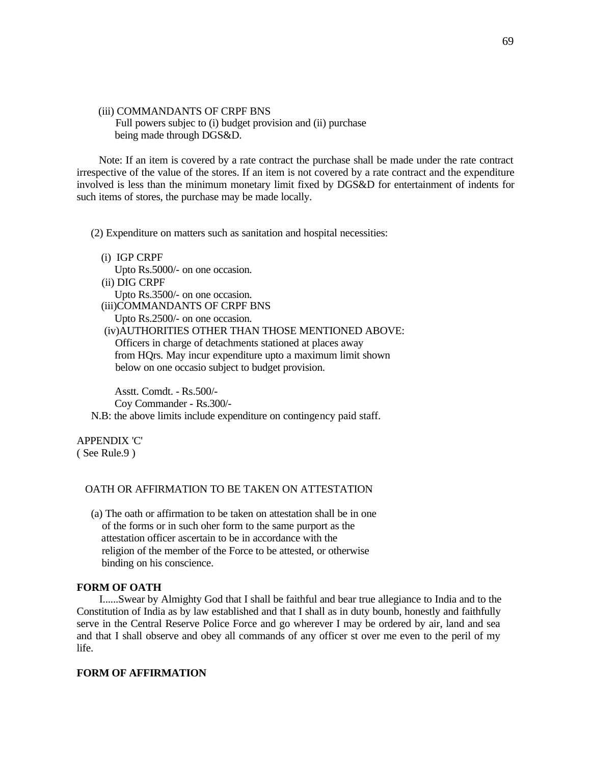(iii) COMMANDANTS OF CRPF BNS Full powers subjec to (i) budget provision and (ii) purchase being made through DGS&D.

 Note: If an item is covered by a rate contract the purchase shall be made under the rate contract irrespective of the value of the stores. If an item is not covered by a rate contract and the expenditure involved is less than the minimum monetary limit fixed by DGS&D for entertainment of indents for such items of stores, the purchase may be made locally.

(2) Expenditure on matters such as sanitation and hospital necessities:

- (i) IGP CRPF
	- Upto Rs.5000/- on one occasion.
- (ii) DIG CRPF

 Upto Rs.3500/- on one occasion. (iii)COMMANDANTS OF CRPF BNS

Upto Rs.2500/- on one occasion.

 (iv)AUTHORITIES OTHER THAN THOSE MENTIONED ABOVE: Officers in charge of detachments stationed at places away from HQrs. May incur expenditure upto a maximum limit shown below on one occasio subject to budget provision.

 Asstt. Comdt. - Rs.500/- Coy Commander - Rs.300/-

N.B: the above limits include expenditure on contingency paid staff.

APPENDIX 'C' ( See Rule.9 )

#### OATH OR AFFIRMATION TO BE TAKEN ON ATTESTATION

 (a) The oath or affirmation to be taken on attestation shall be in one of the forms or in such oher form to the same purport as the attestation officer ascertain to be in accordance with the religion of the member of the Force to be attested, or otherwise binding on his conscience.

#### **FORM OF OATH**

 I......Swear by Almighty God that I shall be faithful and bear true allegiance to India and to the Constitution of India as by law established and that I shall as in duty bounb, honestly and faithfully serve in the Central Reserve Police Force and go wherever I may be ordered by air, land and sea and that I shall observe and obey all commands of any officer st over me even to the peril of my life.

#### **FORM OF AFFIRMATION**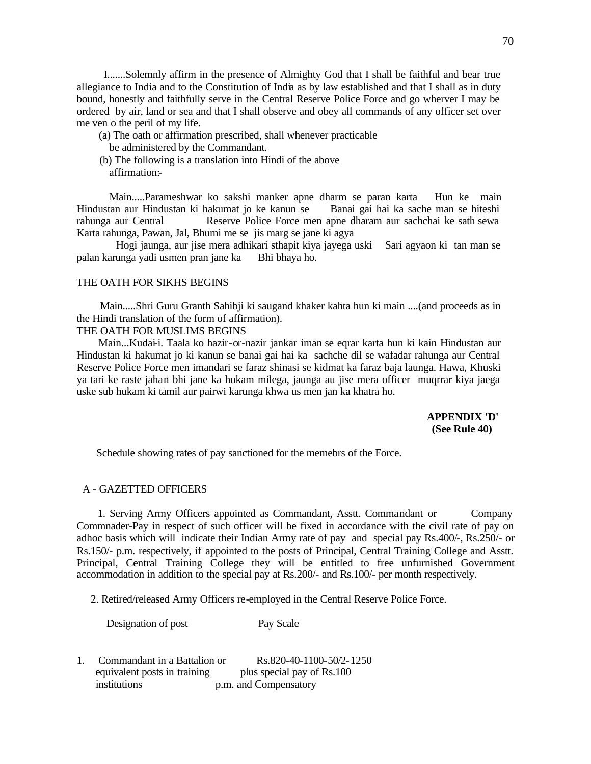I.......Solemnly affirm in the presence of Almighty God that I shall be faithful and bear true allegiance to India and to the Constitution of India as by law established and that I shall as in duty bound, honestly and faithfully serve in the Central Reserve Police Force and go wherver I may be ordered by air, land or sea and that I shall observe and obey all commands of any officer set over me ven o the peril of my life.

- (a) The oath or affirmation prescribed, shall whenever practicable be administered by the Commandant.
- (b) The following is a translation into Hindi of the above affirmation:-

 Main.....Parameshwar ko sakshi manker apne dharm se paran karta Hun ke main Hindustan aur Hindustan ki hakumat jo ke kanun se Banai gai hai ka sache man se hiteshi rahunga aur Central Reserve Police Force men apne dharam aur sachchai ke sath sewa Karta rahunga, Pawan, Jal, Bhumi me se jis marg se jane ki agya

 Hogi jaunga, aur jise mera adhikari sthapit kiya jayega uski Sari agyaon ki tan man se palan karunga yadi usmen pran jane ka Bhi bhaya ho.

## THE OATH FOR SIKHS BEGINS

 Main.....Shri Guru Granth Sahibji ki saugand khaker kahta hun ki main ....(and proceeds as in the Hindi translation of the form of affirmation).

## THE OATH FOR MUSLIMS BEGINS

 Main...Kudai-i. Taala ko hazir-or-nazir jankar iman se eqrar karta hun ki kain Hindustan aur Hindustan ki hakumat jo ki kanun se banai gai hai ka sachche dil se wafadar rahunga aur Central Reserve Police Force men imandari se faraz shinasi se kidmat ka faraz baja launga. Hawa, Khuski ya tari ke raste jahan bhi jane ka hukam milega, jaunga au jise mera officer muqrrar kiya jaega uske sub hukam ki tamil aur pairwi karunga khwa us men jan ka khatra ho.

> **APPENDIX 'D' (See Rule 40)**

Schedule showing rates of pay sanctioned for the memebrs of the Force.

### A - GAZETTED OFFICERS

 1. Serving Army Officers appointed as Commandant, Asstt. Commandant or Company Commnader-Pay in respect of such officer will be fixed in accordance with the civil rate of pay on adhoc basis which will indicate their Indian Army rate of pay and special pay Rs.400/-, Rs.250/- or Rs.150/- p.m. respectively, if appointed to the posts of Principal, Central Training College and Asstt. Principal, Central Training College they will be entitled to free unfurnished Government accommodation in addition to the special pay at Rs.200/- and Rs.100/- per month respectively.

2. Retired/released Army Officers re-employed in the Central Reserve Police Force.

Designation of post Pay Scale

1. Commandant in a Battalion or Rs.820-40-1100-50/2-1250 equivalent posts in training plus special pay of Rs.100 institutions p.m. and Compensatory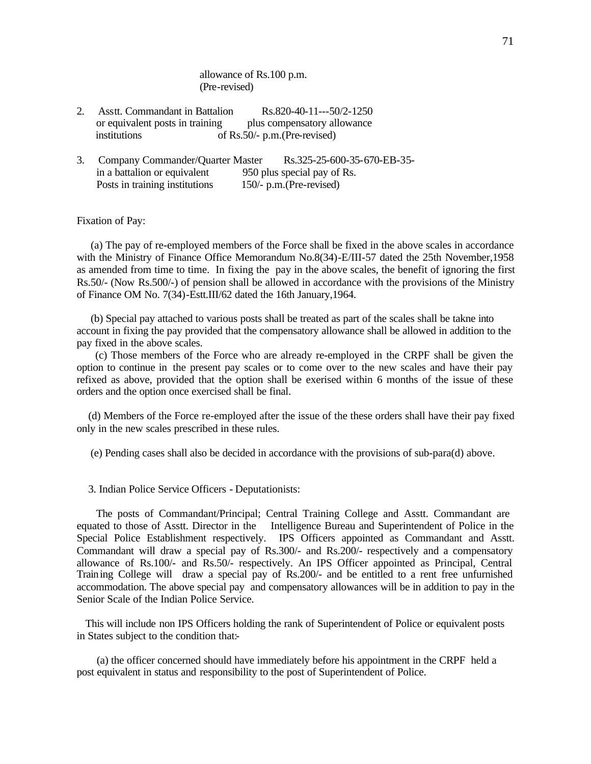allowance of Rs.100 p.m. (Pre-revised)

- 2. Asstt. Commandant in Battalion Rs.820-40-11---50/2-1250 or equivalent posts in training plus compensatory allowance institutions of Rs.50/- p.m.(Pre-revised)
- 3. Company Commander/Quarter Master Rs.325-25-600-35-670-EB-35 in a battalion or equivalent 950 plus special pay of Rs.<br>Posts in training institutions 150/- p.m. (Pre-revised) Posts in training institutions

Fixation of Pay:

 (a) The pay of re-employed members of the Force shall be fixed in the above scales in accordance with the Ministry of Finance Office Memorandum No.8(34)-E/III-57 dated the 25th November, 1958 as amended from time to time. In fixing the pay in the above scales, the benefit of ignoring the first Rs.50/- (Now Rs.500/-) of pension shall be allowed in accordance with the provisions of the Ministry of Finance OM No. 7(34)-Estt.III/62 dated the 16th January,1964.

 (b) Special pay attached to various posts shall be treated as part of the scales shall be takne into account in fixing the pay provided that the compensatory allowance shall be allowed in addition to the pay fixed in the above scales.

 (c) Those members of the Force who are already re-employed in the CRPF shall be given the option to continue in the present pay scales or to come over to the new scales and have their pay refixed as above, provided that the option shall be exerised within 6 months of the issue of these orders and the option once exercised shall be final.

 (d) Members of the Force re-employed after the issue of the these orders shall have their pay fixed only in the new scales prescribed in these rules.

(e) Pending cases shall also be decided in accordance with the provisions of sub-para(d) above.

3. Indian Police Service Officers - Deputationists:

 The posts of Commandant/Principal; Central Training College and Asstt. Commandant are equated to those of Asstt. Director in the Intelligence Bureau and Superintendent of Police in the Special Police Establishment respectively. IPS Officers appointed as Commandant and Asstt. Commandant will draw a special pay of Rs.300/- and Rs.200/- respectively and a compensatory allowance of Rs.100/- and Rs.50/- respectively. An IPS Officer appointed as Principal, Central Training College will draw a special pay of Rs.200/- and be entitled to a rent free unfurnished accommodation. The above special pay and compensatory allowances will be in addition to pay in the Senior Scale of the Indian Police Service.

 This will include non IPS Officers holding the rank of Superintendent of Police or equivalent posts in States subject to the condition that:-

 (a) the officer concerned should have immediately before his appointment in the CRPF held a post equivalent in status and responsibility to the post of Superintendent of Police.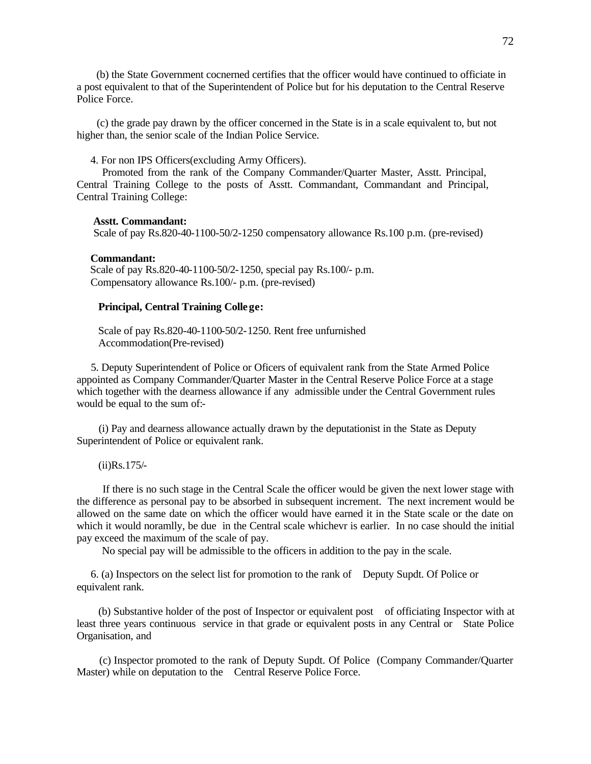(b) the State Government cocnerned certifies that the officer would have continued to officiate in a post equivalent to that of the Superintendent of Police but for his deputation to the Central Reserve Police Force.

 (c) the grade pay drawn by the officer concerned in the State is in a scale equivalent to, but not higher than, the senior scale of the Indian Police Service.

4. For non IPS Officers(excluding Army Officers).

 Promoted from the rank of the Company Commander/Quarter Master, Asstt. Principal, Central Training College to the posts of Asstt. Commandant, Commandant and Principal, Central Training College:

#### **Asstt. Commandant:**

Scale of pay Rs.820-40-1100-50/2-1250 compensatory allowance Rs.100 p.m. (pre-revised)

#### **Commandant:**

 Scale of pay Rs.820-40-1100-50/2-1250, special pay Rs.100/- p.m. Compensatory allowance Rs.100/- p.m. (pre-revised)

#### **Principal, Central Training College:**

 Scale of pay Rs.820-40-1100-50/2-1250. Rent free unfurnished Accommodation(Pre-revised)

 5. Deputy Superintendent of Police or Oficers of equivalent rank from the State Armed Police appointed as Company Commander/Quarter Master in the Central Reserve Police Force at a stage which together with the dearness allowance if any admissible under the Central Government rules would be equal to the sum of:-

 (i) Pay and dearness allowance actually drawn by the deputationist in the State as Deputy Superintendent of Police or equivalent rank.

(ii)Rs.175/-

 If there is no such stage in the Central Scale the officer would be given the next lower stage with the difference as personal pay to be absorbed in subsequent increment. The next increment would be allowed on the same date on which the officer would have earned it in the State scale or the date on which it would noramlly, be due in the Central scale whichevr is earlier. In no case should the initial pay exceed the maximum of the scale of pay.

No special pay will be admissible to the officers in addition to the pay in the scale.

 6. (a) Inspectors on the select list for promotion to the rank of Deputy Supdt. Of Police or equivalent rank.

 (b) Substantive holder of the post of Inspector or equivalent post of officiating Inspector with at least three years continuous service in that grade or equivalent posts in any Central or State Police Organisation, and

 (c) Inspector promoted to the rank of Deputy Supdt. Of Police (Company Commander/Quarter Master) while on deputation to the Central Reserve Police Force.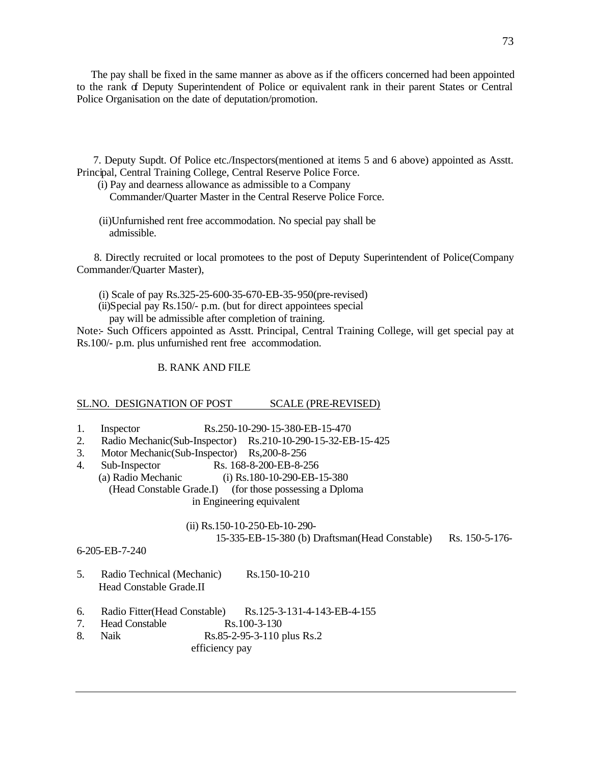The pay shall be fixed in the same manner as above as if the officers concerned had been appointed to the rank of Deputy Superintendent of Police or equivalent rank in their parent States or Central Police Organisation on the date of deputation/promotion.

 7. Deputy Supdt. Of Police etc./Inspectors(mentioned at items 5 and 6 above) appointed as Asstt. Principal, Central Training College, Central Reserve Police Force.

 (i) Pay and dearness allowance as admissible to a Company Commander/Quarter Master in the Central Reserve Police Force.

 (ii)Unfurnished rent free accommodation. No special pay shall be admissible.

 8. Directly recruited or local promotees to the post of Deputy Superintendent of Police(Company Commander/Quarter Master),

(i) Scale of pay Rs.325-25-600-35-670-EB-35-950(pre-revised)

- (ii)Special pay Rs.150/- p.m. (but for direct appointees special
	- pay will be admissible after completion of training.

Note:- Such Officers appointed as Asstt. Principal, Central Training College, will get special pay at Rs.100/- p.m. plus unfurnished rent free accommodation.

## B. RANK AND FILE

## SL.NO. DESIGNATION OF POST SCALE (PRE-REVISED)

- 1. Inspector Rs.250-10-290-15-380-EB-15-470
- 2. Radio Mechanic(Sub-Inspector) Rs.210-10-290-15-32-EB-15-425
- 3. Motor Mechanic(Sub-Inspector) Rs,200-8-256
- 4. Sub-Inspector Rs. 168-8-200-EB-8-256<br>
(a) Radio Mechanic (i) Rs. 180-10-290-EB-1  $(i)$  Rs.180-10-290-EB-15-380 (Head Constable Grade.I) (for those possessing a Dploma in Engineering equivalent

 (ii) Rs.150-10-250-Eb-10-290- 15-335-EB-15-380 (b) Draftsman(Head Constable) Rs. 150-5-176-

## 6-205-EB-7-240

- 5. Radio Technical (Mechanic) Rs.150-10-210 Head Constable Grade.II
- 6. Radio Fitter(Head Constable) Rs.125-3-131-4-143-EB-4-155
- 7. Head Constable Rs.100-3-130
- 8. Naik Rs.85-2-95-3-110 plus Rs.2

efficiency pay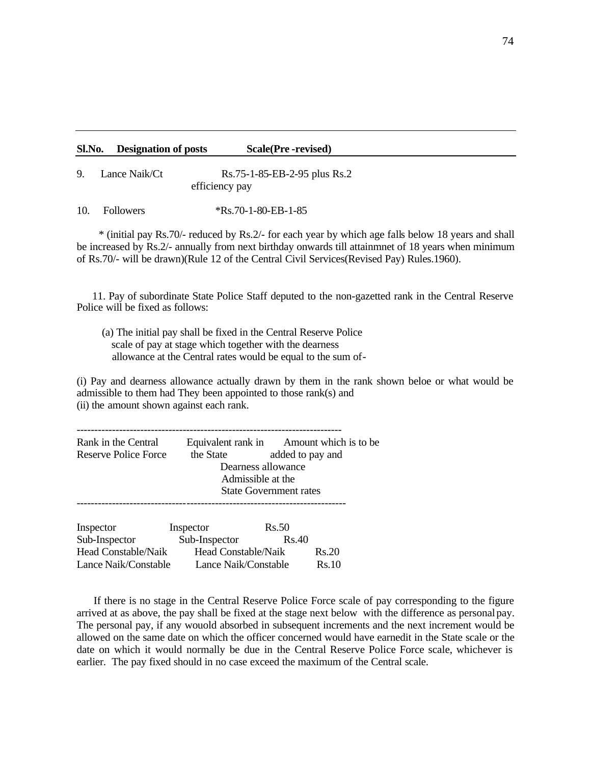#### **Sl.No. Designation of posts Scale(Pre -revised)**

9. Lance Naik/Ct Rs.75-1-85-EB-2-95 plus Rs.2 efficiency pay

10. Followers \*Rs.70-1-80-EB-1-85

 \* (initial pay Rs.70/- reduced by Rs.2/- for each year by which age falls below 18 years and shall be increased by Rs.2/- annually from next birthday onwards till attainmnet of 18 years when minimum of Rs.70/- will be drawn)(Rule 12 of the Central Civil Services(Revised Pay) Rules.1960).

 11. Pay of subordinate State Police Staff deputed to the non-gazetted rank in the Central Reserve Police will be fixed as follows:

 (a) The initial pay shall be fixed in the Central Reserve Police scale of pay at stage which together with the dearness allowance at the Central rates would be equal to the sum of-

(i) Pay and dearness allowance actually drawn by them in the rank shown beloe or what would be admissible to them had They been appointed to those rank(s) and (ii) the amount shown against each rank.

| Rank in the Central  |                   | Equivalent rank in Amount which is to be |  |  |  |
|----------------------|-------------------|------------------------------------------|--|--|--|
| Reserve Police Force | the State         | added to pay and                         |  |  |  |
|                      |                   | Dearness allowance                       |  |  |  |
|                      | Admissible at the |                                          |  |  |  |
|                      |                   | <b>State Government rates</b>            |  |  |  |
|                      |                   |                                          |  |  |  |
| Inspector            | Inspector         | Rs.50                                    |  |  |  |
| Sub-Inspector        | Sub-Inspector     | <b>Rs.40</b>                             |  |  |  |

Head Constable/Naik Head Constable/Naik Rs.20 Lance Naik/Constable Lance Naik/Constable Rs.10

 If there is no stage in the Central Reserve Police Force scale of pay corresponding to the figure arrived at as above, the pay shall be fixed at the stage next below with the difference as personal pay. The personal pay, if any wouold absorbed in subsequent increments and the next increment would be allowed on the same date on which the officer concerned would have earnedit in the State scale or the date on which it would normally be due in the Central Reserve Police Force scale, whichever is earlier. The pay fixed should in no case exceed the maximum of the Central scale.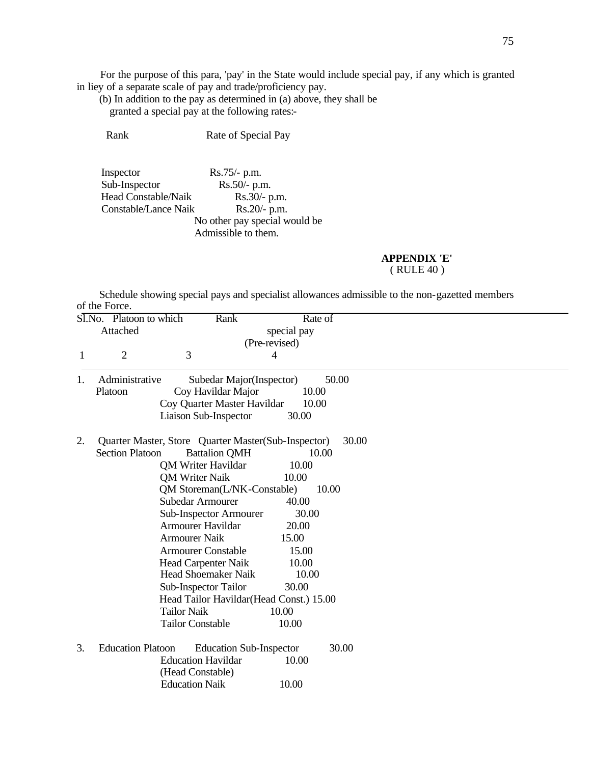For the purpose of this para, 'pay' in the State would include special pay, if any which is granted in liey of a separate scale of pay and trade/proficiency pay.

 (b) In addition to the pay as determined in (a) above, they shall be granted a special pay at the following rates:-

Rank Rate of Special Pay

Inspector Rs.75/- p.m. Sub-Inspector Rs.50/- p.m.<br>Head Constable/Naik Rs.30/- p.m. Head Constable/Naik Rs.30/- p.m.<br>Constable/Lance Naik Rs.20/- p.m. Constable/Lance Naik No other pay special would be Admissible to them.

**APPENDIX 'E'**

 Schedule showing special pays and specialist allowances admissible to the non-gazetted members of the Force.

| Sl.No. | Platoon to which                                           | Rank                                                | Rate of       |       |
|--------|------------------------------------------------------------|-----------------------------------------------------|---------------|-------|
|        | Attached                                                   |                                                     | special pay   |       |
|        |                                                            |                                                     | (Pre-revised) |       |
| 1      | 2                                                          | 3                                                   | 4             |       |
| 1.     | Administrative                                             | Subedar Major(Inspector)                            |               | 50.00 |
|        | Platoon                                                    | Coy Havildar Major                                  | 10.00         |       |
|        |                                                            | Coy Quarter Master Havildar                         | 10.00         |       |
|        |                                                            | Liaison Sub-Inspector                               | 30.00         |       |
| 2.     |                                                            | Quarter Master, Store Quarter Master(Sub-Inspector) |               | 30.00 |
|        | <b>Section Platoon</b>                                     | <b>Battalion QMH</b>                                | 10.00         |       |
|        |                                                            | <b>OM Writer Havildar</b>                           | 10.00         |       |
|        |                                                            | <b>QM Writer Naik</b>                               | 10.00         |       |
|        |                                                            | QM Storeman(L/NK-Constable)                         |               | 10.00 |
|        |                                                            | Subedar Armourer                                    | 40.00         |       |
|        |                                                            | Sub-Inspector Armourer                              | 30.00         |       |
|        |                                                            | <b>Armourer Havildar</b>                            | 20.00         |       |
|        |                                                            | <b>Armourer Naik</b>                                | 15.00         |       |
|        |                                                            | <b>Armourer Constable</b>                           | 15.00         |       |
|        |                                                            | <b>Head Carpenter Naik</b>                          | 10.00         |       |
|        |                                                            | <b>Head Shoemaker Naik</b>                          | 10.00         |       |
|        |                                                            | Sub-Inspector Tailor                                | 30.00         |       |
|        | Head Tailor Havildar(Head Const.) 15.00                    |                                                     |               |       |
|        |                                                            | <b>Tailor Naik</b>                                  | 10.00         |       |
|        |                                                            | <b>Tailor Constable</b>                             | 10.00         |       |
| 3.     | <b>Education Platoon</b><br><b>Education Sub-Inspector</b> |                                                     |               | 30.00 |
|        |                                                            | <b>Education Havildar</b><br>(Head Constable)       | 10.00         |       |
|        |                                                            | <b>Education Naik</b>                               | 10.00         |       |

<sup>(</sup> RULE 40 )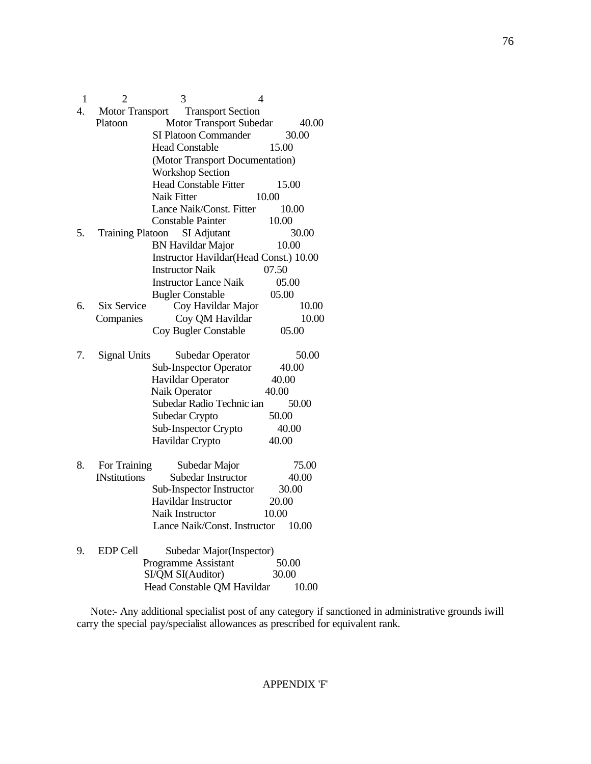| 1                | 2                      | 3                                      | 4     |  |  |
|------------------|------------------------|----------------------------------------|-------|--|--|
| $\overline{4}$ . | <b>Motor Transport</b> | <b>Transport Section</b>               |       |  |  |
|                  | Platoon                | <b>Motor Transport Subedar</b>         | 40.00 |  |  |
|                  |                        | SI Platoon Commander                   | 30.00 |  |  |
|                  |                        | <b>Head Constable</b>                  | 15.00 |  |  |
|                  |                        | (Motor Transport Documentation)        |       |  |  |
|                  |                        | <b>Workshop Section</b>                |       |  |  |
|                  |                        | <b>Head Constable Fitter</b>           | 15.00 |  |  |
|                  |                        | Naik Fitter<br>10.00                   |       |  |  |
|                  |                        | Lance Naik/Const. Fitter               | 10.00 |  |  |
|                  |                        | Constable Painter                      | 10.00 |  |  |
| 5.               |                        | Training Platoon SI Adjutant           | 30.00 |  |  |
|                  |                        | <b>BN Havildar Major</b>               | 10.00 |  |  |
|                  |                        | Instructor Havildar(Head Const.) 10.00 |       |  |  |
|                  |                        | <b>Instructor Naik</b>                 | 07.50 |  |  |
|                  |                        | <b>Instructor Lance Naik</b>           | 05.00 |  |  |
|                  |                        | <b>Bugler Constable</b>                | 05.00 |  |  |
| 6.               | Six Service            | Coy Havildar Major                     | 10.00 |  |  |
|                  | Companies              | Coy QM Havildar                        | 10.00 |  |  |
|                  |                        | Coy Bugler Constable                   | 05.00 |  |  |
| 7.               | <b>Signal Units</b>    | <b>Subedar Operator</b>                | 50.00 |  |  |
|                  |                        | <b>Sub-Inspector Operator</b>          | 40.00 |  |  |
|                  |                        | Havildar Operator                      | 40.00 |  |  |
|                  |                        | Naik Operator                          | 40.00 |  |  |
|                  |                        | Subedar Radio Technic ian              | 50.00 |  |  |
|                  |                        | Subedar Crypto                         | 50.00 |  |  |
|                  |                        | Sub-Inspector Crypto                   | 40.00 |  |  |
|                  |                        | Havildar Crypto                        | 40.00 |  |  |
| 8.               | For Training           | Subedar Major                          | 75.00 |  |  |
|                  | <b>INstitutions</b>    | Subedar Instructor                     | 40.00 |  |  |
|                  |                        | Sub-Inspector Instructor               | 30.00 |  |  |
|                  |                        | Havildar Instructor                    | 20.00 |  |  |
|                  |                        | Naik Instructor                        | 10.00 |  |  |
|                  |                        | Lance Naik/Const. Instructor           | 10.00 |  |  |
| 9.               | EDP Cell               | Subedar Major(Inspector)               |       |  |  |
|                  |                        | Programme Assistant                    | 50.00 |  |  |
|                  |                        | SI/QM SI(Auditor)                      | 30.00 |  |  |
|                  |                        | Head Constable QM Havildar             | 10.00 |  |  |

 Note:- Any additional specialist post of any category if sanctioned in administrative grounds iwill carry the special pay/specialist allowances as prescribed for equivalent rank.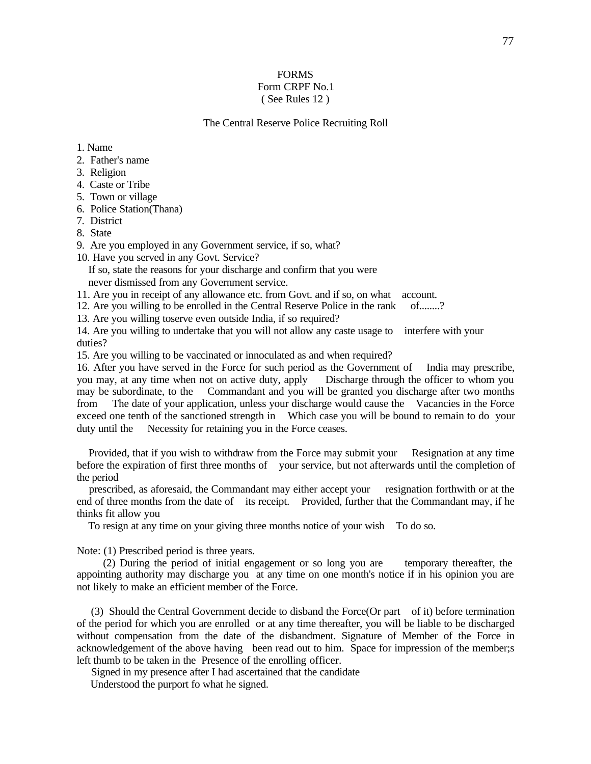## FORMS Form CRPF No.1 ( See Rules 12 )

#### The Central Reserve Police Recruiting Roll

- 1. Name
- 2. Father's name
- 3. Religion
- 4. Caste or Tribe
- 5. Town or village
- 6. Police Station(Thana)
- 7. District
- 8. State

9. Are you employed in any Government service, if so, what?

10. Have you served in any Govt. Service?

 If so, state the reasons for your discharge and confirm that you were never dismissed from any Government service.

11. Are you in receipt of any allowance etc. from Govt. and if so, on what account.

12. Are you willing to be enrolled in the Central Reserve Police in the rank of........?

13. Are you willing toserve even outside India, if so required?

14. Are you willing to undertake that you will not allow any caste usage to interfere with your duties?

15. Are you willing to be vaccinated or innoculated as and when required?

16. After you have served in the Force for such period as the Government of India may prescribe, you may, at any time when not on active duty, apply Discharge through the officer to whom you may be subordinate, to the Commandant and you will be granted you discharge after two months from The date of your application, unless your discharge would cause the Vacancies in the Force exceed one tenth of the sanctioned strength in Which case you will be bound to remain to do your duty until the Necessity for retaining you in the Force ceases.

 Provided, that if you wish to withdraw from the Force may submit your Resignation at any time before the expiration of first three months of your service, but not afterwards until the completion of the period

 prescribed, as aforesaid, the Commandant may either accept your resignation forthwith or at the end of three months from the date of its receipt. Provided, further that the Commandant may, if he thinks fit allow you

To resign at any time on your giving three months notice of your wish To do so.

Note: (1) Prescribed period is three years.

 (2) During the period of initial engagement or so long you are temporary thereafter, the appointing authority may discharge you at any time on one month's notice if in his opinion you are not likely to make an efficient member of the Force.

 (3) Should the Central Government decide to disband the Force(Or part of it) before termination of the period for which you are enrolled or at any time thereafter, you will be liable to be discharged without compensation from the date of the disbandment. Signature of Member of the Force in acknowledgement of the above having been read out to him. Space for impression of the member;s left thumb to be taken in the Presence of the enrolling officer.

Signed in my presence after I had ascertained that the candidate

Understood the purport fo what he signed.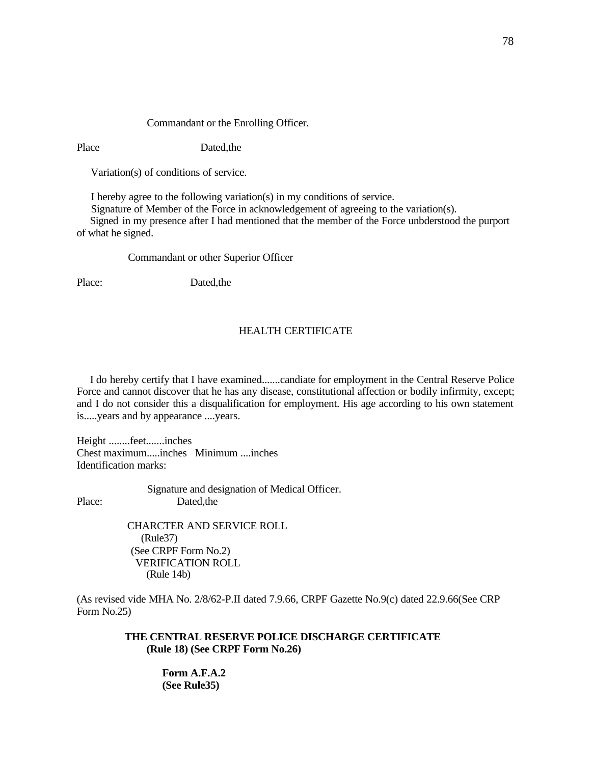#### Commandant or the Enrolling Officer.

Place Dated,the

Variation(s) of conditions of service.

I hereby agree to the following variation(s) in my conditions of service.

 Signature of Member of the Force in acknowledgement of agreeing to the variation(s). Signed in my presence after I had mentioned that the member of the Force unbderstood the purport of what he signed.

Commandant or other Superior Officer

Place: Dated,the

# HEALTH CERTIFICATE

 I do hereby certify that I have examined.......candiate for employment in the Central Reserve Police Force and cannot discover that he has any disease, constitutional affection or bodily infirmity, except; and I do not consider this a disqualification for employment. His age according to his own statement is.....years and by appearance ....years.

Height ........feet.......inches Chest maximum.....inches Minimum ....inches Identification marks:

 Signature and designation of Medical Officer. Place: Dated,the

> CHARCTER AND SERVICE ROLL (Rule37) (See CRPF Form No.2) VERIFICATION ROLL (Rule 14b)

(As revised vide MHA No. 2/8/62-P.II dated 7.9.66, CRPF Gazette No.9(c) dated 22.9.66(See CRP Form No.25)

> **THE CENTRAL RESERVE POLICE DISCHARGE CERTIFICATE (Rule 18) (See CRPF Form No.26)**

> > **Form A.F.A.2 (See Rule35)**